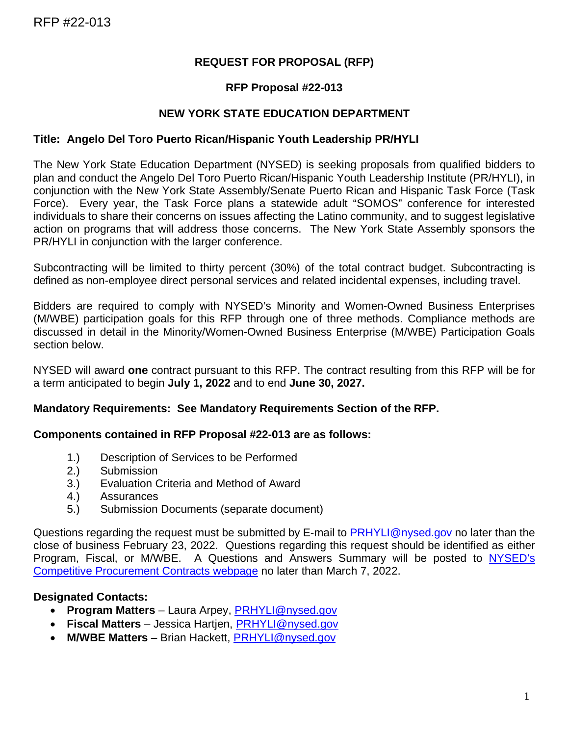#### **REQUEST FOR PROPOSAL (RFP)**

#### **RFP Proposal #22-013**

#### **NEW YORK STATE EDUCATION DEPARTMENT**

#### **Title: Angelo Del Toro Puerto Rican/Hispanic Youth Leadership PR/HYLI**

The New York State Education Department (NYSED) is seeking proposals from qualified bidders to plan and conduct the Angelo Del Toro Puerto Rican/Hispanic Youth Leadership Institute (PR/HYLI), in conjunction with the New York State Assembly/Senate Puerto Rican and Hispanic Task Force (Task Force). Every year, the Task Force plans a statewide adult "SOMOS" conference for interested individuals to share their concerns on issues affecting the Latino community, and to suggest legislative action on programs that will address those concerns. The New York State Assembly sponsors the PR/HYLI in conjunction with the larger conference.

Subcontracting will be limited to thirty percent (30%) of the total contract budget. Subcontracting is defined as non-employee direct personal services and related incidental expenses, including travel.

Bidders are required to comply with NYSED's Minority and Women-Owned Business Enterprises (M/WBE) participation goals for this RFP through one of three methods. Compliance methods are discussed in detail in the Minority/Women-Owned Business Enterprise (M/WBE) Participation Goals section below.

NYSED will award **one** contract pursuant to this RFP. The contract resulting from this RFP will be for a term anticipated to begin **July 1, 2022** and to end **June 30, 2027.**

#### **Mandatory Requirements: See Mandatory Requirements Section of the RFP.**

#### **Components contained in RFP Proposal #22-013 are as follows:**

- 1.) Description of Services to be Performed
- 2.) Submission
- 3.) Evaluation Criteria and Method of Award
- 4.) Assurances
- 5.) Submission Documents (separate document)

Questions regarding the request must be submitted by E-mail to [PRHYLI@nysed.gov](mailto:PRHYLI@nysed.gov) no later than the close of business February 23, 2022. Questions regarding this request should be identified as either Program, Fiscal, or M/WBE. A Questions and Answers Summary will be posted to [NYSED's](http://www.p12.nysed.gov/compcontracts/compcontracts.html)  [Competitive Procurement Contracts webpage](http://www.p12.nysed.gov/compcontracts/compcontracts.html) no later than March 7, 2022.

#### **Designated Contacts:**

- **Program Matters**  Laura Arpey, [PRHYLI@nysed.gov](mailto:PRHYLI@nysed.gov)
- **Fiscal Matters** Jessica Hartjen, [PRHYLI@nysed.gov](mailto:PRHYLI@nysed.gov)
- **M/WBE Matters** Brian Hackett, [PRHYLI@nysed.gov](mailto:PRHYLI@nysed.gov)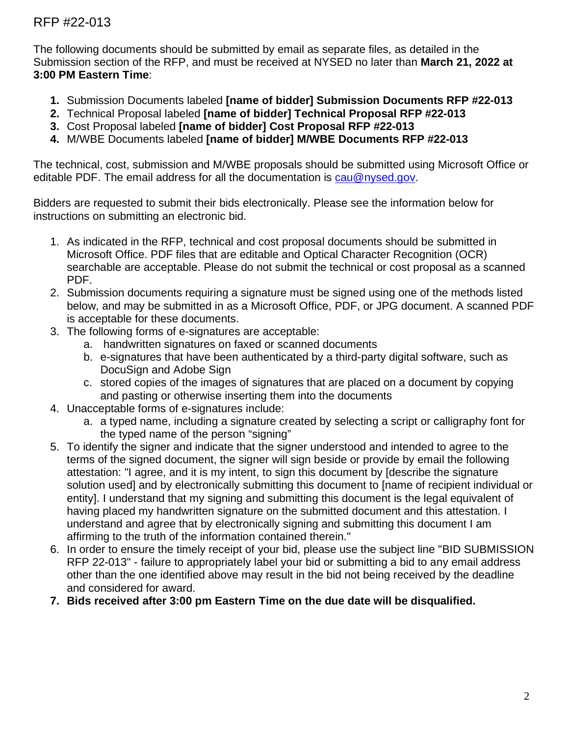The following documents should be submitted by email as separate files, as detailed in the Submission section of the RFP, and must be received at NYSED no later than **March 21, 2022 at 3:00 PM Eastern Time**:

- **1.** Submission Documents labeled **[name of bidder] Submission Documents RFP #22-013**
- **2.** Technical Proposal labeled **[name of bidder] Technical Proposal RFP #22-013**
- **3.** Cost Proposal labeled **[name of bidder] Cost Proposal RFP #22-013**
- **4.** M/WBE Documents labeled **[name of bidder] M/WBE Documents RFP #22-013**

The technical, cost, submission and M/WBE proposals should be submitted using Microsoft Office or editable PDF. The email address for all the documentation is [cau@nysed.gov.](mailto:cau@nysed.gov)

Bidders are requested to submit their bids electronically. Please see the information below for instructions on submitting an electronic bid.

- 1. As indicated in the RFP, technical and cost proposal documents should be submitted in Microsoft Office. PDF files that are editable and Optical Character Recognition (OCR) searchable are acceptable. Please do not submit the technical or cost proposal as a scanned PDF.
- 2. Submission documents requiring a signature must be signed using one of the methods listed below, and may be submitted in as a Microsoft Office, PDF, or JPG document. A scanned PDF is acceptable for these documents.
- 3. The following forms of e-signatures are acceptable:
	- a. handwritten signatures on faxed or scanned documents
	- b. e-signatures that have been authenticated by a third-party digital software, such as DocuSign and Adobe Sign
	- c. stored copies of the images of signatures that are placed on a document by copying and pasting or otherwise inserting them into the documents
- 4. Unacceptable forms of e-signatures include:
	- a. a typed name, including a signature created by selecting a script or calligraphy font for the typed name of the person "signing"
- 5. To identify the signer and indicate that the signer understood and intended to agree to the terms of the signed document, the signer will sign beside or provide by email the following attestation: "I agree, and it is my intent, to sign this document by [describe the signature solution used] and by electronically submitting this document to [name of recipient individual or entity]. I understand that my signing and submitting this document is the legal equivalent of having placed my handwritten signature on the submitted document and this attestation. I understand and agree that by electronically signing and submitting this document I am affirming to the truth of the information contained therein."
- 6. In order to ensure the timely receipt of your bid, please use the subject line "BID SUBMISSION RFP 22-013" - failure to appropriately label your bid or submitting a bid to any email address other than the one identified above may result in the bid not being received by the deadline and considered for award.
- **7. Bids received after 3:00 pm Eastern Time on the due date will be disqualified.**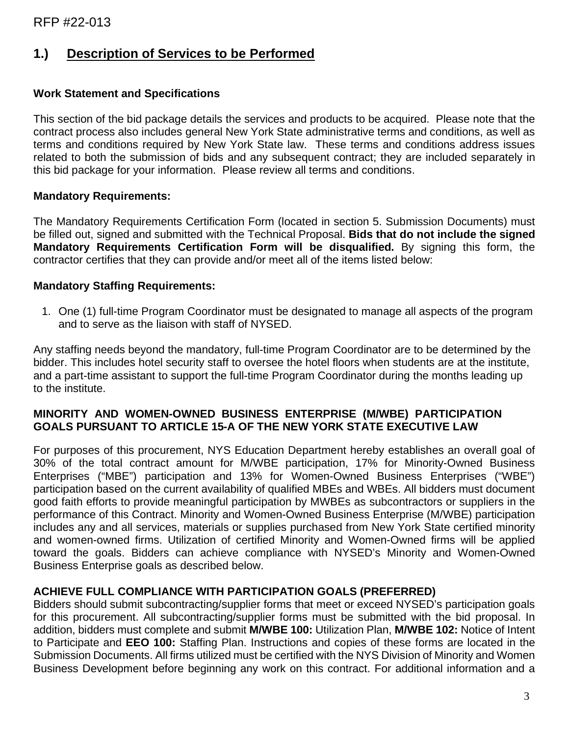# **1.) Description of Services to be Performed**

#### **Work Statement and Specifications**

This section of the bid package details the services and products to be acquired. Please note that the contract process also includes general New York State administrative terms and conditions, as well as terms and conditions required by New York State law. These terms and conditions address issues related to both the submission of bids and any subsequent contract; they are included separately in this bid package for your information. Please review all terms and conditions.

#### **Mandatory Requirements:**

The Mandatory Requirements Certification Form (located in section 5. Submission Documents) must be filled out, signed and submitted with the Technical Proposal. **Bids that do not include the signed Mandatory Requirements Certification Form will be disqualified.** By signing this form, the contractor certifies that they can provide and/or meet all of the items listed below:

#### **Mandatory Staffing Requirements:**

1. One (1) full-time Program Coordinator must be designated to manage all aspects of the program and to serve as the liaison with staff of NYSED.

Any staffing needs beyond the mandatory, full-time Program Coordinator are to be determined by the bidder. This includes hotel security staff to oversee the hotel floors when students are at the institute, and a part-time assistant to support the full-time Program Coordinator during the months leading up to the institute.

#### **MINORITY AND WOMEN-OWNED BUSINESS ENTERPRISE (M/WBE) PARTICIPATION GOALS PURSUANT TO ARTICLE 15-A OF THE NEW YORK STATE EXECUTIVE LAW**

For purposes of this procurement, NYS Education Department hereby establishes an overall goal of 30% of the total contract amount for M/WBE participation, 17% for Minority-Owned Business Enterprises ("MBE") participation and 13% for Women-Owned Business Enterprises ("WBE") participation based on the current availability of qualified MBEs and WBEs. All bidders must document good faith efforts to provide meaningful participation by MWBEs as subcontractors or suppliers in the performance of this Contract. Minority and Women-Owned Business Enterprise (M/WBE) participation includes any and all services, materials or supplies purchased from New York State certified minority and women-owned firms. Utilization of certified Minority and Women-Owned firms will be applied toward the goals. Bidders can achieve compliance with NYSED's Minority and Women-Owned Business Enterprise goals as described below.

#### **ACHIEVE FULL COMPLIANCE WITH PARTICIPATION GOALS (PREFERRED)**

Bidders should submit subcontracting/supplier forms that meet or exceed NYSED's participation goals for this procurement. All subcontracting/supplier forms must be submitted with the bid proposal. In addition, bidders must complete and submit **M/WBE 100:** Utilization Plan, **M/WBE 102:** Notice of Intent to Participate and **EEO 100:** Staffing Plan. Instructions and copies of these forms are located in the Submission Documents. All firms utilized must be certified with the NYS Division of Minority and Women Business Development before beginning any work on this contract. For additional information and a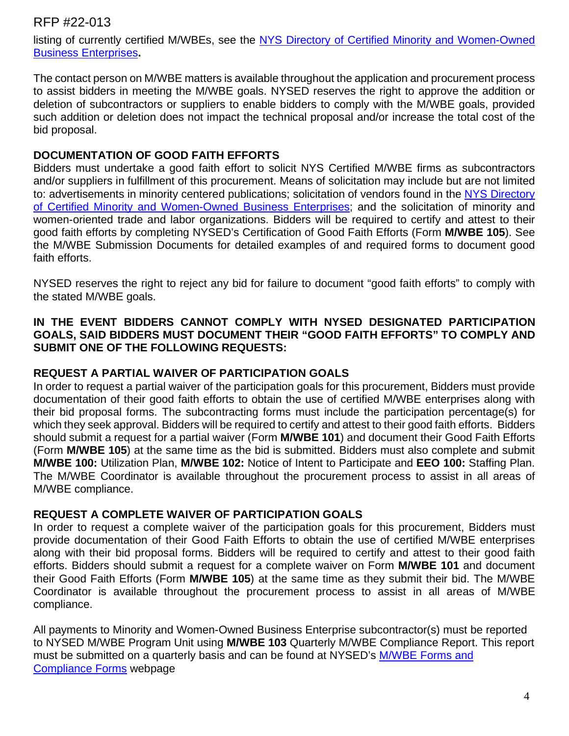listing of currently certified M/WBEs, see the NYS Directory of Certified Minority and Women-Owned [Business Enterprises](https://ny.newnycontracts.com/FrontEnd/VendorSearchPublic.asp?TN=ny&XID=4687)**.** 

The contact person on M/WBE matters is available throughout the application and procurement process to assist bidders in meeting the M/WBE goals. NYSED reserves the right to approve the addition or deletion of subcontractors or suppliers to enable bidders to comply with the M/WBE goals, provided such addition or deletion does not impact the technical proposal and/or increase the total cost of the bid proposal.

#### **DOCUMENTATION OF GOOD FAITH EFFORTS**

Bidders must undertake a good faith effort to solicit NYS Certified M/WBE firms as subcontractors and/or suppliers in fulfillment of this procurement. Means of solicitation may include but are not limited to: advertisements in minority centered publications; solicitation of vendors found in the NYS Directory [of Certified Minority and Women-Owned Business Enterprises;](https://ny.newnycontracts.com/FrontEnd/VendorSearchPublic.asp?TN=ny&XID=4687) and the solicitation of minority and women-oriented trade and labor organizations. Bidders will be required to certify and attest to their good faith efforts by completing NYSED's Certification of Good Faith Efforts (Form **M/WBE 105**). See the M/WBE Submission Documents for detailed examples of and required forms to document good faith efforts.

NYSED reserves the right to reject any bid for failure to document "good faith efforts" to comply with the stated M/WBE goals.

#### **IN THE EVENT BIDDERS CANNOT COMPLY WITH NYSED DESIGNATED PARTICIPATION GOALS, SAID BIDDERS MUST DOCUMENT THEIR "GOOD FAITH EFFORTS" TO COMPLY AND SUBMIT ONE OF THE FOLLOWING REQUESTS:**

#### **REQUEST A PARTIAL WAIVER OF PARTICIPATION GOALS**

In order to request a partial waiver of the participation goals for this procurement, Bidders must provide documentation of their good faith efforts to obtain the use of certified M/WBE enterprises along with their bid proposal forms. The subcontracting forms must include the participation percentage(s) for which they seek approval. Bidders will be required to certify and attest to their good faith efforts. Bidders should submit a request for a partial waiver (Form **M/WBE 101**) and document their Good Faith Efforts (Form **M/WBE 105**) at the same time as the bid is submitted. Bidders must also complete and submit **M/WBE 100:** Utilization Plan, **M/WBE 102:** Notice of Intent to Participate and **EEO 100:** Staffing Plan. The M/WBE Coordinator is available throughout the procurement process to assist in all areas of M/WBE compliance.

#### **REQUEST A COMPLETE WAIVER OF PARTICIPATION GOALS**

In order to request a complete waiver of the participation goals for this procurement, Bidders must provide documentation of their Good Faith Efforts to obtain the use of certified M/WBE enterprises along with their bid proposal forms. Bidders will be required to certify and attest to their good faith efforts. Bidders should submit a request for a complete waiver on Form **M/WBE 101** and document their Good Faith Efforts (Form **M/WBE 105**) at the same time as they submit their bid. The M/WBE Coordinator is available throughout the procurement process to assist in all areas of M/WBE compliance.

All payments to Minority and Women-Owned Business Enterprise subcontractor(s) must be reported to NYSED M/WBE Program Unit using **M/WBE 103** Quarterly M/WBE Compliance Report. This report must be submitted on a quarterly basis and can be found at NYSED's [M/WBE Forms and](http://www.oms.nysed.gov/fiscal/MWBE/forms.html)  [Compliance Forms](http://www.oms.nysed.gov/fiscal/MWBE/forms.html) webpage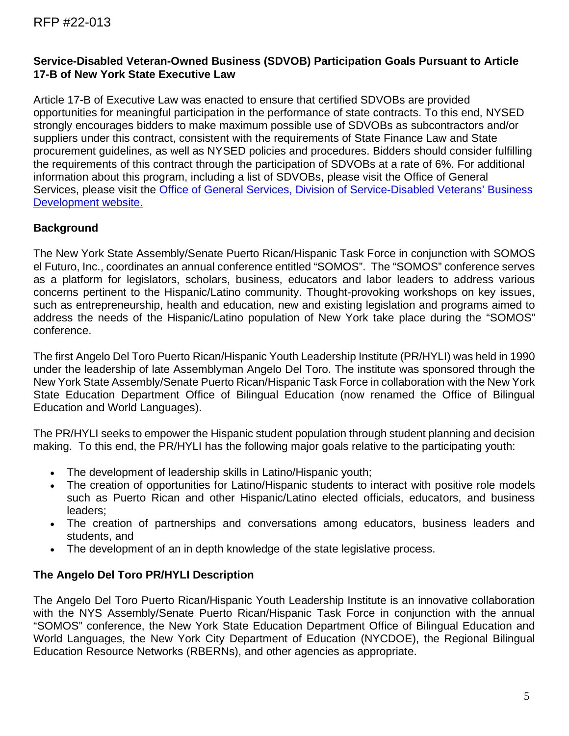#### **Service-Disabled Veteran-Owned Business (SDVOB) Participation Goals Pursuant to Article 17-B of New York State Executive Law**

Article 17-B of Executive Law was enacted to ensure that certified SDVOBs are provided opportunities for meaningful participation in the performance of state contracts. To this end, NYSED strongly encourages bidders to make maximum possible use of SDVOBs as subcontractors and/or suppliers under this contract, consistent with the requirements of State Finance Law and State procurement guidelines, as well as NYSED policies and procedures. Bidders should consider fulfilling the requirements of this contract through the participation of SDVOBs at a rate of 6%. For additional information about this program, including a list of SDVOBs, please visit the Office of General Services, please visit the [Office of General Services, Division of Service-Disabled Veterans' Business](http://www.ogs.ny.gov/Core/SDVOBA.asp)  [Development website.](http://www.ogs.ny.gov/Core/SDVOBA.asp)

### **Background**

The New York State Assembly/Senate Puerto Rican/Hispanic Task Force in conjunction with SOMOS el Futuro, Inc., coordinates an annual conference entitled "SOMOS". The "SOMOS" conference serves as a platform for legislators, scholars, business, educators and labor leaders to address various concerns pertinent to the Hispanic/Latino community. Thought-provoking workshops on key issues, such as entrepreneurship, health and education, new and existing legislation and programs aimed to address the needs of the Hispanic/Latino population of New York take place during the "SOMOS" conference.

The first Angelo Del Toro Puerto Rican/Hispanic Youth Leadership Institute (PR/HYLI) was held in 1990 under the leadership of late Assemblyman Angelo Del Toro. The institute was sponsored through the New York State Assembly/Senate Puerto Rican/Hispanic Task Force in collaboration with the New York State Education Department Office of Bilingual Education (now renamed the Office of Bilingual Education and World Languages).

The PR/HYLI seeks to empower the Hispanic student population through student planning and decision making. To this end, the PR/HYLI has the following major goals relative to the participating youth:

- The development of leadership skills in Latino/Hispanic youth;
- The creation of opportunities for Latino/Hispanic students to interact with positive role models such as Puerto Rican and other Hispanic/Latino elected officials, educators, and business leaders;
- The creation of partnerships and conversations among educators, business leaders and students, and
- The development of an in depth knowledge of the state legislative process.

### **The Angelo Del Toro PR/HYLI Description**

The Angelo Del Toro Puerto Rican/Hispanic Youth Leadership Institute is an innovative collaboration with the NYS Assembly/Senate Puerto Rican/Hispanic Task Force in conjunction with the annual "SOMOS" conference, the New York State Education Department Office of Bilingual Education and World Languages, the New York City Department of Education (NYCDOE), the Regional Bilingual Education Resource Networks (RBERNs), and other agencies as appropriate.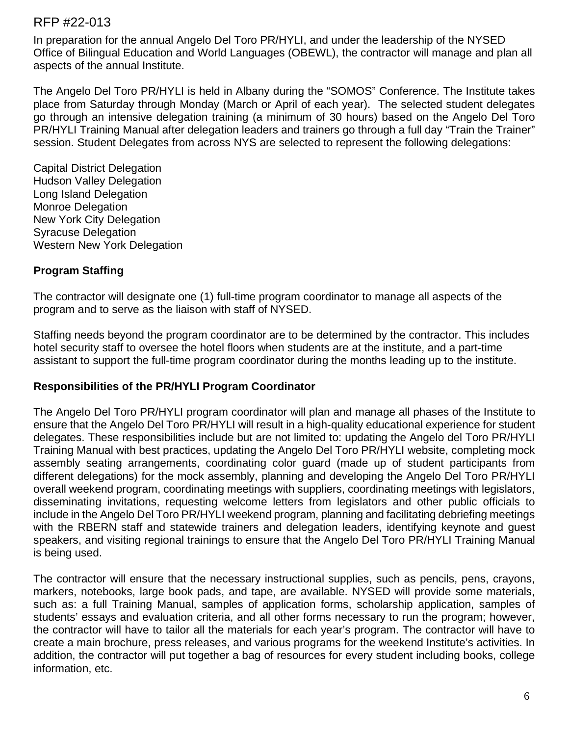In preparation for the annual Angelo Del Toro PR/HYLI, and under the leadership of the NYSED Office of Bilingual Education and World Languages (OBEWL), the contractor will manage and plan all aspects of the annual Institute.

The Angelo Del Toro PR/HYLI is held in Albany during the "SOMOS" Conference. The Institute takes place from Saturday through Monday (March or April of each year). The selected student delegates go through an intensive delegation training (a minimum of 30 hours) based on the Angelo Del Toro PR/HYLI Training Manual after delegation leaders and trainers go through a full day "Train the Trainer" session. Student Delegates from across NYS are selected to represent the following delegations:

Capital District Delegation Hudson Valley Delegation Long Island Delegation Monroe Delegation New York City Delegation Syracuse Delegation Western New York Delegation

## **Program Staffing**

The contractor will designate one (1) full-time program coordinator to manage all aspects of the program and to serve as the liaison with staff of NYSED.

Staffing needs beyond the program coordinator are to be determined by the contractor. This includes hotel security staff to oversee the hotel floors when students are at the institute, and a part-time assistant to support the full-time program coordinator during the months leading up to the institute.

### **Responsibilities of the PR/HYLI Program Coordinator**

The Angelo Del Toro PR/HYLI program coordinator will plan and manage all phases of the Institute to ensure that the Angelo Del Toro PR/HYLI will result in a high-quality educational experience for student delegates. These responsibilities include but are not limited to: updating the Angelo del Toro PR/HYLI Training Manual with best practices, updating the Angelo Del Toro PR/HYLI website, completing mock assembly seating arrangements, coordinating color guard (made up of student participants from different delegations) for the mock assembly, planning and developing the Angelo Del Toro PR/HYLI overall weekend program, coordinating meetings with suppliers, coordinating meetings with legislators, disseminating invitations, requesting welcome letters from legislators and other public officials to include in the Angelo Del Toro PR/HYLI weekend program, planning and facilitating debriefing meetings with the RBERN staff and statewide trainers and delegation leaders, identifying keynote and guest speakers, and visiting regional trainings to ensure that the Angelo Del Toro PR/HYLI Training Manual is being used.

The contractor will ensure that the necessary instructional supplies, such as pencils, pens, crayons, markers, notebooks, large book pads, and tape, are available. NYSED will provide some materials, such as: a full Training Manual, samples of application forms, scholarship application, samples of students' essays and evaluation criteria, and all other forms necessary to run the program; however, the contractor will have to tailor all the materials for each year's program. The contractor will have to create a main brochure, press releases, and various programs for the weekend Institute's activities. In addition, the contractor will put together a bag of resources for every student including books, college information, etc.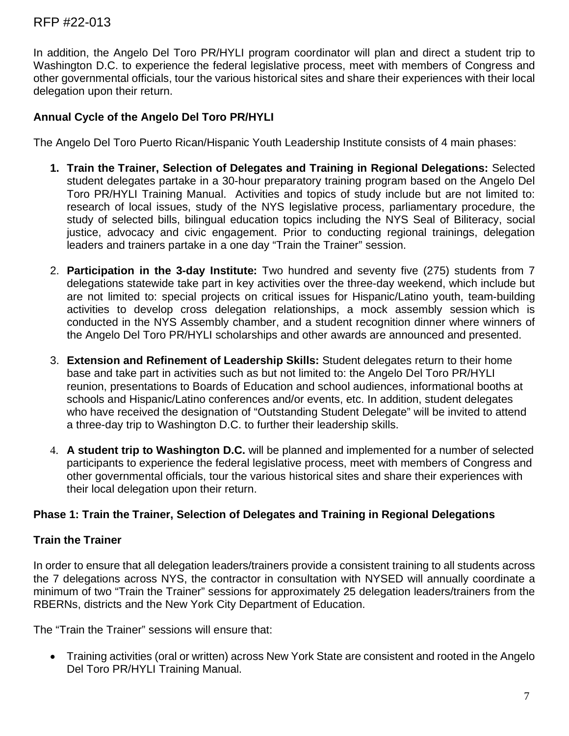In addition, the Angelo Del Toro PR/HYLI program coordinator will plan and direct a student trip to Washington D.C. to experience the federal legislative process, meet with members of Congress and other governmental officials, tour the various historical sites and share their experiences with their local delegation upon their return.

#### **Annual Cycle of the Angelo Del Toro PR/HYLI**

The Angelo Del Toro Puerto Rican/Hispanic Youth Leadership Institute consists of 4 main phases:

- **1. Train the Trainer, Selection of Delegates and Training in Regional Delegations:** Selected student delegates partake in a 30-hour preparatory training program based on the Angelo Del Toro PR/HYLI Training Manual. Activities and topics of study include but are not limited to: research of local issues, study of the NYS legislative process, parliamentary procedure, the study of selected bills, bilingual education topics including the NYS Seal of Biliteracy, social justice, advocacy and civic engagement. Prior to conducting regional trainings, delegation leaders and trainers partake in a one day "Train the Trainer" session.
- 2. **Participation in the 3-day Institute:** Two hundred and seventy five (275) students from 7 delegations statewide take part in key activities over the three-day weekend, which include but are not limited to: special projects on critical issues for Hispanic/Latino youth, team-building activities to develop cross delegation relationships, a mock assembly session which is conducted in the NYS Assembly chamber, and a student recognition dinner where winners of the Angelo Del Toro PR/HYLI scholarships and other awards are announced and presented.
- 3. **Extension and Refinement of Leadership Skills:** Student delegates return to their home base and take part in activities such as but not limited to: the Angelo Del Toro PR/HYLI reunion, presentations to Boards of Education and school audiences, informational booths at schools and Hispanic/Latino conferences and/or events, etc. In addition, student delegates who have received the designation of "Outstanding Student Delegate" will be invited to attend a three-day trip to Washington D.C. to further their leadership skills.
- 4. **A student trip to Washington D.C.** will be planned and implemented for a number of selected participants to experience the federal legislative process, meet with members of Congress and other governmental officials, tour the various historical sites and share their experiences with their local delegation upon their return.

#### **Phase 1: Train the Trainer, Selection of Delegates and Training in Regional Delegations**

#### **Train the Trainer**

In order to ensure that all delegation leaders/trainers provide a consistent training to all students across the 7 delegations across NYS, the contractor in consultation with NYSED will annually coordinate a minimum of two "Train the Trainer" sessions for approximately 25 delegation leaders/trainers from the RBERNs, districts and the New York City Department of Education.

The "Train the Trainer" sessions will ensure that:

• Training activities (oral or written) across New York State are consistent and rooted in the Angelo Del Toro PR/HYLI Training Manual.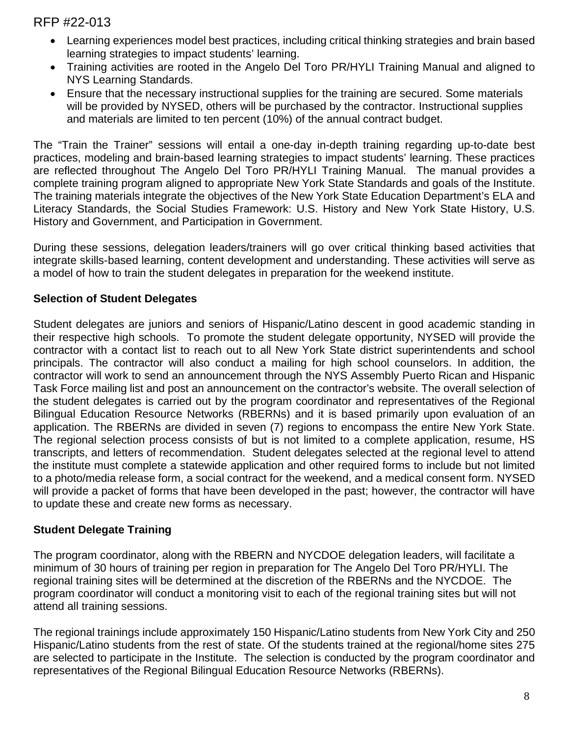- Learning experiences model best practices, including critical thinking strategies and brain based learning strategies to impact students' learning.
- Training activities are rooted in the Angelo Del Toro PR/HYLI Training Manual and aligned to NYS Learning Standards.
- Ensure that the necessary instructional supplies for the training are secured. Some materials will be provided by NYSED, others will be purchased by the contractor. Instructional supplies and materials are limited to ten percent (10%) of the annual contract budget.

The "Train the Trainer" sessions will entail a one-day in-depth training regarding up-to-date best practices, modeling and brain-based learning strategies to impact students' learning. These practices are reflected throughout The Angelo Del Toro PR/HYLI Training Manual. The manual provides a complete training program aligned to appropriate New York State Standards and goals of the Institute. The training materials integrate the objectives of the New York State Education Department's ELA and Literacy Standards, the Social Studies Framework: U.S. History and New York State History, U.S. History and Government, and Participation in Government.

During these sessions, delegation leaders/trainers will go over critical thinking based activities that integrate skills-based learning, content development and understanding. These activities will serve as a model of how to train the student delegates in preparation for the weekend institute.

## **Selection of Student Delegates**

Student delegates are juniors and seniors of Hispanic/Latino descent in good academic standing in their respective high schools. To promote the student delegate opportunity, NYSED will provide the contractor with a contact list to reach out to all New York State district superintendents and school principals. The contractor will also conduct a mailing for high school counselors. In addition, the contractor will work to send an announcement through the NYS Assembly Puerto Rican and Hispanic Task Force mailing list and post an announcement on the contractor's website. The overall selection of the student delegates is carried out by the program coordinator and representatives of the Regional Bilingual Education Resource Networks (RBERNs) and it is based primarily upon evaluation of an application. The RBERNs are divided in seven (7) regions to encompass the entire New York State. The regional selection process consists of but is not limited to a complete application, resume, HS transcripts, and letters of recommendation. Student delegates selected at the regional level to attend the institute must complete a statewide application and other required forms to include but not limited to a photo/media release form, a social contract for the weekend, and a medical consent form. NYSED will provide a packet of forms that have been developed in the past; however, the contractor will have to update these and create new forms as necessary.

### **Student Delegate Training**

The program coordinator, along with the RBERN and NYCDOE delegation leaders, will facilitate a minimum of 30 hours of training per region in preparation for The Angelo Del Toro PR/HYLI. The regional training sites will be determined at the discretion of the RBERNs and the NYCDOE. The program coordinator will conduct a monitoring visit to each of the regional training sites but will not attend all training sessions.

The regional trainings include approximately 150 Hispanic/Latino students from New York City and 250 Hispanic/Latino students from the rest of state. Of the students trained at the regional/home sites 275 are selected to participate in the Institute. The selection is conducted by the program coordinator and representatives of the Regional Bilingual Education Resource Networks (RBERNs).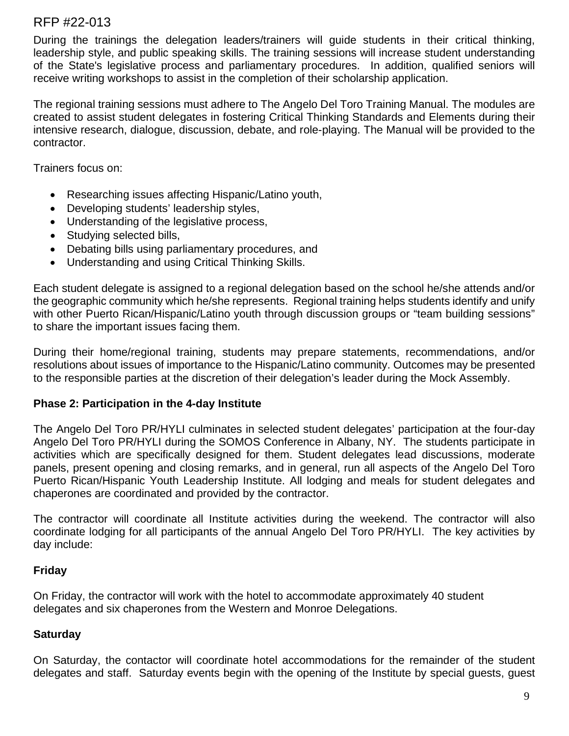During the trainings the delegation leaders/trainers will guide students in their critical thinking, leadership style, and public speaking skills. The training sessions will increase student understanding of the State's legislative process and parliamentary procedures. In addition, qualified seniors will receive writing workshops to assist in the completion of their scholarship application.

The regional training sessions must adhere to The Angelo Del Toro Training Manual. The modules are created to assist student delegates in fostering Critical Thinking Standards and Elements during their intensive research, dialogue, discussion, debate, and role-playing. The Manual will be provided to the contractor.

Trainers focus on:

- Researching issues affecting Hispanic/Latino youth,
- Developing students' leadership styles,
- Understanding of the legislative process,
- Studying selected bills,
- Debating bills using parliamentary procedures, and
- Understanding and using Critical Thinking Skills.

Each student delegate is assigned to a regional delegation based on the school he/she attends and/or the geographic community which he/she represents. Regional training helps students identify and unify with other Puerto Rican/Hispanic/Latino youth through discussion groups or "team building sessions" to share the important issues facing them.

During their home/regional training, students may prepare statements, recommendations, and/or resolutions about issues of importance to the Hispanic/Latino community. Outcomes may be presented to the responsible parties at the discretion of their delegation's leader during the Mock Assembly.

#### **Phase 2: Participation in the 4-day Institute**

The Angelo Del Toro PR/HYLI culminates in selected student delegates' participation at the four-day Angelo Del Toro PR/HYLI during the SOMOS Conference in Albany, NY. The students participate in activities which are specifically designed for them. Student delegates lead discussions, moderate panels, present opening and closing remarks, and in general, run all aspects of the Angelo Del Toro Puerto Rican/Hispanic Youth Leadership Institute. All lodging and meals for student delegates and chaperones are coordinated and provided by the contractor.

The contractor will coordinate all Institute activities during the weekend. The contractor will also coordinate lodging for all participants of the annual Angelo Del Toro PR/HYLI. The key activities by day include:

### **Friday**

On Friday, the contractor will work with the hotel to accommodate approximately 40 student delegates and six chaperones from the Western and Monroe Delegations.

#### **Saturday**

On Saturday, the contactor will coordinate hotel accommodations for the remainder of the student delegates and staff. Saturday events begin with the opening of the Institute by special guests, guest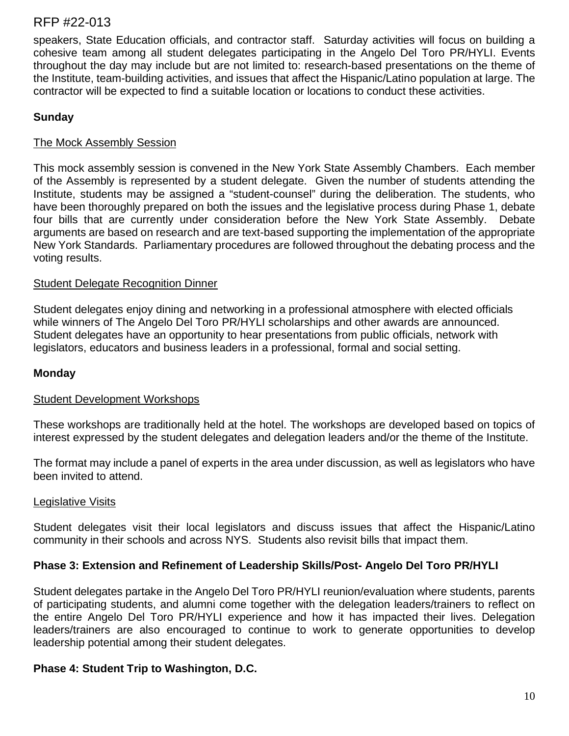speakers, State Education officials, and contractor staff. Saturday activities will focus on building a cohesive team among all student delegates participating in the Angelo Del Toro PR/HYLI. Events throughout the day may include but are not limited to: research-based presentations on the theme of the Institute, team-building activities, and issues that affect the Hispanic/Latino population at large. The contractor will be expected to find a suitable location or locations to conduct these activities.

## **Sunday**

### The Mock Assembly Session

This mock assembly session is convened in the New York State Assembly Chambers. Each member of the Assembly is represented by a student delegate. Given the number of students attending the Institute, students may be assigned a "student-counsel" during the deliberation. The students, who have been thoroughly prepared on both the issues and the legislative process during Phase 1, debate four bills that are currently under consideration before the New York State Assembly. Debate arguments are based on research and are text-based supporting the implementation of the appropriate New York Standards. Parliamentary procedures are followed throughout the debating process and the voting results.

### Student Delegate Recognition Dinner

Student delegates enjoy dining and networking in a professional atmosphere with elected officials while winners of The Angelo Del Toro PR/HYLI scholarships and other awards are announced. Student delegates have an opportunity to hear presentations from public officials, network with legislators, educators and business leaders in a professional, formal and social setting.

### **Monday**

### Student Development Workshops

These workshops are traditionally held at the hotel. The workshops are developed based on topics of interest expressed by the student delegates and delegation leaders and/or the theme of the Institute.

The format may include a panel of experts in the area under discussion, as well as legislators who have been invited to attend.

### Legislative Visits

Student delegates visit their local legislators and discuss issues that affect the Hispanic/Latino community in their schools and across NYS. Students also revisit bills that impact them.

### **Phase 3: Extension and Refinement of Leadership Skills/Post- Angelo Del Toro PR/HYLI**

Student delegates partake in the Angelo Del Toro PR/HYLI reunion/evaluation where students, parents of participating students, and alumni come together with the delegation leaders/trainers to reflect on the entire Angelo Del Toro PR/HYLI experience and how it has impacted their lives. Delegation leaders/trainers are also encouraged to continue to work to generate opportunities to develop leadership potential among their student delegates.

### **Phase 4: Student Trip to Washington, D.C.**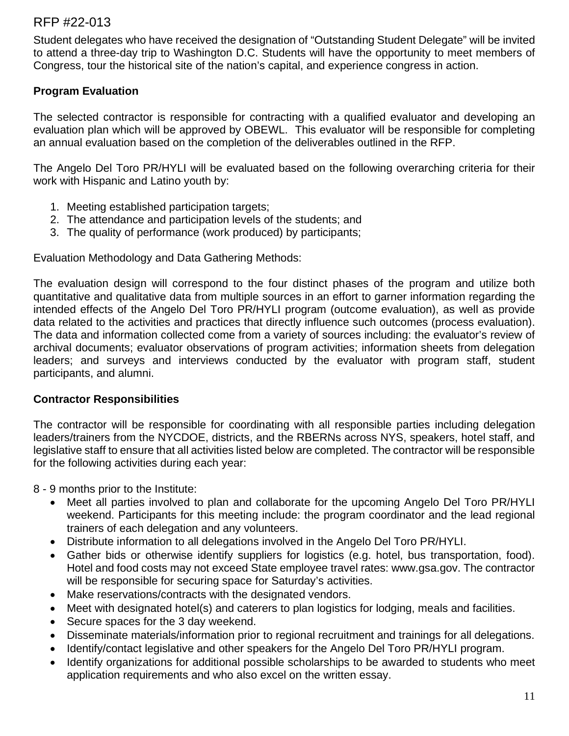Student delegates who have received the designation of "Outstanding Student Delegate" will be invited to attend a three-day trip to Washington D.C. Students will have the opportunity to meet members of Congress, tour the historical site of the nation's capital, and experience congress in action.

## **Program Evaluation**

The selected contractor is responsible for contracting with a qualified evaluator and developing an evaluation plan which will be approved by OBEWL. This evaluator will be responsible for completing an annual evaluation based on the completion of the deliverables outlined in the RFP.

The Angelo Del Toro PR/HYLI will be evaluated based on the following overarching criteria for their work with Hispanic and Latino youth by:

- 1. Meeting established participation targets;
- 2. The attendance and participation levels of the students; and
- 3. The quality of performance (work produced) by participants;

Evaluation Methodology and Data Gathering Methods:

The evaluation design will correspond to the four distinct phases of the program and utilize both quantitative and qualitative data from multiple sources in an effort to garner information regarding the intended effects of the Angelo Del Toro PR/HYLI program (outcome evaluation), as well as provide data related to the activities and practices that directly influence such outcomes (process evaluation). The data and information collected come from a variety of sources including: the evaluator's review of archival documents; evaluator observations of program activities; information sheets from delegation leaders; and surveys and interviews conducted by the evaluator with program staff, student participants, and alumni.

### **Contractor Responsibilities**

The contractor will be responsible for coordinating with all responsible parties including delegation leaders/trainers from the NYCDOE, districts, and the RBERNs across NYS, speakers, hotel staff, and legislative staff to ensure that all activities listed below are completed. The contractor will be responsible for the following activities during each year:

8 - 9 months prior to the Institute:

- Meet all parties involved to plan and collaborate for the upcoming Angelo Del Toro PR/HYLI weekend. Participants for this meeting include: the program coordinator and the lead regional trainers of each delegation and any volunteers.
- Distribute information to all delegations involved in the Angelo Del Toro PR/HYLI.
- Gather bids or otherwise identify suppliers for logistics (e.g. hotel, bus transportation, food). Hotel and food costs may not exceed State employee travel rates: www.gsa.gov. The contractor will be responsible for securing space for Saturday's activities.
- Make reservations/contracts with the designated vendors.
- Meet with designated hotel(s) and caterers to plan logistics for lodging, meals and facilities.
- Secure spaces for the 3 day weekend.
- Disseminate materials/information prior to regional recruitment and trainings for all delegations.
- Identify/contact legislative and other speakers for the Angelo Del Toro PR/HYLI program.
- Identify organizations for additional possible scholarships to be awarded to students who meet application requirements and who also excel on the written essay.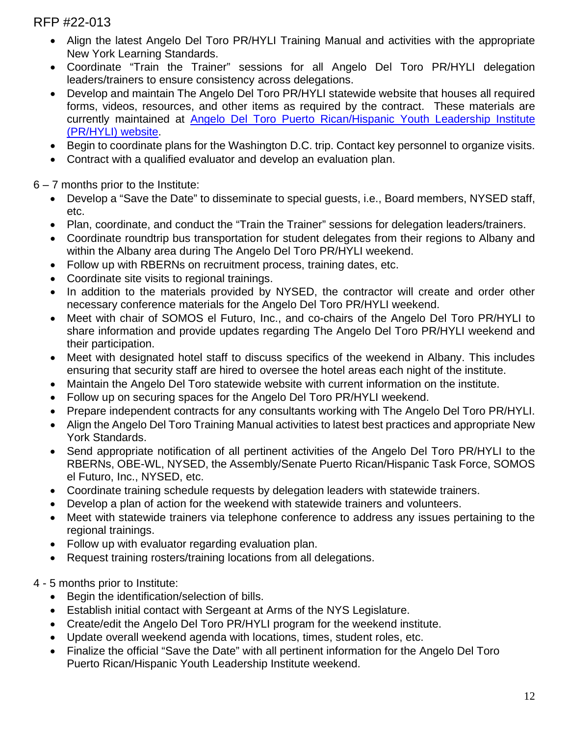- Align the latest Angelo Del Toro PR/HYLI Training Manual and activities with the appropriate New York Learning Standards.
- Coordinate "Train the Trainer" sessions for all Angelo Del Toro PR/HYLI delegation leaders/trainers to ensure consistency across delegations.
- Develop and maintain The Angelo Del Toro PR/HYLI statewide website that houses all required forms, videos, resources, and other items as required by the contract. These materials are currently maintained at [Angelo Del Toro Puerto Rican/Hispanic Youth Leadership Institute](http://prhyli.org/)  [\(PR/HYLI\) website.](http://prhyli.org/)
- Begin to coordinate plans for the Washington D.C. trip. Contact key personnel to organize visits.
- Contract with a qualified evaluator and develop an evaluation plan.

6 – 7 months prior to the Institute:

- Develop a "Save the Date" to disseminate to special quests, i.e., Board members, NYSED staff, etc.
- Plan, coordinate, and conduct the "Train the Trainer" sessions for delegation leaders/trainers.
- Coordinate roundtrip bus transportation for student delegates from their regions to Albany and within the Albany area during The Angelo Del Toro PR/HYLI weekend.
- Follow up with RBERNs on recruitment process, training dates, etc.
- Coordinate site visits to regional trainings.
- In addition to the materials provided by NYSED, the contractor will create and order other necessary conference materials for the Angelo Del Toro PR/HYLI weekend.
- Meet with chair of SOMOS el Futuro, Inc., and co-chairs of the Angelo Del Toro PR/HYLI to share information and provide updates regarding The Angelo Del Toro PR/HYLI weekend and their participation.
- Meet with designated hotel staff to discuss specifics of the weekend in Albany. This includes ensuring that security staff are hired to oversee the hotel areas each night of the institute.
- Maintain the Angelo Del Toro statewide website with current information on the institute.
- Follow up on securing spaces for the Angelo Del Toro PR/HYLI weekend.
- Prepare independent contracts for any consultants working with The Angelo Del Toro PR/HYLI.
- Align the Angelo Del Toro Training Manual activities to latest best practices and appropriate New York Standards.
- Send appropriate notification of all pertinent activities of the Angelo Del Toro PR/HYLI to the RBERNs, OBE-WL, NYSED, the Assembly/Senate Puerto Rican/Hispanic Task Force, SOMOS el Futuro, Inc., NYSED, etc.
- Coordinate training schedule requests by delegation leaders with statewide trainers.
- Develop a plan of action for the weekend with statewide trainers and volunteers.
- Meet with statewide trainers via telephone conference to address any issues pertaining to the regional trainings.
- Follow up with evaluator regarding evaluation plan.
- Request training rosters/training locations from all delegations.

4 - 5 months prior to Institute:

- Begin the identification/selection of bills.
- Establish initial contact with Sergeant at Arms of the NYS Legislature.
- Create/edit the Angelo Del Toro PR/HYLI program for the weekend institute.
- Update overall weekend agenda with locations, times, student roles, etc.
- Finalize the official "Save the Date" with all pertinent information for the Angelo Del Toro Puerto Rican/Hispanic Youth Leadership Institute weekend.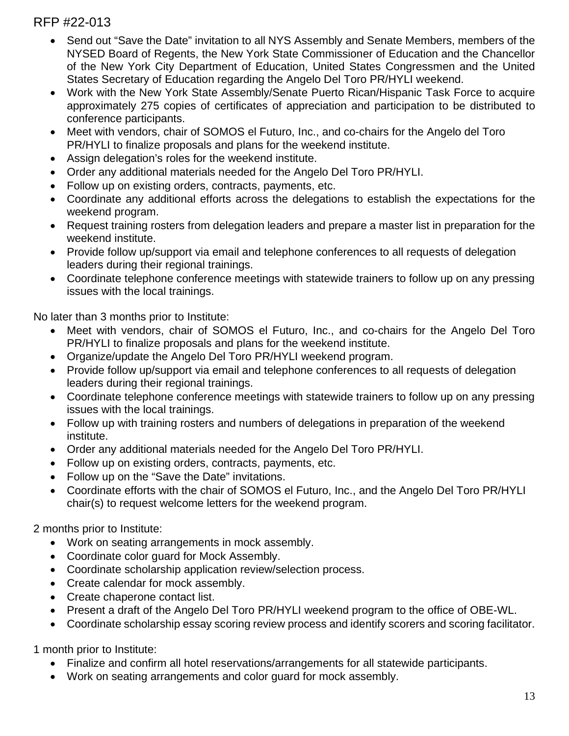- Send out "Save the Date" invitation to all NYS Assembly and Senate Members, members of the NYSED Board of Regents, the New York State Commissioner of Education and the Chancellor of the New York City Department of Education, United States Congressmen and the United States Secretary of Education regarding the Angelo Del Toro PR/HYLI weekend.
- Work with the New York State Assembly/Senate Puerto Rican/Hispanic Task Force to acquire approximately 275 copies of certificates of appreciation and participation to be distributed to conference participants.
- Meet with vendors, chair of SOMOS el Futuro, Inc., and co-chairs for the Angelo del Toro PR/HYLI to finalize proposals and plans for the weekend institute.
- Assign delegation's roles for the weekend institute.
- Order any additional materials needed for the Angelo Del Toro PR/HYLI.
- Follow up on existing orders, contracts, payments, etc.
- Coordinate any additional efforts across the delegations to establish the expectations for the weekend program.
- Request training rosters from delegation leaders and prepare a master list in preparation for the weekend institute.
- Provide follow up/support via email and telephone conferences to all requests of delegation leaders during their regional trainings.
- Coordinate telephone conference meetings with statewide trainers to follow up on any pressing issues with the local trainings.

No later than 3 months prior to Institute:

- Meet with vendors, chair of SOMOS el Futuro, Inc., and co-chairs for the Angelo Del Toro PR/HYLI to finalize proposals and plans for the weekend institute.
- Organize/update the Angelo Del Toro PR/HYLI weekend program.
- Provide follow up/support via email and telephone conferences to all requests of delegation leaders during their regional trainings.
- Coordinate telephone conference meetings with statewide trainers to follow up on any pressing issues with the local trainings.
- Follow up with training rosters and numbers of delegations in preparation of the weekend institute.
- Order any additional materials needed for the Angelo Del Toro PR/HYLI.
- Follow up on existing orders, contracts, payments, etc.
- Follow up on the "Save the Date" invitations.
- Coordinate efforts with the chair of SOMOS el Futuro, Inc., and the Angelo Del Toro PR/HYLI chair(s) to request welcome letters for the weekend program.

2 months prior to Institute:

- Work on seating arrangements in mock assembly.
- Coordinate color guard for Mock Assembly.
- Coordinate scholarship application review/selection process.
- Create calendar for mock assembly.
- Create chaperone contact list.
- Present a draft of the Angelo Del Toro PR/HYLI weekend program to the office of OBE-WL.
- Coordinate scholarship essay scoring review process and identify scorers and scoring facilitator.

1 month prior to Institute:

- Finalize and confirm all hotel reservations/arrangements for all statewide participants.
- Work on seating arrangements and color guard for mock assembly.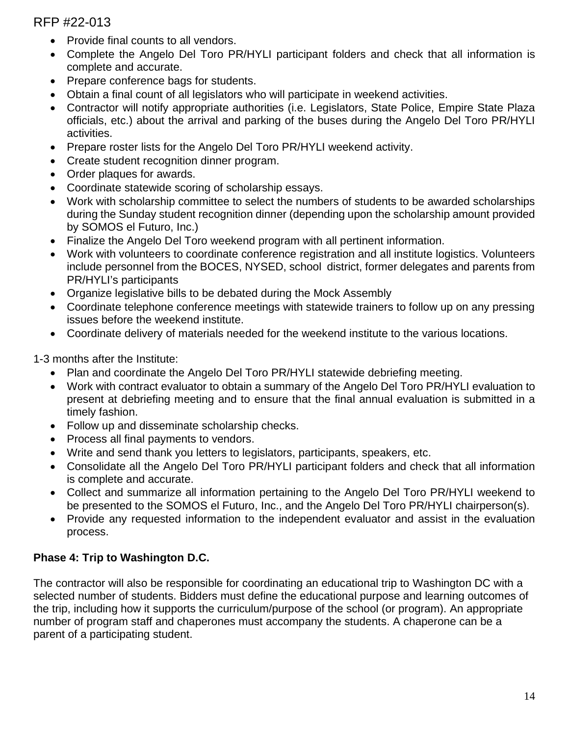- Provide final counts to all vendors.
- Complete the Angelo Del Toro PR/HYLI participant folders and check that all information is complete and accurate.
- Prepare conference bags for students.
- Obtain a final count of all legislators who will participate in weekend activities.
- Contractor will notify appropriate authorities (i.e. Legislators, State Police, Empire State Plaza officials, etc.) about the arrival and parking of the buses during the Angelo Del Toro PR/HYLI activities.
- Prepare roster lists for the Angelo Del Toro PR/HYLI weekend activity.
- Create student recognition dinner program.
- Order plaques for awards.
- Coordinate statewide scoring of scholarship essays.
- Work with scholarship committee to select the numbers of students to be awarded scholarships during the Sunday student recognition dinner (depending upon the scholarship amount provided by SOMOS el Futuro, Inc.)
- Finalize the Angelo Del Toro weekend program with all pertinent information.
- Work with volunteers to coordinate conference registration and all institute logistics. Volunteers include personnel from the BOCES, NYSED, school district, former delegates and parents from PR/HYLI's participants
- Organize legislative bills to be debated during the Mock Assembly
- Coordinate telephone conference meetings with statewide trainers to follow up on any pressing issues before the weekend institute.
- Coordinate delivery of materials needed for the weekend institute to the various locations.

1-3 months after the Institute:

- Plan and coordinate the Angelo Del Toro PR/HYLI statewide debriefing meeting.
- Work with contract evaluator to obtain a summary of the Angelo Del Toro PR/HYLI evaluation to present at debriefing meeting and to ensure that the final annual evaluation is submitted in a timely fashion.
- Follow up and disseminate scholarship checks.
- Process all final payments to vendors.
- Write and send thank you letters to legislators, participants, speakers, etc.
- Consolidate all the Angelo Del Toro PR/HYLI participant folders and check that all information is complete and accurate.
- Collect and summarize all information pertaining to the Angelo Del Toro PR/HYLI weekend to be presented to the SOMOS el Futuro, Inc., and the Angelo Del Toro PR/HYLI chairperson(s).
- Provide any requested information to the independent evaluator and assist in the evaluation process.

### **Phase 4: Trip to Washington D.C.**

The contractor will also be responsible for coordinating an educational trip to Washington DC with a selected number of students. Bidders must define the educational purpose and learning outcomes of the trip, including how it supports the curriculum/purpose of the school (or program). An appropriate number of program staff and chaperones must accompany the students. A chaperone can be a parent of a participating student.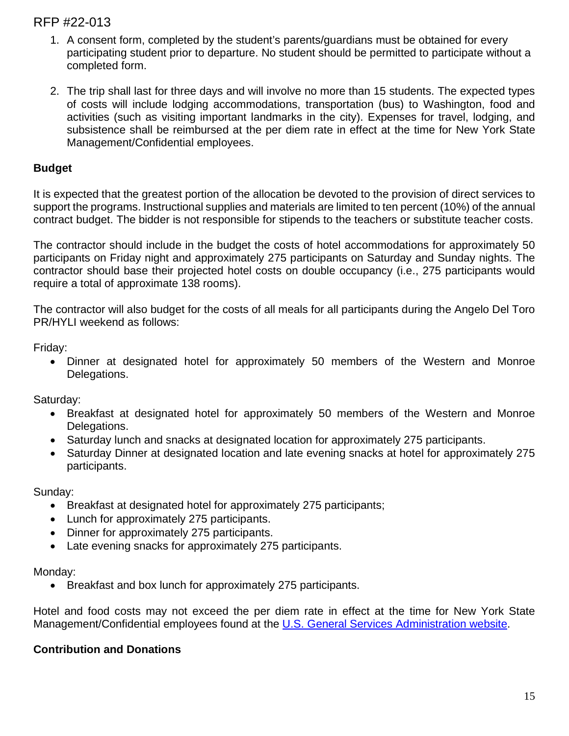- 1. A consent form, completed by the student's parents/guardians must be obtained for every participating student prior to departure. No student should be permitted to participate without a completed form.
- 2. The trip shall last for three days and will involve no more than 15 students. The expected types of costs will include lodging accommodations, transportation (bus) to Washington, food and activities (such as visiting important landmarks in the city). Expenses for travel, lodging, and subsistence shall be reimbursed at the per diem rate in effect at the time for New York State Management/Confidential employees.

#### **Budget**

It is expected that the greatest portion of the allocation be devoted to the provision of direct services to support the programs. Instructional supplies and materials are limited to ten percent (10%) of the annual contract budget. The bidder is not responsible for stipends to the teachers or substitute teacher costs.

The contractor should include in the budget the costs of hotel accommodations for approximately 50 participants on Friday night and approximately 275 participants on Saturday and Sunday nights. The contractor should base their projected hotel costs on double occupancy (i.e., 275 participants would require a total of approximate 138 rooms).

The contractor will also budget for the costs of all meals for all participants during the Angelo Del Toro PR/HYLI weekend as follows:

Friday:

• Dinner at designated hotel for approximately 50 members of the Western and Monroe Delegations.

Saturday:

- Breakfast at designated hotel for approximately 50 members of the Western and Monroe Delegations.
- Saturday lunch and snacks at designated location for approximately 275 participants.
- Saturday Dinner at designated location and late evening snacks at hotel for approximately 275 participants.

Sunday:

- Breakfast at designated hotel for approximately 275 participants;
- Lunch for approximately 275 participants.
- Dinner for approximately 275 participants.
- Late evening snacks for approximately 275 participants.

Monday:

• Breakfast and box lunch for approximately 275 participants.

Hotel and food costs may not exceed the per diem rate in effect at the time for New York State Management/Confidential employees found at the [U.S. General Services Administration website.](http://www.gsa.gov/)

#### **Contribution and Donations**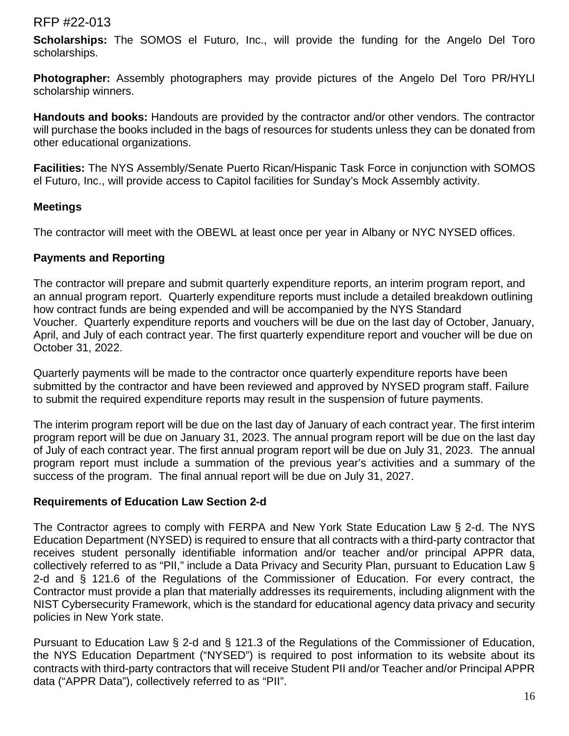**Scholarships:** The SOMOS el Futuro, Inc., will provide the funding for the Angelo Del Toro scholarships.

**Photographer:** Assembly photographers may provide pictures of the Angelo Del Toro PR/HYLI scholarship winners.

**Handouts and books:** Handouts are provided by the contractor and/or other vendors. The contractor will purchase the books included in the bags of resources for students unless they can be donated from other educational organizations.

**Facilities:** The NYS Assembly/Senate Puerto Rican/Hispanic Task Force in conjunction with SOMOS el Futuro, Inc., will provide access to Capitol facilities for Sunday's Mock Assembly activity.

### **Meetings**

The contractor will meet with the OBEWL at least once per year in Albany or NYC NYSED offices.

### **Payments and Reporting**

The contractor will prepare and submit quarterly expenditure reports, an interim program report, and an annual program report. Quarterly expenditure reports must include a detailed breakdown outlining how contract funds are being expended and will be accompanied by the NYS Standard Voucher. Quarterly expenditure reports and vouchers will be due on the last day of October, January, April, and July of each contract year. The first quarterly expenditure report and voucher will be due on October 31, 2022.

Quarterly payments will be made to the contractor once quarterly expenditure reports have been submitted by the contractor and have been reviewed and approved by NYSED program staff. Failure to submit the required expenditure reports may result in the suspension of future payments.

The interim program report will be due on the last day of January of each contract year. The first interim program report will be due on January 31, 2023. The annual program report will be due on the last day of July of each contract year. The first annual program report will be due on July 31, 2023. The annual program report must include a summation of the previous year's activities and a summary of the success of the program. The final annual report will be due on July 31, 2027.

### **Requirements of Education Law Section 2-d**

The Contractor agrees to comply with FERPA and New York State Education Law § 2-d. The NYS Education Department (NYSED) is required to ensure that all contracts with a third-party contractor that receives student personally identifiable information and/or teacher and/or principal APPR data, collectively referred to as "PII," include a Data Privacy and Security Plan, pursuant to Education Law § 2-d and § 121.6 of the Regulations of the Commissioner of Education. For every contract, the Contractor must provide a plan that materially addresses its requirements, including alignment with the NIST Cybersecurity Framework, which is the standard for educational agency data privacy and security policies in New York state.

Pursuant to Education Law § 2-d and § 121.3 of the Regulations of the Commissioner of Education, the NYS Education Department ("NYSED") is required to post information to its website about its contracts with third-party contractors that will receive Student PII and/or Teacher and/or Principal APPR data ("APPR Data"), collectively referred to as "PII".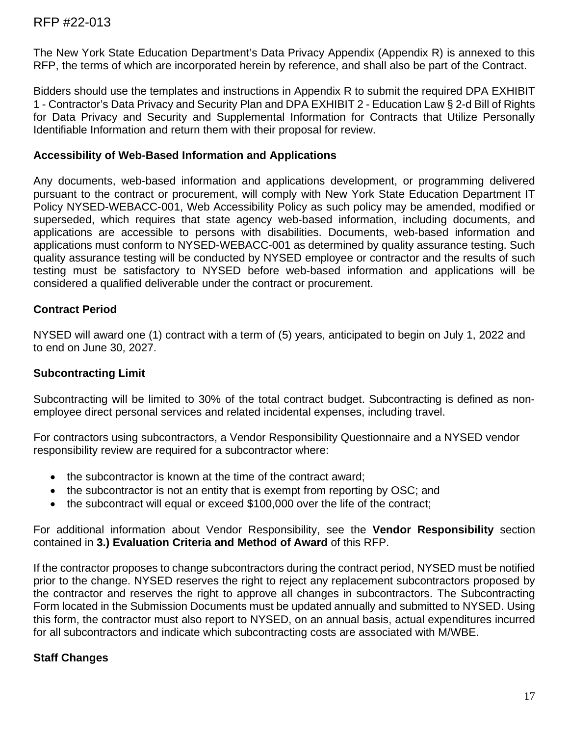The New York State Education Department's Data Privacy Appendix (Appendix R) is annexed to this RFP, the terms of which are incorporated herein by reference, and shall also be part of the Contract.

Bidders should use the templates and instructions in Appendix R to submit the required DPA EXHIBIT 1 - Contractor's Data Privacy and Security Plan and DPA EXHIBIT 2 - Education Law § 2-d Bill of Rights for Data Privacy and Security and Supplemental Information for Contracts that Utilize Personally Identifiable Information and return them with their proposal for review.

#### **Accessibility of Web-Based Information and Applications**

Any documents, web-based information and applications development, or programming delivered pursuant to the contract or procurement, will comply with New York State Education Department IT Policy NYSED-WEBACC-001, Web Accessibility Policy as such policy may be amended, modified or superseded, which requires that state agency web-based information, including documents, and applications are accessible to persons with disabilities. Documents, web-based information and applications must conform to NYSED-WEBACC-001 as determined by quality assurance testing. Such quality assurance testing will be conducted by NYSED employee or contractor and the results of such testing must be satisfactory to NYSED before web-based information and applications will be considered a qualified deliverable under the contract or procurement.

## **Contract Period**

NYSED will award one (1) contract with a term of (5) years, anticipated to begin on July 1, 2022 and to end on June 30, 2027.

### **Subcontracting Limit**

Subcontracting will be limited to 30% of the total contract budget. Subcontracting is defined as nonemployee direct personal services and related incidental expenses, including travel.

For contractors using subcontractors, a Vendor Responsibility Questionnaire and a NYSED vendor responsibility review are required for a subcontractor where:

- the subcontractor is known at the time of the contract award;
- the subcontractor is not an entity that is exempt from reporting by OSC; and
- the subcontract will equal or exceed \$100,000 over the life of the contract;

For additional information about Vendor Responsibility, see the **Vendor Responsibility** section contained in **3.) Evaluation Criteria and Method of Award** of this RFP.

If the contractor proposes to change subcontractors during the contract period, NYSED must be notified prior to the change. NYSED reserves the right to reject any replacement subcontractors proposed by the contractor and reserves the right to approve all changes in subcontractors. The Subcontracting Form located in the Submission Documents must be updated annually and submitted to NYSED. Using this form, the contractor must also report to NYSED, on an annual basis, actual expenditures incurred for all subcontractors and indicate which subcontracting costs are associated with M/WBE.

### **Staff Changes**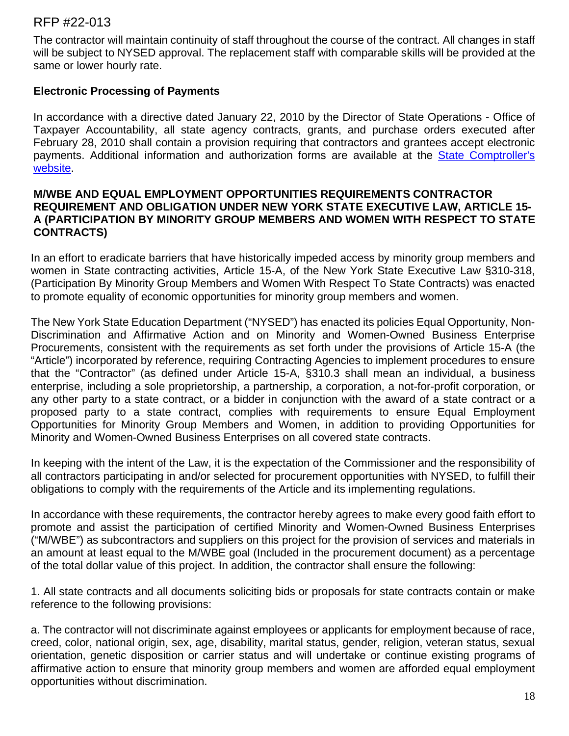The contractor will maintain continuity of staff throughout the course of the contract. All changes in staff will be subject to NYSED approval. The replacement staff with comparable skills will be provided at the same or lower hourly rate.

#### **Electronic Processing of Payments**

In accordance with a directive dated January 22, 2010 by the Director of State Operations - Office of Taxpayer Accountability, all state agency contracts, grants, and purchase orders executed after February 28, 2010 shall contain a provision requiring that contractors and grantees accept electronic payments. Additional information and authorization forms are available at the State Comptroller's [website.](http://www.osc.state.ny.us/epay/index.htm)

#### **M/WBE AND EQUAL EMPLOYMENT OPPORTUNITIES REQUIREMENTS CONTRACTOR REQUIREMENT AND OBLIGATION UNDER NEW YORK STATE EXECUTIVE LAW, ARTICLE 15- A (PARTICIPATION BY MINORITY GROUP MEMBERS AND WOMEN WITH RESPECT TO STATE CONTRACTS)**

In an effort to eradicate barriers that have historically impeded access by minority group members and women in State contracting activities, Article 15-A, of the New York State Executive Law §310-318, (Participation By Minority Group Members and Women With Respect To State Contracts) was enacted to promote equality of economic opportunities for minority group members and women.

The New York State Education Department ("NYSED") has enacted its policies Equal Opportunity, Non-Discrimination and Affirmative Action and on Minority and Women-Owned Business Enterprise Procurements, consistent with the requirements as set forth under the provisions of Article 15-A (the "Article") incorporated by reference, requiring Contracting Agencies to implement procedures to ensure that the "Contractor" (as defined under Article 15-A, §310.3 shall mean an individual, a business enterprise, including a sole proprietorship, a partnership, a corporation, a not-for-profit corporation, or any other party to a state contract, or a bidder in conjunction with the award of a state contract or a proposed party to a state contract, complies with requirements to ensure Equal Employment Opportunities for Minority Group Members and Women, in addition to providing Opportunities for Minority and Women-Owned Business Enterprises on all covered state contracts.

In keeping with the intent of the Law, it is the expectation of the Commissioner and the responsibility of all contractors participating in and/or selected for procurement opportunities with NYSED, to fulfill their obligations to comply with the requirements of the Article and its implementing regulations.

In accordance with these requirements, the contractor hereby agrees to make every good faith effort to promote and assist the participation of certified Minority and Women-Owned Business Enterprises ("M/WBE") as subcontractors and suppliers on this project for the provision of services and materials in an amount at least equal to the M/WBE goal (Included in the procurement document) as a percentage of the total dollar value of this project. In addition, the contractor shall ensure the following:

1. All state contracts and all documents soliciting bids or proposals for state contracts contain or make reference to the following provisions:

a. The contractor will not discriminate against employees or applicants for employment because of race, creed, color, national origin, sex, age, disability, marital status, gender, religion, veteran status, sexual orientation, genetic disposition or carrier status and will undertake or continue existing programs of affirmative action to ensure that minority group members and women are afforded equal employment opportunities without discrimination.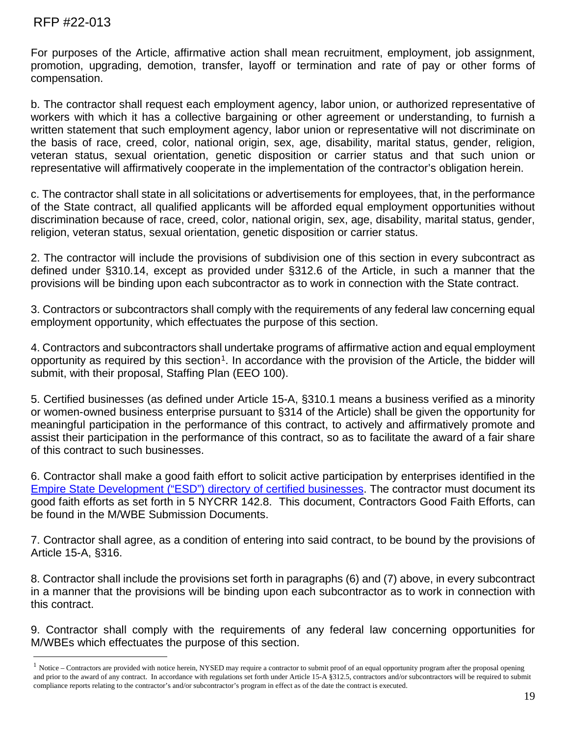For purposes of the Article, affirmative action shall mean recruitment, employment, job assignment, promotion, upgrading, demotion, transfer, layoff or termination and rate of pay or other forms of compensation.

b. The contractor shall request each employment agency, labor union, or authorized representative of workers with which it has a collective bargaining or other agreement or understanding, to furnish a written statement that such employment agency, labor union or representative will not discriminate on the basis of race, creed, color, national origin, sex, age, disability, marital status, gender, religion, veteran status, sexual orientation, genetic disposition or carrier status and that such union or representative will affirmatively cooperate in the implementation of the contractor's obligation herein.

c. The contractor shall state in all solicitations or advertisements for employees, that, in the performance of the State contract, all qualified applicants will be afforded equal employment opportunities without discrimination because of race, creed, color, national origin, sex, age, disability, marital status, gender, religion, veteran status, sexual orientation, genetic disposition or carrier status.

2. The contractor will include the provisions of subdivision one of this section in every subcontract as defined under §310.14, except as provided under §312.6 of the Article, in such a manner that the provisions will be binding upon each subcontractor as to work in connection with the State contract.

3. Contractors or subcontractors shall comply with the requirements of any federal law concerning equal employment opportunity, which effectuates the purpose of this section.

4. Contractors and subcontractors shall undertake programs of affirmative action and equal employment opportunity as required by this section<sup>1</sup>. In accordance with the provision of the Article, the bidder will submit, with their proposal, Staffing Plan (EEO 100).

5. Certified businesses (as defined under Article 15-A, §310.1 means a business verified as a minority or women-owned business enterprise pursuant to §314 of the Article) shall be given the opportunity for meaningful participation in the performance of this contract, to actively and affirmatively promote and assist their participation in the performance of this contract, so as to facilitate the award of a fair share of this contract to such businesses.

6. Contractor shall make a good faith effort to solicit active participation by enterprises identified in the [Empire State Development \("ESD"\) directory of certified businesses.](https://ny.newnycontracts.com/FrontEnd/VendorSearchPublic.asp?TN=ny&XID=4687) The contractor must document its good faith efforts as set forth in 5 NYCRR 142.8. This document, Contractors Good Faith Efforts, can be found in the M/WBE Submission Documents.

7. Contractor shall agree, as a condition of entering into said contract, to be bound by the provisions of Article 15-A, §316.

8. Contractor shall include the provisions set forth in paragraphs (6) and (7) above, in every subcontract in a manner that the provisions will be binding upon each subcontractor as to work in connection with this contract.

9. Contractor shall comply with the requirements of any federal law concerning opportunities for M/WBEs which effectuates the purpose of this section.

<span id="page-18-0"></span> $<sup>1</sup>$  Notice – Contractors are provided with notice herein, NYSED may require a contractor to submit proof of an equal opportunity program after the proposal opening</sup> and prior to the award of any contract. In accordance with regulations set forth under Article 15-A §312.5, contractors and/or subcontractors will be required to submit compliance reports relating to the contractor's and/or subcontractor's program in effect as of the date the contract is executed.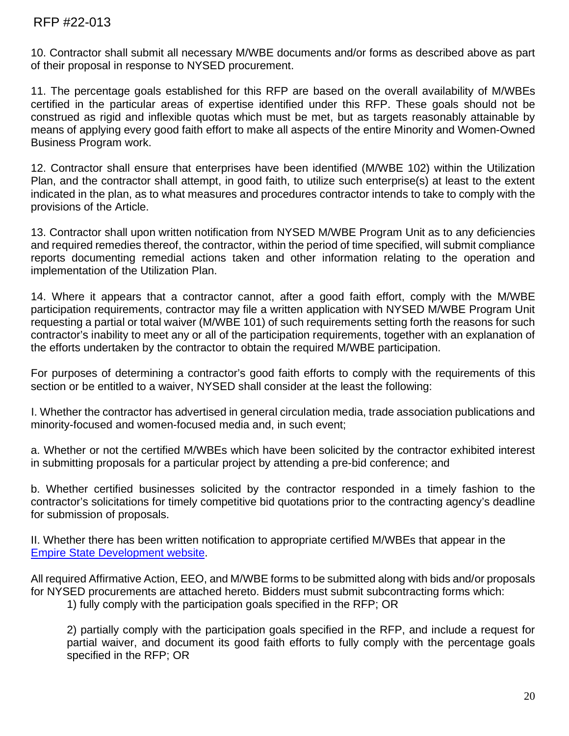10. Contractor shall submit all necessary M/WBE documents and/or forms as described above as part of their proposal in response to NYSED procurement.

11. The percentage goals established for this RFP are based on the overall availability of M/WBEs certified in the particular areas of expertise identified under this RFP. These goals should not be construed as rigid and inflexible quotas which must be met, but as targets reasonably attainable by means of applying every good faith effort to make all aspects of the entire Minority and Women-Owned Business Program work.

12. Contractor shall ensure that enterprises have been identified (M/WBE 102) within the Utilization Plan, and the contractor shall attempt, in good faith, to utilize such enterprise(s) at least to the extent indicated in the plan, as to what measures and procedures contractor intends to take to comply with the provisions of the Article.

13. Contractor shall upon written notification from NYSED M/WBE Program Unit as to any deficiencies and required remedies thereof, the contractor, within the period of time specified, will submit compliance reports documenting remedial actions taken and other information relating to the operation and implementation of the Utilization Plan.

14. Where it appears that a contractor cannot, after a good faith effort, comply with the M/WBE participation requirements, contractor may file a written application with NYSED M/WBE Program Unit requesting a partial or total waiver (M/WBE 101) of such requirements setting forth the reasons for such contractor's inability to meet any or all of the participation requirements, together with an explanation of the efforts undertaken by the contractor to obtain the required M/WBE participation.

For purposes of determining a contractor's good faith efforts to comply with the requirements of this section or be entitled to a waiver, NYSED shall consider at the least the following:

I. Whether the contractor has advertised in general circulation media, trade association publications and minority-focused and women-focused media and, in such event;

a. Whether or not the certified M/WBEs which have been solicited by the contractor exhibited interest in submitting proposals for a particular project by attending a pre-bid conference; and

b. Whether certified businesses solicited by the contractor responded in a timely fashion to the contractor's solicitations for timely competitive bid quotations prior to the contracting agency's deadline for submission of proposals.

II. Whether there has been written notification to appropriate certified M/WBEs that appear in the [Empire State Development website.](https://ny.newnycontracts.com/FrontEnd/VendorSearchPublic.asp?TN=ny&XID=4687)

All required Affirmative Action, EEO, and M/WBE forms to be submitted along with bids and/or proposals for NYSED procurements are attached hereto. Bidders must submit subcontracting forms which:

1) fully comply with the participation goals specified in the RFP; OR

2) partially comply with the participation goals specified in the RFP, and include a request for partial waiver, and document its good faith efforts to fully comply with the percentage goals specified in the RFP; OR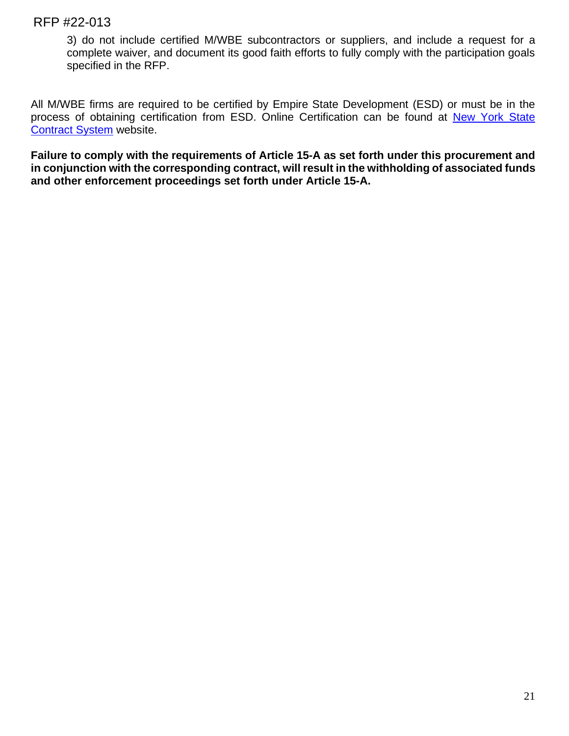3) do not include certified M/WBE subcontractors or suppliers, and include a request for a complete waiver, and document its good faith efforts to fully comply with the participation goals specified in the RFP.

All M/WBE firms are required to be certified by Empire State Development (ESD) or must be in the process of obtaining certification from ESD. Online Certification can be found at New York State [Contract System](https://ny.newnycontracts.com/FrontEnd/StartCertification.asp?TN=ny&XID=2029) website.

**Failure to comply with the requirements of Article 15-A as set forth under this procurement and in conjunction with the corresponding contract, will result in the withholding of associated funds and other enforcement proceedings set forth under Article 15-A.**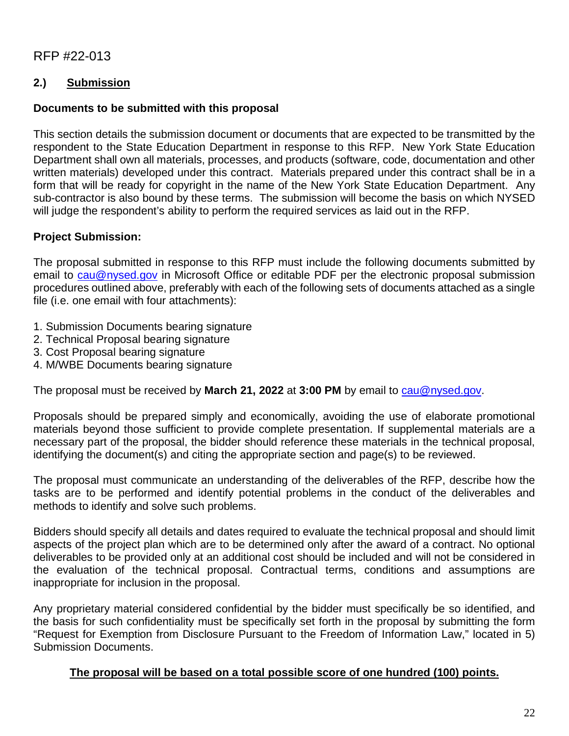# **2.) Submission**

### **Documents to be submitted with this proposal**

This section details the submission document or documents that are expected to be transmitted by the respondent to the State Education Department in response to this RFP. New York State Education Department shall own all materials, processes, and products (software, code, documentation and other written materials) developed under this contract. Materials prepared under this contract shall be in a form that will be ready for copyright in the name of the New York State Education Department. Any sub-contractor is also bound by these terms. The submission will become the basis on which NYSED will judge the respondent's ability to perform the required services as laid out in the RFP.

## **Project Submission:**

The proposal submitted in response to this RFP must include the following documents submitted by email to [cau@nysed.gov](mailto:cau@nysed.gov) in Microsoft Office or editable PDF per the electronic proposal submission procedures outlined above, preferably with each of the following sets of documents attached as a single file (i.e. one email with four attachments):

- 1. Submission Documents bearing signature
- 2. Technical Proposal bearing signature
- 3. Cost Proposal bearing signature
- 4. M/WBE Documents bearing signature

The proposal must be received by **March 21, 2022** at **3:00 PM** by email to [cau@nysed.gov.](mailto:cau@nysed.gov)

Proposals should be prepared simply and economically, avoiding the use of elaborate promotional materials beyond those sufficient to provide complete presentation. If supplemental materials are a necessary part of the proposal, the bidder should reference these materials in the technical proposal, identifying the document(s) and citing the appropriate section and page(s) to be reviewed.

The proposal must communicate an understanding of the deliverables of the RFP, describe how the tasks are to be performed and identify potential problems in the conduct of the deliverables and methods to identify and solve such problems.

Bidders should specify all details and dates required to evaluate the technical proposal and should limit aspects of the project plan which are to be determined only after the award of a contract. No optional deliverables to be provided only at an additional cost should be included and will not be considered in the evaluation of the technical proposal. Contractual terms, conditions and assumptions are inappropriate for inclusion in the proposal.

Any proprietary material considered confidential by the bidder must specifically be so identified, and the basis for such confidentiality must be specifically set forth in the proposal by submitting the form "Request for Exemption from Disclosure Pursuant to the Freedom of Information Law," located in 5) Submission Documents.

### **The proposal will be based on a total possible score of one hundred (100) points.**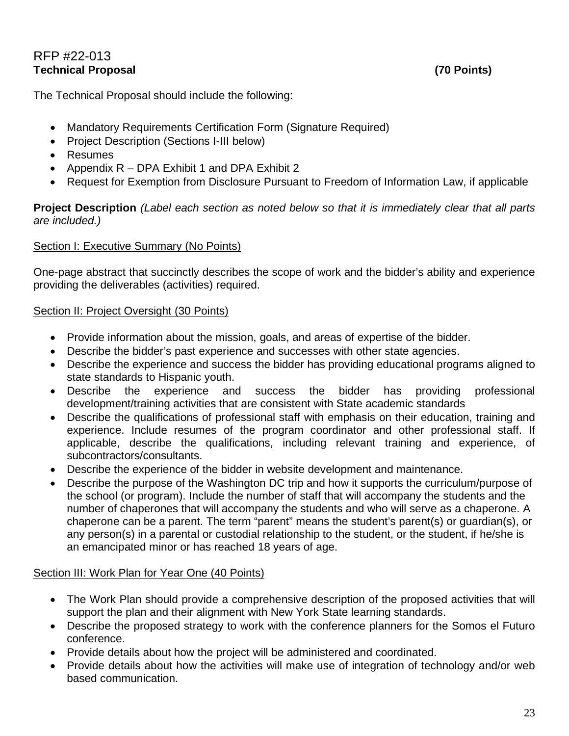# RFP #22-013 **Technical Proposal (70 Points)**

The Technical Proposal should include the following:

- Mandatory Requirements Certification Form (Signature Required)
- Project Description (Sections I-III below)
- Resumes
- Appendix R DPA Exhibit 1 and DPA Exhibit 2
- Request for Exemption from Disclosure Pursuant to Freedom of Information Law, if applicable

**Project Description** *(Label each section as noted below so that it is immediately clear that all parts are included.)*

#### Section I: Executive Summary (No Points)

One-page abstract that succinctly describes the scope of work and the bidder's ability and experience providing the deliverables (activities) required.

#### Section II: Project Oversight (30 Points)

- Provide information about the mission, goals, and areas of expertise of the bidder.
- Describe the bidder's past experience and successes with other state agencies.
- Describe the experience and success the bidder has providing educational programs aligned to state standards to Hispanic youth.
- Describe the experience and success the bidder has providing professional development/training activities that are consistent with State academic standards
- Describe the qualifications of professional staff with emphasis on their education, training and experience. Include resumes of the program coordinator and other professional staff. If applicable, describe the qualifications, including relevant training and experience, of subcontractors/consultants.
- Describe the experience of the bidder in website development and maintenance.
- Describe the purpose of the Washington DC trip and how it supports the curriculum/purpose of the school (or program). Include the number of staff that will accompany the students and the number of chaperones that will accompany the students and who will serve as a chaperone. A chaperone can be a parent. The term "parent" means the student's parent(s) or guardian(s), or any person(s) in a parental or custodial relationship to the student, or the student, if he/she is an emancipated minor or has reached 18 years of age.

### Section III: Work Plan for Year One (40 Points)

- The Work Plan should provide a comprehensive description of the proposed activities that will support the plan and their alignment with New York State learning standards.
- Describe the proposed strategy to work with the conference planners for the Somos el Futuro conference.
- Provide details about how the project will be administered and coordinated.
- Provide details about how the activities will make use of integration of technology and/or web based communication.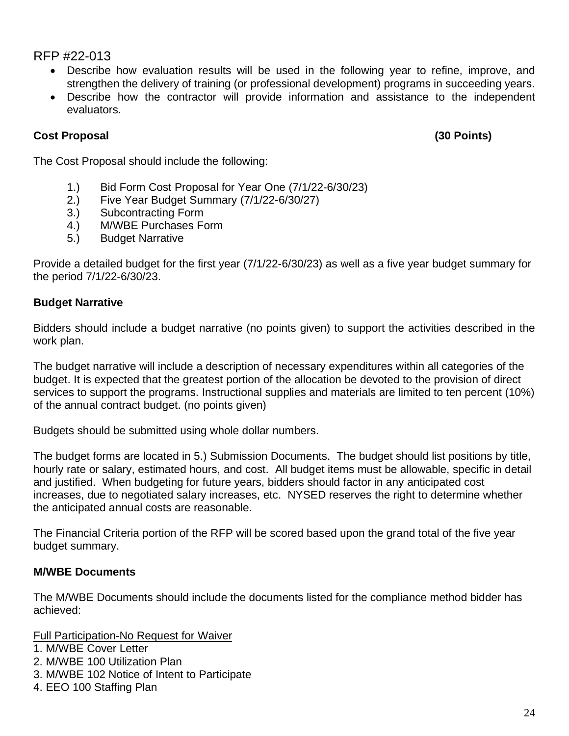- Describe how evaluation results will be used in the following year to refine, improve, and strengthen the delivery of training (or professional development) programs in succeeding years.
- Describe how the contractor will provide information and assistance to the independent evaluators.

# **Cost Proposal (30 Points)**

The Cost Proposal should include the following:

- 1.) Bid Form Cost Proposal for Year One (7/1/22-6/30/23)
- 2.) Five Year Budget Summary (7/1/22-6/30/27)
- 3.) Subcontracting Form
- 4.) M/WBE Purchases Form
- 5.) Budget Narrative

Provide a detailed budget for the first year (7/1/22-6/30/23) as well as a five year budget summary for the period 7/1/22-6/30/23.

# **Budget Narrative**

Bidders should include a budget narrative (no points given) to support the activities described in the work plan.

The budget narrative will include a description of necessary expenditures within all categories of the budget. It is expected that the greatest portion of the allocation be devoted to the provision of direct services to support the programs. Instructional supplies and materials are limited to ten percent (10%) of the annual contract budget. (no points given)

Budgets should be submitted using whole dollar numbers.

The budget forms are located in 5.) Submission Documents. The budget should list positions by title, hourly rate or salary, estimated hours, and cost. All budget items must be allowable, specific in detail and justified. When budgeting for future years, bidders should factor in any anticipated cost increases, due to negotiated salary increases, etc. NYSED reserves the right to determine whether the anticipated annual costs are reasonable.

The Financial Criteria portion of the RFP will be scored based upon the grand total of the five year budget summary.

# **M/WBE Documents**

The M/WBE Documents should include the documents listed for the compliance method bidder has achieved:

Full Participation-No Request for Waiver

- 1. M/WBE Cover Letter
- 2. M/WBE 100 Utilization Plan
- 3. M/WBE 102 Notice of Intent to Participate
- 4. EEO 100 Staffing Plan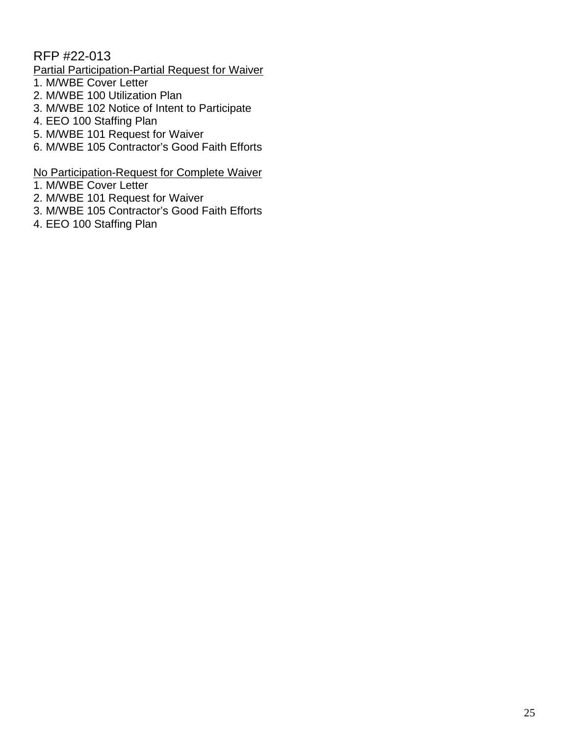# Partial Participation-Partial Request for Waiver

- 1. M/WBE Cover Letter
- 2. M/WBE 100 Utilization Plan
- 3. M/WBE 102 Notice of Intent to Participate
- 4. EEO 100 Staffing Plan
- 5. M/WBE 101 Request for Waiver
- 6. M/WBE 105 Contractor's Good Faith Efforts

#### No Participation-Request for Complete Waiver

- 1. M/WBE Cover Letter
- 2. M/WBE 101 Request for Waiver
- 3. M/WBE 105 Contractor's Good Faith Efforts
- 4. EEO 100 Staffing Plan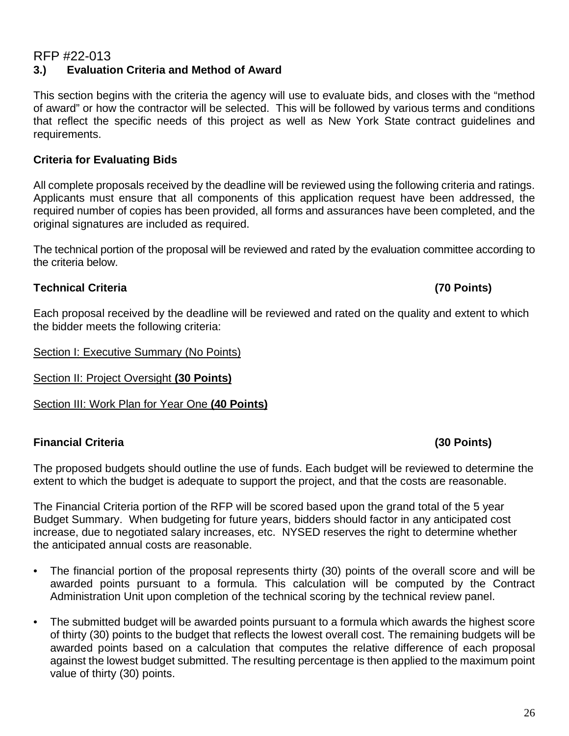#### RFP #22-013 **3.) Evaluation Criteria and Method of Award**

This section begins with the criteria the agency will use to evaluate bids, and closes with the "method of award" or how the contractor will be selected. This will be followed by various terms and conditions that reflect the specific needs of this project as well as New York State contract guidelines and requirements.

### **Criteria for Evaluating Bids**

All complete proposals received by the deadline will be reviewed using the following criteria and ratings. Applicants must ensure that all components of this application request have been addressed, the required number of copies has been provided, all forms and assurances have been completed, and the original signatures are included as required.

The technical portion of the proposal will be reviewed and rated by the evaluation committee according to the criteria below.

## **Technical Criteria (70 Points)**

Each proposal received by the deadline will be reviewed and rated on the quality and extent to which the bidder meets the following criteria:

Section I: Executive Summary (No Points)

Section II: Project Oversight **(30 Points)**

Section III: Work Plan for Year One **(40 Points)**

# **Financial Criteria (30 Points)**

The proposed budgets should outline the use of funds. Each budget will be reviewed to determine the extent to which the budget is adequate to support the project, and that the costs are reasonable.

The Financial Criteria portion of the RFP will be scored based upon the grand total of the 5 year Budget Summary. When budgeting for future years, bidders should factor in any anticipated cost increase, due to negotiated salary increases, etc. NYSED reserves the right to determine whether the anticipated annual costs are reasonable.

- The financial portion of the proposal represents thirty (30) points of the overall score and will be awarded points pursuant to a formula. This calculation will be computed by the Contract Administration Unit upon completion of the technical scoring by the technical review panel.
- The submitted budget will be awarded points pursuant to a formula which awards the highest score of thirty (30) points to the budget that reflects the lowest overall cost. The remaining budgets will be awarded points based on a calculation that computes the relative difference of each proposal against the lowest budget submitted. The resulting percentage is then applied to the maximum point value of thirty (30) points.

#### 26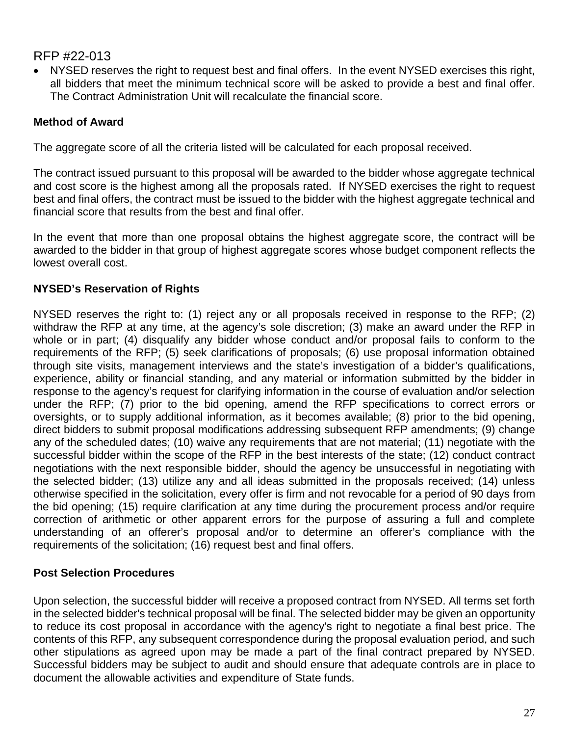NYSED reserves the right to request best and final offers. In the event NYSED exercises this right, all bidders that meet the minimum technical score will be asked to provide a best and final offer. The Contract Administration Unit will recalculate the financial score.

# **Method of Award**

The aggregate score of all the criteria listed will be calculated for each proposal received.

The contract issued pursuant to this proposal will be awarded to the bidder whose aggregate technical and cost score is the highest among all the proposals rated. If NYSED exercises the right to request best and final offers, the contract must be issued to the bidder with the highest aggregate technical and financial score that results from the best and final offer.

In the event that more than one proposal obtains the highest aggregate score, the contract will be awarded to the bidder in that group of highest aggregate scores whose budget component reflects the lowest overall cost.

# **NYSED's Reservation of Rights**

NYSED reserves the right to: (1) reject any or all proposals received in response to the RFP; (2) withdraw the RFP at any time, at the agency's sole discretion; (3) make an award under the RFP in whole or in part; (4) disqualify any bidder whose conduct and/or proposal fails to conform to the requirements of the RFP; (5) seek clarifications of proposals; (6) use proposal information obtained through site visits, management interviews and the state's investigation of a bidder's qualifications, experience, ability or financial standing, and any material or information submitted by the bidder in response to the agency's request for clarifying information in the course of evaluation and/or selection under the RFP; (7) prior to the bid opening, amend the RFP specifications to correct errors or oversights, or to supply additional information, as it becomes available; (8) prior to the bid opening, direct bidders to submit proposal modifications addressing subsequent RFP amendments; (9) change any of the scheduled dates; (10) waive any requirements that are not material; (11) negotiate with the successful bidder within the scope of the RFP in the best interests of the state; (12) conduct contract negotiations with the next responsible bidder, should the agency be unsuccessful in negotiating with the selected bidder; (13) utilize any and all ideas submitted in the proposals received; (14) unless otherwise specified in the solicitation, every offer is firm and not revocable for a period of 90 days from the bid opening; (15) require clarification at any time during the procurement process and/or require correction of arithmetic or other apparent errors for the purpose of assuring a full and complete understanding of an offerer's proposal and/or to determine an offerer's compliance with the requirements of the solicitation; (16) request best and final offers.

### **Post Selection Procedures**

Upon selection, the successful bidder will receive a proposed contract from NYSED. All terms set forth in the selected bidder's technical proposal will be final. The selected bidder may be given an opportunity to reduce its cost proposal in accordance with the agency's right to negotiate a final best price. The contents of this RFP, any subsequent correspondence during the proposal evaluation period, and such other stipulations as agreed upon may be made a part of the final contract prepared by NYSED. Successful bidders may be subject to audit and should ensure that adequate controls are in place to document the allowable activities and expenditure of State funds.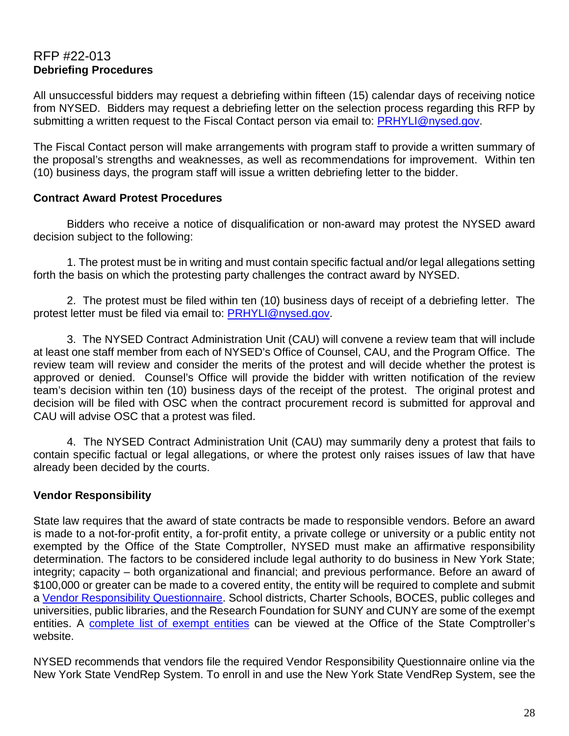# RFP #22-013 **Debriefing Procedures**

All unsuccessful bidders may request a debriefing within fifteen (15) calendar days of receiving notice from NYSED. Bidders may request a debriefing letter on the selection process regarding this RFP by submitting a written request to the Fiscal Contact person via email to: [PRHYLI@nysed.gov.](mailto:PRHYLI@nysed.gov)

The Fiscal Contact person will make arrangements with program staff to provide a written summary of the proposal's strengths and weaknesses, as well as recommendations for improvement. Within ten (10) business days, the program staff will issue a written debriefing letter to the bidder.

### **Contract Award Protest Procedures**

Bidders who receive a notice of disqualification or non-award may protest the NYSED award decision subject to the following:

1. The protest must be in writing and must contain specific factual and/or legal allegations setting forth the basis on which the protesting party challenges the contract award by NYSED.

2. The protest must be filed within ten (10) business days of receipt of a debriefing letter. The protest letter must be filed via email to: [PRHYLI@nysed.gov.](mailto:PRHYLI@nysed.gov)

3. The NYSED Contract Administration Unit (CAU) will convene a review team that will include at least one staff member from each of NYSED's Office of Counsel, CAU, and the Program Office. The review team will review and consider the merits of the protest and will decide whether the protest is approved or denied. Counsel's Office will provide the bidder with written notification of the review team's decision within ten (10) business days of the receipt of the protest. The original protest and decision will be filed with OSC when the contract procurement record is submitted for approval and CAU will advise OSC that a protest was filed.

4. The NYSED Contract Administration Unit (CAU) may summarily deny a protest that fails to contain specific factual or legal allegations, or where the protest only raises issues of law that have already been decided by the courts.

# **Vendor Responsibility**

State law requires that the award of state contracts be made to responsible vendors. Before an award is made to a not-for-profit entity, a for-profit entity, a private college or university or a public entity not exempted by the Office of the State Comptroller, NYSED must make an affirmative responsibility determination. The factors to be considered include legal authority to do business in New York State; integrity; capacity – both organizational and financial; and previous performance. Before an award of \$100,000 or greater can be made to a covered entity, the entity will be required to complete and submit a [Vendor Responsibility Questionnaire.](https://www.osc.state.ny.us/state-vendors/vendrep/file-your-vendor-responsibility-questionnaire) School districts, Charter Schools, BOCES, public colleges and universities, public libraries, and the Research Foundation for SUNY and CUNY are some of the exempt entities. A [complete list of exempt entities](https://www.osc.state.ny.us/state-vendors/vendrep/vendor-responsibility-documentation) can be viewed at the Office of the State Comptroller's website.

NYSED recommends that vendors file the required Vendor Responsibility Questionnaire online via the New York State VendRep System. To enroll in and use the New York State VendRep System, see the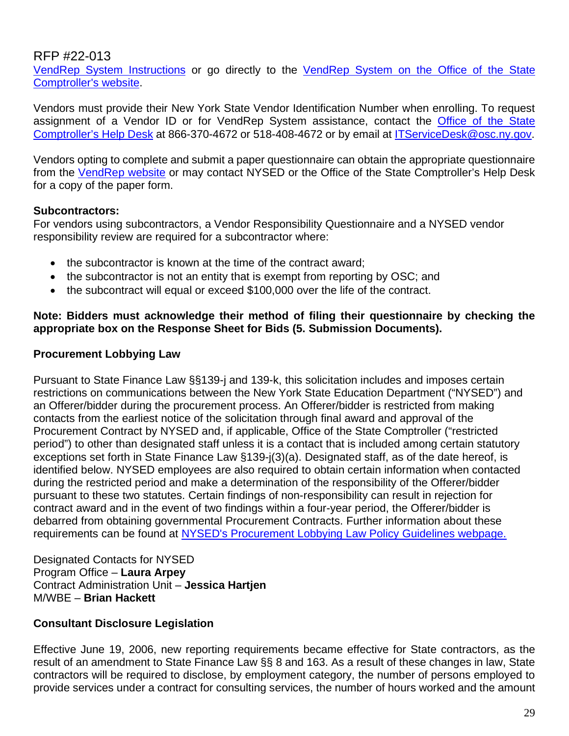[VendRep System Instructions](https://www.osc.state.ny.us/state-vendors/vendrep/vendrep-system) or go directly to the [VendRep System on the Office of the State](https://onlineservices.osc.state.ny.us/)  [Comptroller's website.](https://onlineservices.osc.state.ny.us/)

Vendors must provide their New York State Vendor Identification Number when enrolling. To request assignment of a Vendor ID or for VendRep System assistance, contact the Office of the State [Comptroller's Help Desk](https://www.osc.state.ny.us/online-services/get-help) at 866-370-4672 or 518-408-4672 or by email at [ITServiceDesk@osc.ny.gov.](mailto:ITServiceDesk@osc.ny.gov)

Vendors opting to complete and submit a paper questionnaire can obtain the appropriate questionnaire from the [VendRep](https://www.osc.state.ny.us/state-vendors/vendrep/vendor-responsibility-forms) website or may contact NYSED or the Office of the State Comptroller's Help Desk for a copy of the paper form.

## **Subcontractors:**

For vendors using subcontractors, a Vendor Responsibility Questionnaire and a NYSED vendor responsibility review are required for a subcontractor where:

- the subcontractor is known at the time of the contract award:
- the subcontractor is not an entity that is exempt from reporting by OSC; and
- the subcontract will equal or exceed \$100,000 over the life of the contract.

#### **Note: Bidders must acknowledge their method of filing their questionnaire by checking the appropriate box on the Response Sheet for Bids (5. Submission Documents).**

## **Procurement Lobbying Law**

Pursuant to State Finance Law §§139-j and 139-k, this solicitation includes and imposes certain restrictions on communications between the New York State Education Department ("NYSED") and an Offerer/bidder during the procurement process. An Offerer/bidder is restricted from making contacts from the earliest notice of the solicitation through final award and approval of the Procurement Contract by NYSED and, if applicable, Office of the State Comptroller ("restricted period") to other than designated staff unless it is a contact that is included among certain statutory exceptions set forth in State Finance Law §139-j(3)(a). Designated staff, as of the date hereof, is identified below. NYSED employees are also required to obtain certain information when contacted during the restricted period and make a determination of the responsibility of the Offerer/bidder pursuant to these two statutes. Certain findings of non-responsibility can result in rejection for contract award and in the event of two findings within a four-year period, the Offerer/bidder is debarred from obtaining governmental Procurement Contracts. Further information about these requirements can be found at [NYSED's Procurement Lobbying Law Policy Guidelines](http://www.oms.nysed.gov/fiscal/cau/PLL/procurementpolicy.htm) webpage.

Designated Contacts for NYSED Program Office – **Laura Arpey** Contract Administration Unit – **Jessica Hartjen** M/WBE – **Brian Hackett**

# **Consultant Disclosure Legislation**

Effective June 19, 2006, new reporting requirements became effective for State contractors, as the result of an amendment to State Finance Law §§ 8 and 163. As a result of these changes in law, State contractors will be required to disclose, by employment category, the number of persons employed to provide services under a contract for consulting services, the number of hours worked and the amount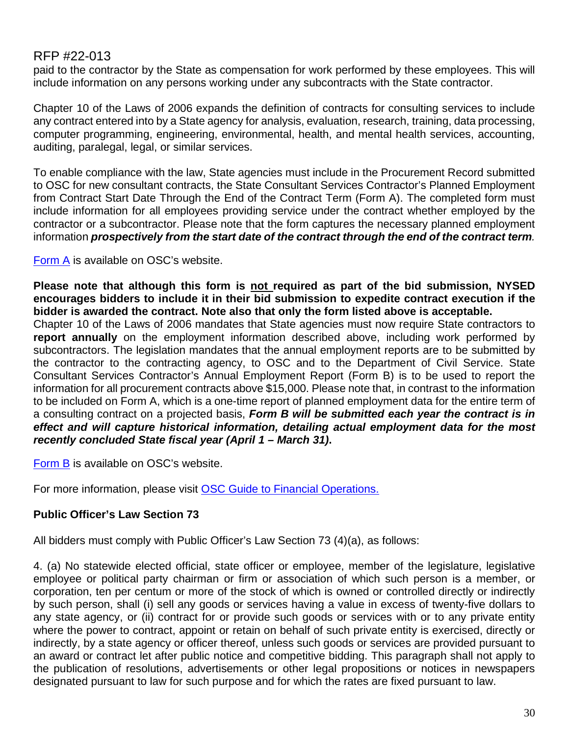paid to the contractor by the State as compensation for work performed by these employees. This will include information on any persons working under any subcontracts with the State contractor.

Chapter 10 of the Laws of 2006 expands the definition of contracts for consulting services to include any contract entered into by a State agency for analysis, evaluation, research, training, data processing, computer programming, engineering, environmental, health, and mental health services, accounting, auditing, paralegal, legal, or similar services.

To enable compliance with the law, State agencies must include in the Procurement Record submitted to OSC for new consultant contracts, the State Consultant Services Contractor's Planned Employment from Contract Start Date Through the End of the Contract Term (Form A). The completed form must include information for all employees providing service under the contract whether employed by the contractor or a subcontractor. Please note that the form captures the necessary planned employment information *prospectively from the start date of the contract through the end of the contract term.*

[Form A](https://www.osc.state.ny.us/agencies/forms/ac3271s.doc) is available on OSC's website.

Please note that although this form is not required as part of the bid submission, NYSED **encourages bidders to include it in their bid submission to expedite contract execution if the bidder is awarded the contract. Note also that only the form listed above is acceptable.**

Chapter 10 of the Laws of 2006 mandates that State agencies must now require State contractors to **report annually** on the employment information described above, including work performed by subcontractors. The legislation mandates that the annual employment reports are to be submitted by the contractor to the contracting agency, to OSC and to the Department of Civil Service. State Consultant Services Contractor's Annual Employment Report (Form B) is to be used to report the information for all procurement contracts above \$15,000. Please note that, in contrast to the information to be included on Form A, which is a one-time report of planned employment data for the entire term of a consulting contract on a projected basis, *Form B will be submitted each year the contract is in effect and will capture historical information, detailing actual employment data for the most recently concluded State fiscal year (April 1 – March 31)***.**

[Form B](https://www.osc.state.ny.us/agencies/forms/ac3272s.doc) is available on OSC's website.

For more information, please visit **OSC Guide to Financial Operations.** 

# **Public Officer's Law Section 73**

All bidders must comply with Public Officer's Law Section 73 (4)(a), as follows:

4. (a) No statewide elected official, state officer or employee, member of the legislature, legislative employee or political party chairman or firm or association of which such person is a member, or corporation, ten per centum or more of the stock of which is owned or controlled directly or indirectly by such person, shall (i) sell any goods or services having a value in excess of twenty-five dollars to any state agency, or (ii) contract for or provide such goods or services with or to any private entity where the power to contract, appoint or retain on behalf of such private entity is exercised, directly or indirectly, by a state agency or officer thereof, unless such goods or services are provided pursuant to an award or contract let after public notice and competitive bidding. This paragraph shall not apply to the publication of resolutions, advertisements or other legal propositions or notices in newspapers designated pursuant to law for such purpose and for which the rates are fixed pursuant to law.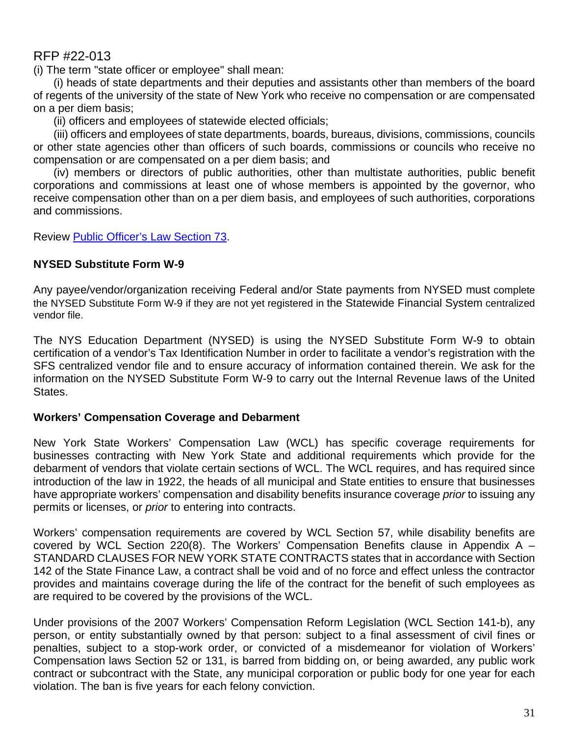(i) The term "state officer or employee" shall mean:

(i) heads of state departments and their deputies and assistants other than members of the board of regents of the university of the state of New York who receive no compensation or are compensated on a per diem basis;

(ii) officers and employees of statewide elected officials;

(iii) officers and employees of state departments, boards, bureaus, divisions, commissions, councils or other state agencies other than officers of such boards, commissions or councils who receive no compensation or are compensated on a per diem basis; and

(iv) members or directors of public authorities, other than multistate authorities, public benefit corporations and commissions at least one of whose members is appointed by the governor, who receive compensation other than on a per diem basis, and employees of such authorities, corporations and commissions.

Review [Public Officer's Law Section 73.](https://jcope.ny.gov/sites/g/files/oee746/files/documents/2017/09/public-officers-law-73.pdf)

# **NYSED Substitute Form W-9**

Any payee/vendor/organization receiving Federal and/or State payments from NYSED must complete the NYSED Substitute Form W-9 if they are not yet registered in the Statewide Financial System centralized vendor file.

The NYS Education Department (NYSED) is using the NYSED Substitute Form W-9 to obtain certification of a vendor's Tax Identification Number in order to facilitate a vendor's registration with the SFS centralized vendor file and to ensure accuracy of information contained therein. We ask for the information on the NYSED Substitute Form W-9 to carry out the Internal Revenue laws of the United States.

### **Workers' Compensation Coverage and Debarment**

New York State Workers' Compensation Law (WCL) has specific coverage requirements for businesses contracting with New York State and additional requirements which provide for the debarment of vendors that violate certain sections of WCL. The WCL requires, and has required since introduction of the law in 1922, the heads of all municipal and State entities to ensure that businesses have appropriate workers' compensation and disability benefits insurance coverage *prior* to issuing any permits or licenses, or *prior* to entering into contracts.

Workers' compensation requirements are covered by WCL Section 57, while disability benefits are covered by WCL Section 220(8). The Workers' Compensation Benefits clause in Appendix A  $-$ STANDARD CLAUSES FOR NEW YORK STATE CONTRACTS states that in accordance with Section 142 of the State Finance Law, a contract shall be void and of no force and effect unless the contractor provides and maintains coverage during the life of the contract for the benefit of such employees as are required to be covered by the provisions of the WCL.

Under provisions of the 2007 Workers' Compensation Reform Legislation (WCL Section 141-b), any person, or entity substantially owned by that person: subject to a final assessment of civil fines or penalties, subject to a stop-work order, or convicted of a misdemeanor for violation of Workers' Compensation laws Section 52 or 131, is barred from bidding on, or being awarded, any public work contract or subcontract with the State, any municipal corporation or public body for one year for each violation. The ban is five years for each felony conviction.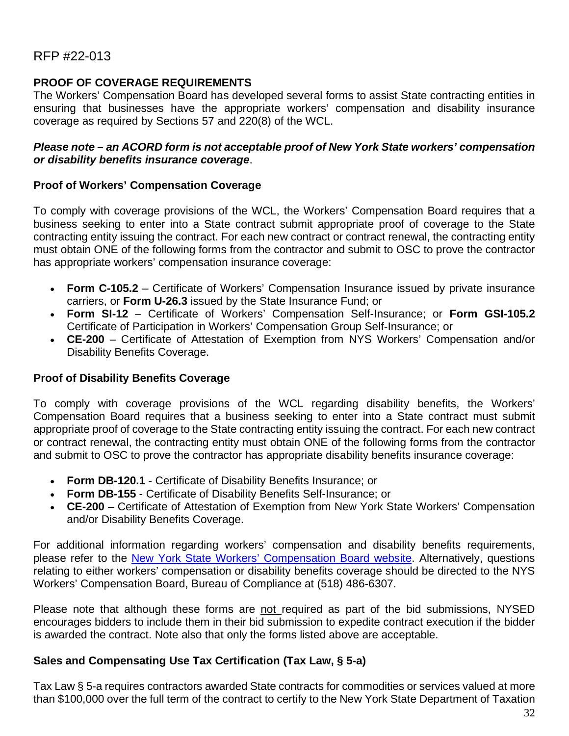### **PROOF OF COVERAGE REQUIREMENTS**

The Workers' Compensation Board has developed several forms to assist State contracting entities in ensuring that businesses have the appropriate workers' compensation and disability insurance coverage as required by Sections 57 and 220(8) of the WCL.

#### *Please note – an ACORD form is not acceptable proof of New York State workers' compensation or disability benefits insurance coverage*.

#### **Proof of Workers' Compensation Coverage**

To comply with coverage provisions of the WCL, the Workers' Compensation Board requires that a business seeking to enter into a State contract submit appropriate proof of coverage to the State contracting entity issuing the contract. For each new contract or contract renewal, the contracting entity must obtain ONE of the following forms from the contractor and submit to OSC to prove the contractor has appropriate workers' compensation insurance coverage:

- **Form C-105.2** Certificate of Workers' Compensation Insurance issued by private insurance carriers, or **Form U-26.3** issued by the State Insurance Fund; or
- **Form SI-12**  Certificate of Workers' Compensation Self-Insurance; or **Form GSI-105.2** Certificate of Participation in Workers' Compensation Group Self-Insurance; or
- **CE-200**  Certificate of Attestation of Exemption from NYS Workers' Compensation and/or Disability Benefits Coverage.

### **Proof of Disability Benefits Coverage**

To comply with coverage provisions of the WCL regarding disability benefits, the Workers' Compensation Board requires that a business seeking to enter into a State contract must submit appropriate proof of coverage to the State contracting entity issuing the contract. For each new contract or contract renewal, the contracting entity must obtain ONE of the following forms from the contractor and submit to OSC to prove the contractor has appropriate disability benefits insurance coverage:

- **Form DB-120.1** Certificate of Disability Benefits Insurance; or
- **Form DB-155** Certificate of Disability Benefits Self-Insurance; or
- **CE-200** Certificate of Attestation of Exemption from New York State Workers' Compensation and/or Disability Benefits Coverage.

For additional information regarding workers' compensation and disability benefits requirements, please refer to the [New York State Workers' Compensation Board website.](http://www.wcb.ny.gov/content/main/Employers/Employers.jsp) Alternatively, questions relating to either workers' compensation or disability benefits coverage should be directed to the NYS Workers' Compensation Board, Bureau of Compliance at (518) 486-6307.

Please note that although these forms are not required as part of the bid submissions, NYSED encourages bidders to include them in their bid submission to expedite contract execution if the bidder is awarded the contract. Note also that only the forms listed above are acceptable.

#### **Sales and Compensating Use Tax Certification (Tax Law, § 5-a)**

Tax Law § 5-a requires contractors awarded State contracts for commodities or services valued at more than \$100,000 over the full term of the contract to certify to the New York State Department of Taxation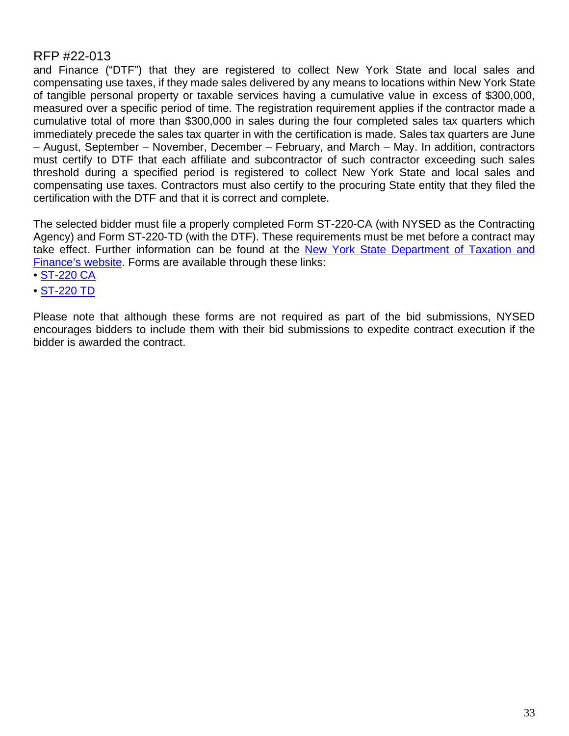and Finance ("DTF") that they are registered to collect New York State and local sales and compensating use taxes, if they made sales delivered by any means to locations within New York State of tangible personal property or taxable services having a cumulative value in excess of \$300,000, measured over a specific period of time. The registration requirement applies if the contractor made a cumulative total of more than \$300,000 in sales during the four completed sales tax quarters which immediately precede the sales tax quarter in with the certification is made. Sales tax quarters are June – August, September – November, December – February, and March – May. In addition, contractors must certify to DTF that each affiliate and subcontractor of such contractor exceeding such sales threshold during a specified period is registered to collect New York State and local sales and compensating use taxes. Contractors must also certify to the procuring State entity that they filed the certification with the DTF and that it is correct and complete.

The selected bidder must file a properly completed Form ST-220-CA (with NYSED as the Contracting Agency) and Form ST-220-TD (with the DTF). These requirements must be met before a contract may take effect. Further information can be found at the New York State Department of Taxation and [Finance's w](https://www.tax.ny.gov/pdf/publications/sales/pub223.pdf)ebsite. Forms are available through these links:

- • [ST-220 CA](https://www.tax.ny.gov/pdf/current_forms/st/st220ca_fill_in.pdf)
- • [ST-220 TD](https://www.tax.ny.gov/pdf/current_forms/st/st220td_fill_in.pdf)

Please note that although these forms are not required as part of the bid submissions, NYSED encourages bidders to include them with their bid submissions to expedite contract execution if the bidder is awarded the contract.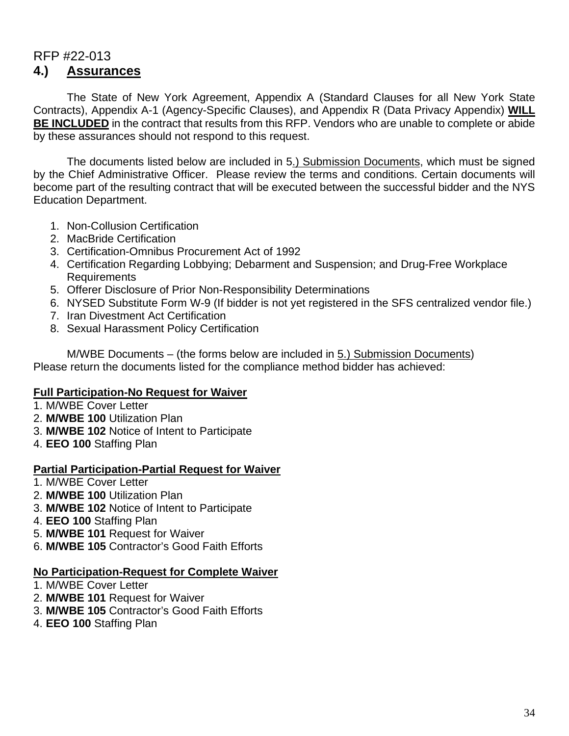# RFP #22-013 **4.) Assurances**

The State of New York Agreement, Appendix A (Standard Clauses for all New York State Contracts), Appendix A-1 (Agency-Specific Clauses), and Appendix R (Data Privacy Appendix) **WILL BE INCLUDED** in the contract that results from this RFP. Vendors who are unable to complete or abide by these assurances should not respond to this request.

The documents listed below are included in 5.) Submission Documents, which must be signed by the Chief Administrative Officer. Please review the terms and conditions. Certain documents will become part of the resulting contract that will be executed between the successful bidder and the NYS Education Department.

- 1. Non-Collusion Certification
- 2. MacBride Certification
- 3. Certification-Omnibus Procurement Act of 1992
- 4. Certification Regarding Lobbying; Debarment and Suspension; and Drug-Free Workplace Requirements
- 5. Offerer Disclosure of Prior Non-Responsibility Determinations
- 6. NYSED Substitute Form W-9 (If bidder is not yet registered in the SFS centralized vendor file.)
- 7. Iran Divestment Act Certification
- 8. Sexual Harassment Policy Certification

M/WBE Documents – (the forms below are included in 5.) Submission Documents) Please return the documents listed for the compliance method bidder has achieved:

### **Full Participation-No Request for Waiver**

- 1. M/WBE Cover Letter
- 2. **M/WBE 100** Utilization Plan
- 3. **M/WBE 102** Notice of Intent to Participate
- 4. **EEO 100** Staffing Plan

#### **Partial Participation-Partial Request for Waiver**

- 1. M/WBE Cover Letter
- 2. **M/WBE 100** Utilization Plan
- 3. **M/WBE 102** Notice of Intent to Participate
- 4. **EEO 100** Staffing Plan
- 5. **M/WBE 101** Request for Waiver
- 6. **M/WBE 105** Contractor's Good Faith Efforts

#### **No Participation-Request for Complete Waiver**

- 1. M/WBE Cover Letter
- 2. **M/WBE 101** Request for Waiver
- 3. **M/WBE 105** Contractor's Good Faith Efforts
- 4. **EEO 100** Staffing Plan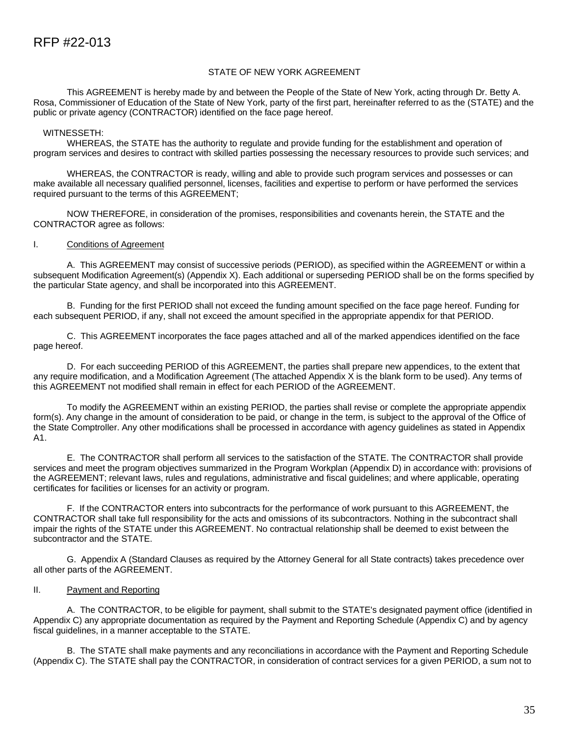#### STATE OF NEW YORK AGREEMENT

This AGREEMENT is hereby made by and between the People of the State of New York, acting through Dr. Betty A. Rosa, Commissioner of Education of the State of New York, party of the first part, hereinafter referred to as the (STATE) and the public or private agency (CONTRACTOR) identified on the face page hereof.

#### WITNESSETH:

WHEREAS, the STATE has the authority to regulate and provide funding for the establishment and operation of program services and desires to contract with skilled parties possessing the necessary resources to provide such services; and

WHEREAS, the CONTRACTOR is ready, willing and able to provide such program services and possesses or can make available all necessary qualified personnel, licenses, facilities and expertise to perform or have performed the services required pursuant to the terms of this AGREEMENT;

NOW THEREFORE, in consideration of the promises, responsibilities and covenants herein, the STATE and the CONTRACTOR agree as follows:

#### I. Conditions of Agreement

A. This AGREEMENT may consist of successive periods (PERIOD), as specified within the AGREEMENT or within a subsequent Modification Agreement(s) (Appendix X). Each additional or superseding PERIOD shall be on the forms specified by the particular State agency, and shall be incorporated into this AGREEMENT.

B. Funding for the first PERIOD shall not exceed the funding amount specified on the face page hereof. Funding for each subsequent PERIOD, if any, shall not exceed the amount specified in the appropriate appendix for that PERIOD.

C. This AGREEMENT incorporates the face pages attached and all of the marked appendices identified on the face page hereof.

D. For each succeeding PERIOD of this AGREEMENT, the parties shall prepare new appendices, to the extent that any require modification, and a Modification Agreement (The attached Appendix X is the blank form to be used). Any terms of this AGREEMENT not modified shall remain in effect for each PERIOD of the AGREEMENT.

To modify the AGREEMENT within an existing PERIOD, the parties shall revise or complete the appropriate appendix form(s). Any change in the amount of consideration to be paid, or change in the term, is subject to the approval of the Office of the State Comptroller. Any other modifications shall be processed in accordance with agency guidelines as stated in Appendix A1.

E. The CONTRACTOR shall perform all services to the satisfaction of the STATE. The CONTRACTOR shall provide services and meet the program objectives summarized in the Program Workplan (Appendix D) in accordance with: provisions of the AGREEMENT; relevant laws, rules and regulations, administrative and fiscal guidelines; and where applicable, operating certificates for facilities or licenses for an activity or program.

F. If the CONTRACTOR enters into subcontracts for the performance of work pursuant to this AGREEMENT, the CONTRACTOR shall take full responsibility for the acts and omissions of its subcontractors. Nothing in the subcontract shall impair the rights of the STATE under this AGREEMENT. No contractual relationship shall be deemed to exist between the subcontractor and the STATE.

G. Appendix A (Standard Clauses as required by the Attorney General for all State contracts) takes precedence over all other parts of the AGREEMENT.

#### II. Payment and Reporting

A. The CONTRACTOR, to be eligible for payment, shall submit to the STATE's designated payment office (identified in Appendix C) any appropriate documentation as required by the Payment and Reporting Schedule (Appendix C) and by agency fiscal guidelines, in a manner acceptable to the STATE.

B. The STATE shall make payments and any reconciliations in accordance with the Payment and Reporting Schedule (Appendix C). The STATE shall pay the CONTRACTOR, in consideration of contract services for a given PERIOD, a sum not to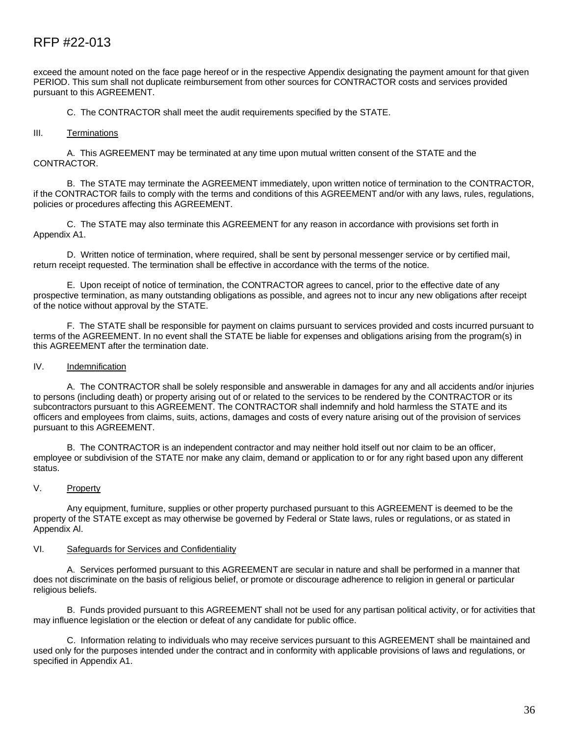exceed the amount noted on the face page hereof or in the respective Appendix designating the payment amount for that given PERIOD. This sum shall not duplicate reimbursement from other sources for CONTRACTOR costs and services provided pursuant to this AGREEMENT.

C. The CONTRACTOR shall meet the audit requirements specified by the STATE.

#### III. Terminations

A. This AGREEMENT may be terminated at any time upon mutual written consent of the STATE and the CONTRACTOR.

B. The STATE may terminate the AGREEMENT immediately, upon written notice of termination to the CONTRACTOR, if the CONTRACTOR fails to comply with the terms and conditions of this AGREEMENT and/or with any laws, rules, regulations, policies or procedures affecting this AGREEMENT.

C. The STATE may also terminate this AGREEMENT for any reason in accordance with provisions set forth in Appendix A1.

D. Written notice of termination, where required, shall be sent by personal messenger service or by certified mail, return receipt requested. The termination shall be effective in accordance with the terms of the notice.

E. Upon receipt of notice of termination, the CONTRACTOR agrees to cancel, prior to the effective date of any prospective termination, as many outstanding obligations as possible, and agrees not to incur any new obligations after receipt of the notice without approval by the STATE.

F. The STATE shall be responsible for payment on claims pursuant to services provided and costs incurred pursuant to terms of the AGREEMENT. In no event shall the STATE be liable for expenses and obligations arising from the program(s) in this AGREEMENT after the termination date.

#### IV. Indemnification

A. The CONTRACTOR shall be solely responsible and answerable in damages for any and all accidents and/or injuries to persons (including death) or property arising out of or related to the services to be rendered by the CONTRACTOR or its subcontractors pursuant to this AGREEMENT. The CONTRACTOR shall indemnify and hold harmless the STATE and its officers and employees from claims, suits, actions, damages and costs of every nature arising out of the provision of services pursuant to this AGREEMENT.

B. The CONTRACTOR is an independent contractor and may neither hold itself out nor claim to be an officer, employee or subdivision of the STATE nor make any claim, demand or application to or for any right based upon any different status.

#### V. Property

Any equipment, furniture, supplies or other property purchased pursuant to this AGREEMENT is deemed to be the property of the STATE except as may otherwise be governed by Federal or State laws, rules or regulations, or as stated in Appendix Al.

#### VI. Safeguards for Services and Confidentiality

A. Services performed pursuant to this AGREEMENT are secular in nature and shall be performed in a manner that does not discriminate on the basis of religious belief, or promote or discourage adherence to religion in general or particular religious beliefs.

B. Funds provided pursuant to this AGREEMENT shall not be used for any partisan political activity, or for activities that may influence legislation or the election or defeat of any candidate for public office.

C. Information relating to individuals who may receive services pursuant to this AGREEMENT shall be maintained and used only for the purposes intended under the contract and in conformity with applicable provisions of laws and regulations, or specified in Appendix A1.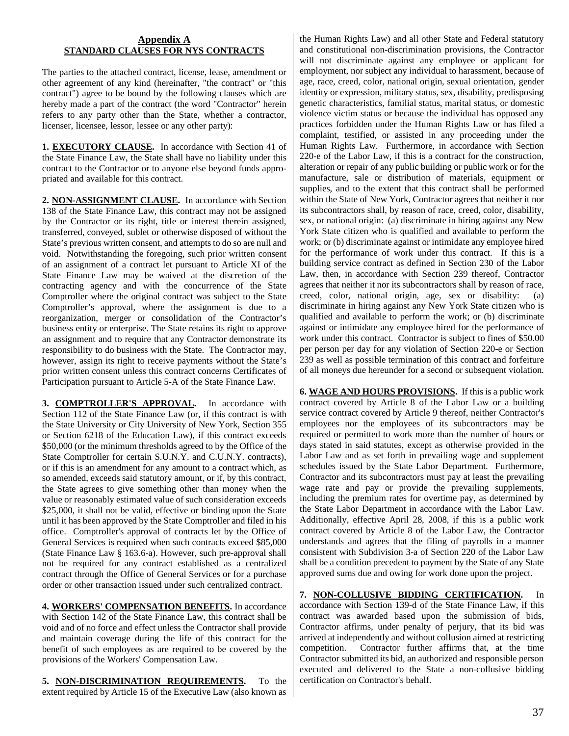#### **Appendix A STANDARD CLAUSES FOR NYS CONTRACTS**

The parties to the attached contract, license, lease, amendment or other agreement of any kind (hereinafter, "the contract" or "this contract") agree to be bound by the following clauses which are hereby made a part of the contract (the word "Contractor" herein refers to any party other than the State, whether a contractor, licenser, licensee, lessor, lessee or any other party):

**1. EXECUTORY CLAUSE.** In accordance with Section 41 of the State Finance Law, the State shall have no liability under this contract to the Contractor or to anyone else beyond funds appropriated and available for this contract.

**2. NON-ASSIGNMENT CLAUSE.** In accordance with Section 138 of the State Finance Law, this contract may not be assigned by the Contractor or its right, title or interest therein assigned, transferred, conveyed, sublet or otherwise disposed of without the State's previous written consent, and attempts to do so are null and void. Notwithstanding the foregoing, such prior written consent of an assignment of a contract let pursuant to Article XI of the State Finance Law may be waived at the discretion of the contracting agency and with the concurrence of the State Comptroller where the original contract was subject to the State Comptroller's approval, where the assignment is due to a reorganization, merger or consolidation of the Contractor's business entity or enterprise. The State retains its right to approve an assignment and to require that any Contractor demonstrate its responsibility to do business with the State. The Contractor may, however, assign its right to receive payments without the State's prior written consent unless this contract concerns Certificates of Participation pursuant to Article 5-A of the State Finance Law.

**3. COMPTROLLER'S APPROVAL.** In accordance with Section 112 of the State Finance Law (or, if this contract is with the State University or City University of New York, Section 355 or Section 6218 of the Education Law), if this contract exceeds \$50,000 (or the minimum thresholds agreed to by the Office of the State Comptroller for certain S.U.N.Y. and C.U.N.Y. contracts), or if this is an amendment for any amount to a contract which, as so amended, exceeds said statutory amount, or if, by this contract, the State agrees to give something other than money when the value or reasonably estimated value of such consideration exceeds \$25,000, it shall not be valid, effective or binding upon the State until it has been approved by the State Comptroller and filed in his office. Comptroller's approval of contracts let by the Office of General Services is required when such contracts exceed \$85,000 (State Finance Law § 163.6-a). However, such pre-approval shall not be required for any contract established as a centralized contract through the Office of General Services or for a purchase order or other transaction issued under such centralized contract.

**4. WORKERS' COMPENSATION BENEFITS.** In accordance with Section 142 of the State Finance Law, this contract shall be void and of no force and effect unless the Contractor shall provide and maintain coverage during the life of this contract for the benefit of such employees as are required to be covered by the provisions of the Workers' Compensation Law.

**5. NON-DISCRIMINATION REQUIREMENTS.** To the extent required by Article 15 of the Executive Law (also known as

the Human Rights Law) and all other State and Federal statutory and constitutional non-discrimination provisions, the Contractor will not discriminate against any employee or applicant for employment, nor subject any individual to harassment, because of age, race, creed, color, national origin, sexual orientation, gender identity or expression, military status, sex, disability, predisposing genetic characteristics, familial status, marital status, or domestic violence victim status or because the individual has opposed any practices forbidden under the Human Rights Law or has filed a complaint, testified, or assisted in any proceeding under the Human Rights Law. Furthermore, in accordance with Section 220-e of the Labor Law, if this is a contract for the construction, alteration or repair of any public building or public work or for the manufacture, sale or distribution of materials, equipment or supplies, and to the extent that this contract shall be performed within the State of New York, Contractor agrees that neither it nor its subcontractors shall, by reason of race, creed, color, disability, sex, or national origin: (a) discriminate in hiring against any New York State citizen who is qualified and available to perform the work; or (b) discriminate against or intimidate any employee hired for the performance of work under this contract. If this is a building service contract as defined in Section 230 of the Labor Law, then, in accordance with Section 239 thereof, Contractor agrees that neither it nor its subcontractors shall by reason of race, creed, color, national origin, age, sex or disability: (a) discriminate in hiring against any New York State citizen who is qualified and available to perform the work; or (b) discriminate against or intimidate any employee hired for the performance of work under this contract. Contractor is subject to fines of \$50.00 per person per day for any violation of Section 220-e or Section 239 as well as possible termination of this contract and forfeiture of all moneys due hereunder for a second or subsequent violation.

**6. WAGE AND HOURS PROVISIONS.** If this is a public work contract covered by Article 8 of the Labor Law or a building service contract covered by Article 9 thereof, neither Contractor's employees nor the employees of its subcontractors may be required or permitted to work more than the number of hours or days stated in said statutes, except as otherwise provided in the Labor Law and as set forth in prevailing wage and supplement schedules issued by the State Labor Department. Furthermore, Contractor and its subcontractors must pay at least the prevailing wage rate and pay or provide the prevailing supplements, including the premium rates for overtime pay, as determined by the State Labor Department in accordance with the Labor Law. Additionally, effective April 28, 2008, if this is a public work contract covered by Article 8 of the Labor Law, the Contractor understands and agrees that the filing of payrolls in a manner consistent with Subdivision 3-a of Section 220 of the Labor Law shall be a condition precedent to payment by the State of any State approved sums due and owing for work done upon the project.

**7. NON-COLLUSIVE BIDDING CERTIFICATION.** In accordance with Section 139-d of the State Finance Law, if this contract was awarded based upon the submission of bids, Contractor affirms, under penalty of perjury, that its bid was arrived at independently and without collusion aimed at restricting competition. Contractor further affirms that, at the time Contractor submitted its bid, an authorized and responsible person executed and delivered to the State a non-collusive bidding certification on Contractor's behalf.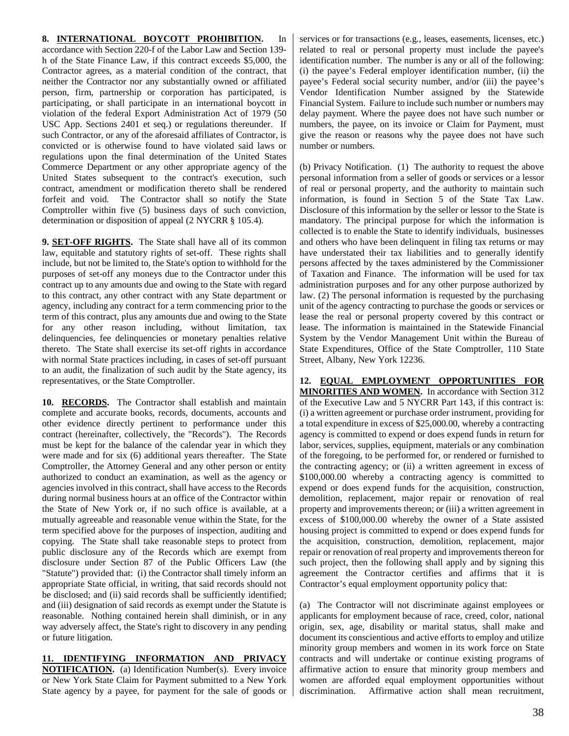#### **8. INTERNATIONAL BOYCOTT PROHIBITION.** In

accordance with Section 220-f of the Labor Law and Section 139 h of the State Finance Law, if this contract exceeds \$5,000, the Contractor agrees, as a material condition of the contract, that neither the Contractor nor any substantially owned or affiliated person, firm, partnership or corporation has participated, is participating, or shall participate in an international boycott in violation of the federal Export Administration Act of 1979 (50 USC App. Sections 2401 et seq.) or regulations thereunder. If such Contractor, or any of the aforesaid affiliates of Contractor, is convicted or is otherwise found to have violated said laws or regulations upon the final determination of the United States Commerce Department or any other appropriate agency of the United States subsequent to the contract's execution, such contract, amendment or modification thereto shall be rendered forfeit and void. The Contractor shall so notify the State Comptroller within five (5) business days of such conviction, determination or disposition of appeal (2 NYCRR § 105.4).

**9. SET-OFF RIGHTS.** The State shall have all of its common law, equitable and statutory rights of set-off. These rights shall include, but not be limited to, the State's option to withhold for the purposes of set-off any moneys due to the Contractor under this contract up to any amounts due and owing to the State with regard to this contract, any other contract with any State department or agency, including any contract for a term commencing prior to the term of this contract, plus any amounts due and owing to the State for any other reason including, without limitation, tax delinquencies, fee delinquencies or monetary penalties relative thereto. The State shall exercise its set-off rights in accordance with normal State practices including, in cases of set-off pursuant to an audit, the finalization of such audit by the State agency, its representatives, or the State Comptroller.

**10. RECORDS.** The Contractor shall establish and maintain complete and accurate books, records, documents, accounts and other evidence directly pertinent to performance under this contract (hereinafter, collectively, the "Records"). The Records must be kept for the balance of the calendar year in which they were made and for six (6) additional years thereafter. The State Comptroller, the Attorney General and any other person or entity authorized to conduct an examination, as well as the agency or agencies involved in this contract, shall have access to the Records during normal business hours at an office of the Contractor within the State of New York or, if no such office is available, at a mutually agreeable and reasonable venue within the State, for the term specified above for the purposes of inspection, auditing and copying. The State shall take reasonable steps to protect from public disclosure any of the Records which are exempt from disclosure under Section 87 of the Public Officers Law (the "Statute") provided that: (i) the Contractor shall timely inform an appropriate State official, in writing, that said records should not be disclosed; and (ii) said records shall be sufficiently identified; and (iii) designation of said records as exempt under the Statute is reasonable. Nothing contained herein shall diminish, or in any way adversely affect, the State's right to discovery in any pending or future litigation.

**11. IDENTIFYING INFORMATION AND PRIVACY NOTIFICATION.** (a) Identification Number(s). Every invoice or New York State Claim for Payment submitted to a New York State agency by a payee, for payment for the sale of goods or services or for transactions (e.g., leases, easements, licenses, etc.) related to real or personal property must include the payee's identification number. The number is any or all of the following: (i) the payee's Federal employer identification number, (ii) the payee's Federal social security number, and/or (iii) the payee's Vendor Identification Number assigned by the Statewide Financial System. Failure to include such number or numbers may delay payment. Where the payee does not have such number or numbers, the payee, on its invoice or Claim for Payment, must give the reason or reasons why the payee does not have such number or numbers.

(b) Privacy Notification. (1) The authority to request the above personal information from a seller of goods or services or a lessor of real or personal property, and the authority to maintain such information, is found in Section 5 of the State Tax Law. Disclosure of this information by the seller or lessor to the State is mandatory. The principal purpose for which the information is collected is to enable the State to identify individuals, businesses and others who have been delinquent in filing tax returns or may have understated their tax liabilities and to generally identify persons affected by the taxes administered by the Commissioner of Taxation and Finance. The information will be used for tax administration purposes and for any other purpose authorized by law. (2) The personal information is requested by the purchasing unit of the agency contracting to purchase the goods or services or lease the real or personal property covered by this contract or lease. The information is maintained in the Statewide Financial System by the Vendor Management Unit within the Bureau of State Expenditures, Office of the State Comptroller, 110 State Street, Albany, New York 12236.

**12. EQUAL EMPLOYMENT OPPORTUNITIES FOR MINORITIES AND WOMEN.** In accordance with Section 312 of the Executive Law and 5 NYCRR Part 143, if this contract is: (i) a written agreement or purchase order instrument, providing for a total expenditure in excess of \$25,000.00, whereby a contracting agency is committed to expend or does expend funds in return for labor, services, supplies, equipment, materials or any combination of the foregoing, to be performed for, or rendered or furnished to the contracting agency; or (ii) a written agreement in excess of \$100,000.00 whereby a contracting agency is committed to expend or does expend funds for the acquisition, construction, demolition, replacement, major repair or renovation of real property and improvements thereon; or (iii) a written agreement in excess of \$100,000.00 whereby the owner of a State assisted housing project is committed to expend or does expend funds for the acquisition, construction, demolition, replacement, major repair or renovation of real property and improvements thereon for such project, then the following shall apply and by signing this agreement the Contractor certifies and affirms that it is Contractor's equal employment opportunity policy that:

(a) The Contractor will not discriminate against employees or applicants for employment because of race, creed, color, national origin, sex, age, disability or marital status, shall make and document its conscientious and active efforts to employ and utilize minority group members and women in its work force on State contracts and will undertake or continue existing programs of affirmative action to ensure that minority group members and women are afforded equal employment opportunities without discrimination. Affirmative action shall mean recruitment,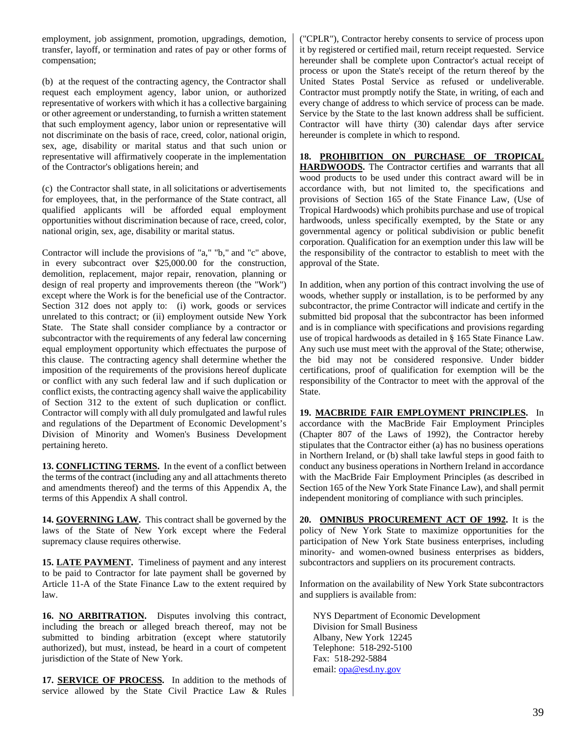employment, job assignment, promotion, upgradings, demotion, transfer, layoff, or termination and rates of pay or other forms of compensation;

(b) at the request of the contracting agency, the Contractor shall request each employment agency, labor union, or authorized representative of workers with which it has a collective bargaining or other agreement or understanding, to furnish a written statement that such employment agency, labor union or representative will not discriminate on the basis of race, creed, color, national origin, sex, age, disability or marital status and that such union or representative will affirmatively cooperate in the implementation of the Contractor's obligations herein; and

(c) the Contractor shall state, in all solicitations or advertisements for employees, that, in the performance of the State contract, all qualified applicants will be afforded equal employment opportunities without discrimination because of race, creed, color, national origin, sex, age, disability or marital status.

Contractor will include the provisions of "a," "b," and "c" above, in every subcontract over \$25,000.00 for the construction, demolition, replacement, major repair, renovation, planning or design of real property and improvements thereon (the "Work") except where the Work is for the beneficial use of the Contractor. Section 312 does not apply to: (i) work, goods or services unrelated to this contract; or (ii) employment outside New York State. The State shall consider compliance by a contractor or subcontractor with the requirements of any federal law concerning equal employment opportunity which effectuates the purpose of this clause. The contracting agency shall determine whether the imposition of the requirements of the provisions hereof duplicate or conflict with any such federal law and if such duplication or conflict exists, the contracting agency shall waive the applicability of Section 312 to the extent of such duplication or conflict. Contractor will comply with all duly promulgated and lawful rules and regulations of the Department of Economic Development's Division of Minority and Women's Business Development pertaining hereto.

**13. CONFLICTING TERMS.** In the event of a conflict between the terms of the contract (including any and all attachments thereto and amendments thereof) and the terms of this Appendix A, the terms of this Appendix A shall control.

**14. GOVERNING LAW.** This contract shall be governed by the laws of the State of New York except where the Federal supremacy clause requires otherwise.

**15. LATE PAYMENT.** Timeliness of payment and any interest to be paid to Contractor for late payment shall be governed by Article 11-A of the State Finance Law to the extent required by law.

**16. NO ARBITRATION.** Disputes involving this contract, including the breach or alleged breach thereof, may not be submitted to binding arbitration (except where statutorily authorized), but must, instead, be heard in a court of competent jurisdiction of the State of New York.

**17. SERVICE OF PROCESS.** In addition to the methods of service allowed by the State Civil Practice Law & Rules ("CPLR"), Contractor hereby consents to service of process upon it by registered or certified mail, return receipt requested. Service hereunder shall be complete upon Contractor's actual receipt of process or upon the State's receipt of the return thereof by the United States Postal Service as refused or undeliverable. Contractor must promptly notify the State, in writing, of each and every change of address to which service of process can be made. Service by the State to the last known address shall be sufficient. Contractor will have thirty (30) calendar days after service hereunder is complete in which to respond.

**18. PROHIBITION ON PURCHASE OF TROPICAL HARDWOODS.** The Contractor certifies and warrants that all wood products to be used under this contract award will be in accordance with, but not limited to, the specifications and provisions of Section 165 of the State Finance Law, (Use of Tropical Hardwoods) which prohibits purchase and use of tropical hardwoods, unless specifically exempted, by the State or any governmental agency or political subdivision or public benefit corporation. Qualification for an exemption under this law will be the responsibility of the contractor to establish to meet with the approval of the State.

In addition, when any portion of this contract involving the use of woods, whether supply or installation, is to be performed by any subcontractor, the prime Contractor will indicate and certify in the submitted bid proposal that the subcontractor has been informed and is in compliance with specifications and provisions regarding use of tropical hardwoods as detailed in § 165 State Finance Law. Any such use must meet with the approval of the State; otherwise, the bid may not be considered responsive. Under bidder certifications, proof of qualification for exemption will be the responsibility of the Contractor to meet with the approval of the State.

**19. MACBRIDE FAIR EMPLOYMENT PRINCIPLES.** In accordance with the MacBride Fair Employment Principles (Chapter 807 of the Laws of 1992), the Contractor hereby stipulates that the Contractor either (a) has no business operations in Northern Ireland, or (b) shall take lawful steps in good faith to conduct any business operations in Northern Ireland in accordance with the MacBride Fair Employment Principles (as described in Section 165 of the New York State Finance Law), and shall permit independent monitoring of compliance with such principles.

**20. OMNIBUS PROCUREMENT ACT OF 1992.** It is the policy of New York State to maximize opportunities for the participation of New York State business enterprises, including minority- and women-owned business enterprises as bidders, subcontractors and suppliers on its procurement contracts.

Information on the availability of New York State subcontractors and suppliers is available from:

NYS Department of Economic Development Division for Small Business Albany, New York 12245 Telephone: 518-292-5100 Fax: 518-292-5884 email: [opa@esd.ny.gov](mailto:opa@esd.ny.gov)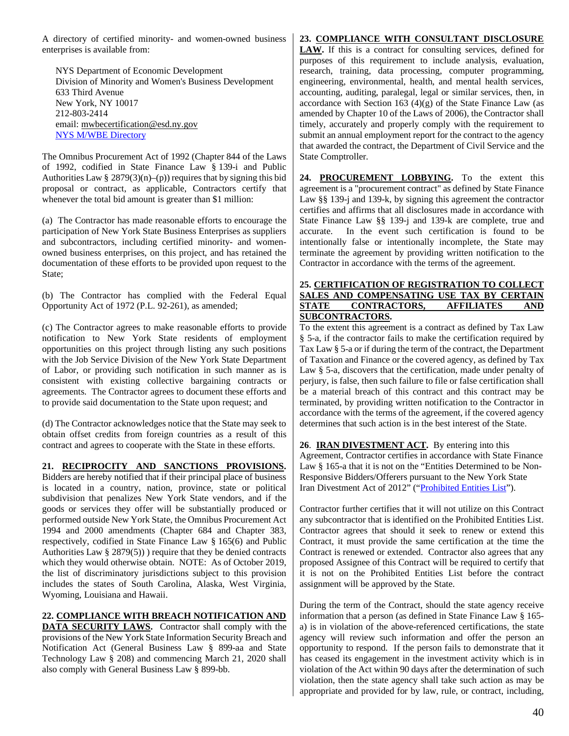A directory of certified minority- and women-owned business enterprises is available from:

NYS Department of Economic Development Division of Minority and Women's Business Development 633 Third Avenue New York, NY 10017 212-803-2414 email: [mwbecertification@esd.ny.gov](mailto:mwbecertification@esd.ny.gov) [NYS M/WBE Directory](https://ny.newnycontracts.com/FrontEnd/VendorSearchPublic.asp)

The Omnibus Procurement Act of 1992 (Chapter 844 of the Laws of 1992, codified in State Finance Law § 139-i and Public Authorities Law § 2879(3)(n)–(p)) requires that by signing this bid proposal or contract, as applicable, Contractors certify that whenever the total bid amount is greater than \$1 million:

(a) The Contractor has made reasonable efforts to encourage the participation of New York State Business Enterprises as suppliers and subcontractors, including certified minority- and womenowned business enterprises, on this project, and has retained the documentation of these efforts to be provided upon request to the State;

(b) The Contractor has complied with the Federal Equal Opportunity Act of 1972 (P.L. 92-261), as amended;

(c) The Contractor agrees to make reasonable efforts to provide notification to New York State residents of employment opportunities on this project through listing any such positions with the Job Service Division of the New York State Department of Labor, or providing such notification in such manner as is consistent with existing collective bargaining contracts or agreements. The Contractor agrees to document these efforts and to provide said documentation to the State upon request; and

(d) The Contractor acknowledges notice that the State may seek to obtain offset credits from foreign countries as a result of this contract and agrees to cooperate with the State in these efforts.

#### **21. RECIPROCITY AND SANCTIONS PROVISIONS.**

Bidders are hereby notified that if their principal place of business is located in a country, nation, province, state or political subdivision that penalizes New York State vendors, and if the goods or services they offer will be substantially produced or performed outside New York State, the Omnibus Procurement Act 1994 and 2000 amendments (Chapter 684 and Chapter 383, respectively, codified in State Finance Law § 165(6) and Public Authorities Law  $\S 2879(5)$ ) require that they be denied contracts which they would otherwise obtain. NOTE: As of October 2019, the list of discriminatory jurisdictions subject to this provision includes the states of South Carolina, Alaska, West Virginia, Wyoming, Louisiana and Hawaii.

#### **22. COMPLIANCE WITH BREACH NOTIFICATION AND**

**DATA SECURITY LAWS.** Contractor shall comply with the provisions of the New York State Information Security Breach and Notification Act (General Business Law § 899-aa and State Technology Law § 208) and commencing March 21, 2020 shall also comply with General Business Law § 899-bb.

#### **23. COMPLIANCE WITH CONSULTANT DISCLOSURE**

**LAW.** If this is a contract for consulting services, defined for purposes of this requirement to include analysis, evaluation, research, training, data processing, computer programming, engineering, environmental, health, and mental health services, accounting, auditing, paralegal, legal or similar services, then, in accordance with Section 163  $(4)(g)$  of the State Finance Law (as amended by Chapter 10 of the Laws of 2006), the Contractor shall timely, accurately and properly comply with the requirement to submit an annual employment report for the contract to the agency that awarded the contract, the Department of Civil Service and the State Comptroller.

**24. PROCUREMENT LOBBYING.** To the extent this agreement is a "procurement contract" as defined by State Finance Law §§ 139-j and 139-k, by signing this agreement the contractor certifies and affirms that all disclosures made in accordance with State Finance Law §§ 139-j and 139-k are complete, true and accurate. In the event such certification is found to be intentionally false or intentionally incomplete, the State may terminate the agreement by providing written notification to the Contractor in accordance with the terms of the agreement.

#### **25. CERTIFICATION OF REGISTRATION TO COLLECT SALES AND COMPENSATING USE TAX BY CERTAIN<br>
STATE CONTRACTORS, AFFILIATES AND CONTRACTORS, SUBCONTRACTORS.**

To the extent this agreement is a contract as defined by Tax Law § 5-a, if the contractor fails to make the certification required by Tax Law § 5-a or if during the term of the contract, the Department of Taxation and Finance or the covered agency, as defined by Tax Law § 5-a, discovers that the certification, made under penalty of perjury, is false, then such failure to file or false certification shall be a material breach of this contract and this contract may be terminated, by providing written notification to the Contractor in accordance with the terms of the agreement, if the covered agency determines that such action is in the best interest of the State.

**26**. **IRAN DIVESTMENT ACT.** By entering into this Agreement, Contractor certifies in accordance with State Finance Law § 165-a that it is not on the "Entities Determined to be Non-Responsive Bidders/Offerers pursuant to the New York State Iran Divestment Act of 2012" (["Prohibited Entities List"](https://ogs.ny.gov/list-entities-determined-be-non-responsive-biddersofferers-pursuant-nys-iran-divestment-act-2012)).

Contractor further certifies that it will not utilize on this Contract any subcontractor that is identified on the Prohibited Entities List. Contractor agrees that should it seek to renew or extend this Contract, it must provide the same certification at the time the Contract is renewed or extended. Contractor also agrees that any proposed Assignee of this Contract will be required to certify that it is not on the Prohibited Entities List before the contract assignment will be approved by the State.

During the term of the Contract, should the state agency receive information that a person (as defined in State Finance Law § 165 a) is in violation of the above-referenced certifications, the state agency will review such information and offer the person an opportunity to respond. If the person fails to demonstrate that it has ceased its engagement in the investment activity which is in violation of the Act within 90 days after the determination of such violation, then the state agency shall take such action as may be appropriate and provided for by law, rule, or contract, including,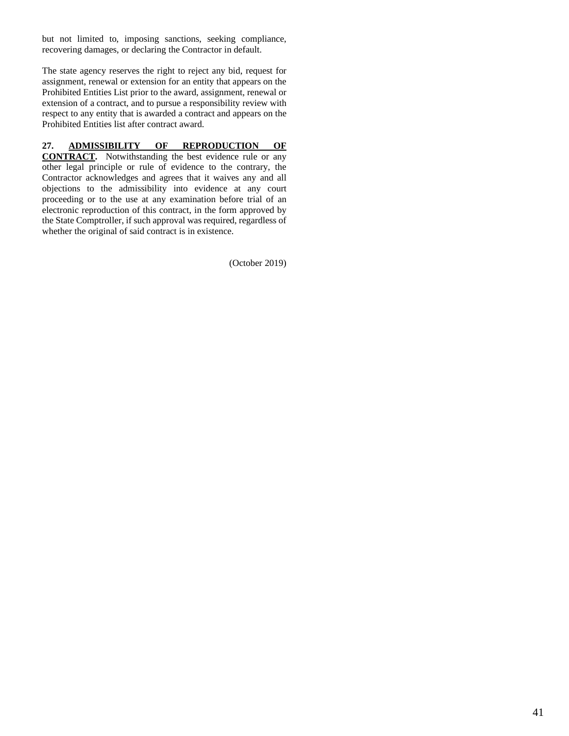but not limited to, imposing sanctions, seeking compliance, recovering damages, or declaring the Contractor in default.

The state agency reserves the right to reject any bid, request for assignment, renewal or extension for an entity that appears on the Prohibited Entities List prior to the award, assignment, renewal or extension of a contract, and to pursue a responsibility review with respect to any entity that is awarded a contract and appears on the Prohibited Entities list after contract award.

#### **27. ADMISSIBILITY OF REPRODUCTION OF**

**CONTRACT.** Notwithstanding the best evidence rule or any other legal principle or rule of evidence to the contrary, the Contractor acknowledges and agrees that it waives any and all objections to the admissibility into evidence at any court proceeding or to the use at any examination before trial of an electronic reproduction of this contract, in the form approved by the State Comptroller, if such approval was required, regardless of whether the original of said contract is in existence.

(October 2019)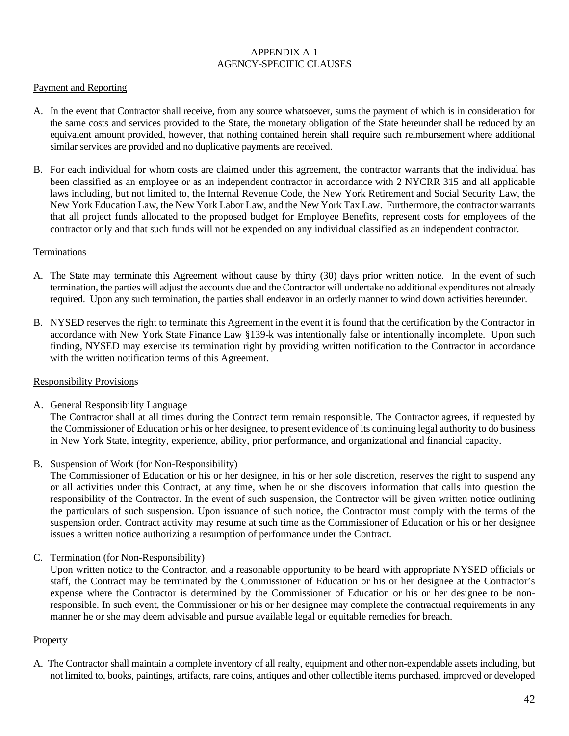#### APPENDIX A-1 AGENCY-SPECIFIC CLAUSES

#### Payment and Reporting

- A. In the event that Contractor shall receive, from any source whatsoever, sums the payment of which is in consideration for the same costs and services provided to the State, the monetary obligation of the State hereunder shall be reduced by an equivalent amount provided, however, that nothing contained herein shall require such reimbursement where additional similar services are provided and no duplicative payments are received.
- B. For each individual for whom costs are claimed under this agreement, the contractor warrants that the individual has been classified as an employee or as an independent contractor in accordance with 2 NYCRR 315 and all applicable laws including, but not limited to, the Internal Revenue Code, the New York Retirement and Social Security Law, the New York Education Law, the New York Labor Law, and the New York Tax Law. Furthermore, the contractor warrants that all project funds allocated to the proposed budget for Employee Benefits, represent costs for employees of the contractor only and that such funds will not be expended on any individual classified as an independent contractor.

#### Terminations

- A. The State may terminate this Agreement without cause by thirty (30) days prior written notice. In the event of such termination, the parties will adjust the accounts due and the Contractor will undertake no additional expenditures not already required. Upon any such termination, the parties shall endeavor in an orderly manner to wind down activities hereunder.
- B. NYSED reserves the right to terminate this Agreement in the event it is found that the certification by the Contractor in accordance with New York State Finance Law §139-k was intentionally false or intentionally incomplete. Upon such finding, NYSED may exercise its termination right by providing written notification to the Contractor in accordance with the written notification terms of this Agreement.

#### Responsibility Provisions

A. General Responsibility Language

The Contractor shall at all times during the Contract term remain responsible. The Contractor agrees, if requested by the Commissioner of Education or his or her designee, to present evidence of its continuing legal authority to do business in New York State, integrity, experience, ability, prior performance, and organizational and financial capacity.

B. Suspension of Work (for Non-Responsibility)

The Commissioner of Education or his or her designee, in his or her sole discretion, reserves the right to suspend any or all activities under this Contract, at any time, when he or she discovers information that calls into question the responsibility of the Contractor. In the event of such suspension, the Contractor will be given written notice outlining the particulars of such suspension. Upon issuance of such notice, the Contractor must comply with the terms of the suspension order. Contract activity may resume at such time as the Commissioner of Education or his or her designee issues a written notice authorizing a resumption of performance under the Contract.

C. Termination (for Non-Responsibility)

Upon written notice to the Contractor, and a reasonable opportunity to be heard with appropriate NYSED officials or staff, the Contract may be terminated by the Commissioner of Education or his or her designee at the Contractor's expense where the Contractor is determined by the Commissioner of Education or his or her designee to be nonresponsible. In such event, the Commissioner or his or her designee may complete the contractual requirements in any manner he or she may deem advisable and pursue available legal or equitable remedies for breach.

#### **Property**

A. The Contractor shall maintain a complete inventory of all realty, equipment and other non-expendable assets including, but not limited to, books, paintings, artifacts, rare coins, antiques and other collectible items purchased, improved or developed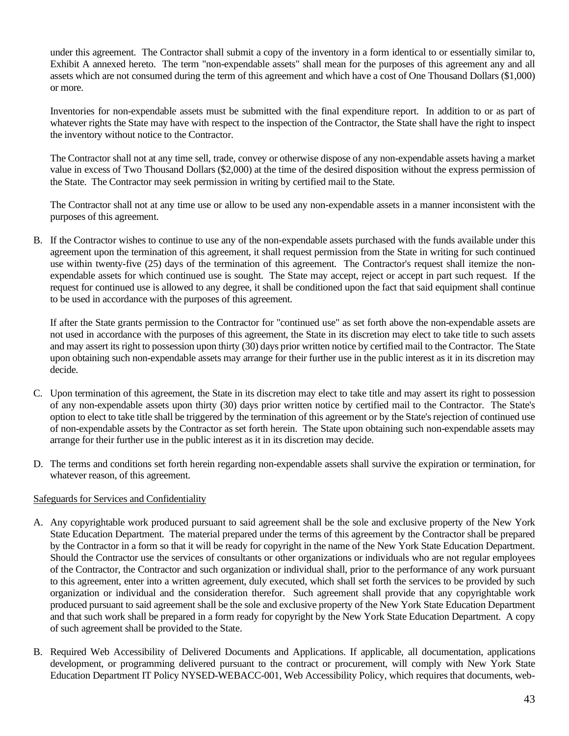under this agreement. The Contractor shall submit a copy of the inventory in a form identical to or essentially similar to, Exhibit A annexed hereto. The term "non-expendable assets" shall mean for the purposes of this agreement any and all assets which are not consumed during the term of this agreement and which have a cost of One Thousand Dollars (\$1,000) or more.

Inventories for non-expendable assets must be submitted with the final expenditure report. In addition to or as part of whatever rights the State may have with respect to the inspection of the Contractor, the State shall have the right to inspect the inventory without notice to the Contractor.

The Contractor shall not at any time sell, trade, convey or otherwise dispose of any non-expendable assets having a market value in excess of Two Thousand Dollars (\$2,000) at the time of the desired disposition without the express permission of the State. The Contractor may seek permission in writing by certified mail to the State.

The Contractor shall not at any time use or allow to be used any non-expendable assets in a manner inconsistent with the purposes of this agreement.

B. If the Contractor wishes to continue to use any of the non-expendable assets purchased with the funds available under this agreement upon the termination of this agreement, it shall request permission from the State in writing for such continued use within twenty-five (25) days of the termination of this agreement. The Contractor's request shall itemize the nonexpendable assets for which continued use is sought. The State may accept, reject or accept in part such request. If the request for continued use is allowed to any degree, it shall be conditioned upon the fact that said equipment shall continue to be used in accordance with the purposes of this agreement.

If after the State grants permission to the Contractor for "continued use" as set forth above the non-expendable assets are not used in accordance with the purposes of this agreement, the State in its discretion may elect to take title to such assets and may assert its right to possession upon thirty (30) days prior written notice by certified mail to the Contractor. The State upon obtaining such non-expendable assets may arrange for their further use in the public interest as it in its discretion may decide.

- C. Upon termination of this agreement, the State in its discretion may elect to take title and may assert its right to possession of any non-expendable assets upon thirty (30) days prior written notice by certified mail to the Contractor. The State's option to elect to take title shall be triggered by the termination of this agreement or by the State's rejection of continued use of non-expendable assets by the Contractor as set forth herein. The State upon obtaining such non-expendable assets may arrange for their further use in the public interest as it in its discretion may decide.
- D. The terms and conditions set forth herein regarding non-expendable assets shall survive the expiration or termination, for whatever reason, of this agreement.

#### Safeguards for Services and Confidentiality

- A. Any copyrightable work produced pursuant to said agreement shall be the sole and exclusive property of the New York State Education Department. The material prepared under the terms of this agreement by the Contractor shall be prepared by the Contractor in a form so that it will be ready for copyright in the name of the New York State Education Department. Should the Contractor use the services of consultants or other organizations or individuals who are not regular employees of the Contractor, the Contractor and such organization or individual shall, prior to the performance of any work pursuant to this agreement, enter into a written agreement, duly executed, which shall set forth the services to be provided by such organization or individual and the consideration therefor. Such agreement shall provide that any copyrightable work produced pursuant to said agreement shall be the sole and exclusive property of the New York State Education Department and that such work shall be prepared in a form ready for copyright by the New York State Education Department. A copy of such agreement shall be provided to the State.
- B. Required Web Accessibility of Delivered Documents and Applications. If applicable, all documentation, applications development, or programming delivered pursuant to the contract or procurement, will comply with New York State Education Department IT Policy NYSED-WEBACC-001, Web Accessibility Policy, which requires that documents, web-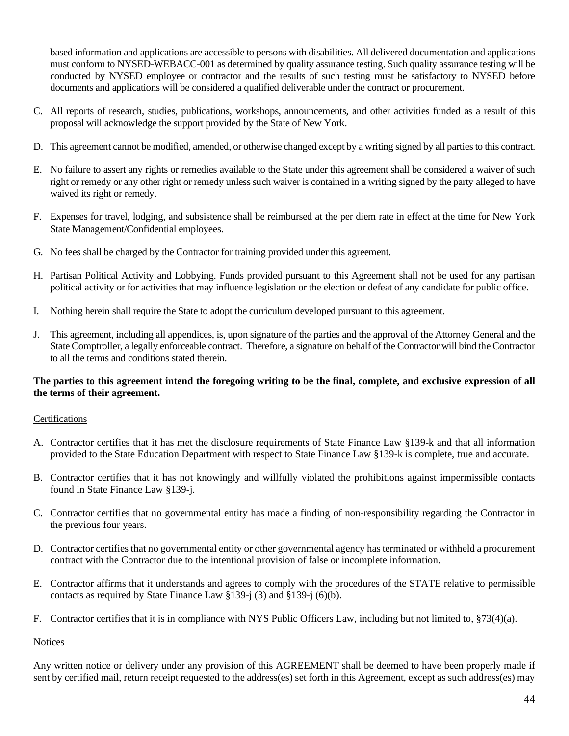based information and applications are accessible to persons with disabilities. All delivered documentation and applications must conform to NYSED-WEBACC-001 as determined by quality assurance testing. Such quality assurance testing will be conducted by NYSED employee or contractor and the results of such testing must be satisfactory to NYSED before documents and applications will be considered a qualified deliverable under the contract or procurement.

- C. All reports of research, studies, publications, workshops, announcements, and other activities funded as a result of this proposal will acknowledge the support provided by the State of New York.
- D. This agreement cannot be modified, amended, or otherwise changed except by a writing signed by all parties to this contract.
- E. No failure to assert any rights or remedies available to the State under this agreement shall be considered a waiver of such right or remedy or any other right or remedy unless such waiver is contained in a writing signed by the party alleged to have waived its right or remedy.
- F. Expenses for travel, lodging, and subsistence shall be reimbursed at the per diem rate in effect at the time for New York State Management/Confidential employees.
- G. No fees shall be charged by the Contractor for training provided under this agreement.
- H. Partisan Political Activity and Lobbying. Funds provided pursuant to this Agreement shall not be used for any partisan political activity or for activities that may influence legislation or the election or defeat of any candidate for public office.
- I. Nothing herein shall require the State to adopt the curriculum developed pursuant to this agreement.
- J. This agreement, including all appendices, is, upon signature of the parties and the approval of the Attorney General and the State Comptroller, a legally enforceable contract. Therefore, a signature on behalf of the Contractor will bind the Contractor to all the terms and conditions stated therein.

#### **The parties to this agreement intend the foregoing writing to be the final, complete, and exclusive expression of all the terms of their agreement.**

#### Certifications

- A. Contractor certifies that it has met the disclosure requirements of State Finance Law §139-k and that all information provided to the State Education Department with respect to State Finance Law §139-k is complete, true and accurate.
- B. Contractor certifies that it has not knowingly and willfully violated the prohibitions against impermissible contacts found in State Finance Law §139-j.
- C. Contractor certifies that no governmental entity has made a finding of non-responsibility regarding the Contractor in the previous four years.
- D. Contractor certifies that no governmental entity or other governmental agency has terminated or withheld a procurement contract with the Contractor due to the intentional provision of false or incomplete information.
- E. Contractor affirms that it understands and agrees to comply with the procedures of the STATE relative to permissible contacts as required by State Finance Law §139-j (3) and §139-j (6)(b).
- F. Contractor certifies that it is in compliance with NYS Public Officers Law, including but not limited to, §73(4)(a).

#### **Notices**

Any written notice or delivery under any provision of this AGREEMENT shall be deemed to have been properly made if sent by certified mail, return receipt requested to the address(es) set forth in this Agreement, except as such address(es) may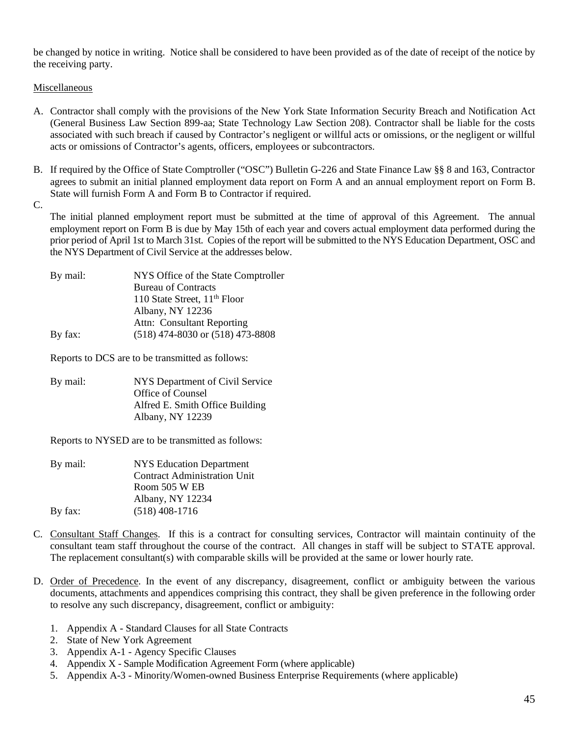be changed by notice in writing. Notice shall be considered to have been provided as of the date of receipt of the notice by the receiving party.

Miscellaneous

- A. Contractor shall comply with the provisions of the New York State Information Security Breach and Notification Act (General Business Law Section 899-aa; State Technology Law Section 208). Contractor shall be liable for the costs associated with such breach if caused by Contractor's negligent or willful acts or omissions, or the negligent or willful acts or omissions of Contractor's agents, officers, employees or subcontractors.
- B. If required by the Office of State Comptroller ("OSC") Bulletin G-226 and State Finance Law §§ 8 and 163, Contractor agrees to submit an initial planned employment data report on Form A and an annual employment report on Form B. State will furnish Form A and Form B to Contractor if required.

C.

The initial planned employment report must be submitted at the time of approval of this Agreement. The annual employment report on Form B is due by May 15th of each year and covers actual employment data performed during the prior period of April 1st to March 31st. Copies of the report will be submitted to the NYS Education Department, OSC and the NYS Department of Civil Service at the addresses below.

| By mail: | NYS Office of the State Comptroller      |
|----------|------------------------------------------|
|          | <b>Bureau of Contracts</b>               |
|          | 110 State Street, 11 <sup>th</sup> Floor |
|          | Albany, NY 12236                         |
|          | Attn: Consultant Reporting               |
| By fax:  | $(518)$ 474-8030 or $(518)$ 473-8808     |
|          |                                          |

Reports to DCS are to be transmitted as follows:

By mail: NYS Department of Civil Service Office of Counsel Alfred E. Smith Office Building Albany, NY 12239

Reports to NYSED are to be transmitted as follows:

- By mail: NYS Education Department Contract Administration Unit Room 505 W EB Albany, NY 12234 By fax: (518) 408-1716
- C. Consultant Staff Changes. If this is a contract for consulting services, Contractor will maintain continuity of the consultant team staff throughout the course of the contract. All changes in staff will be subject to STATE approval. The replacement consultant(s) with comparable skills will be provided at the same or lower hourly rate.
- D. Order of Precedence. In the event of any discrepancy, disagreement, conflict or ambiguity between the various documents, attachments and appendices comprising this contract, they shall be given preference in the following order to resolve any such discrepancy, disagreement, conflict or ambiguity:
	- 1. Appendix A Standard Clauses for all State Contracts
	- 2. State of New York Agreement
	- 3. Appendix A-1 Agency Specific Clauses
	- 4. Appendix X Sample Modification Agreement Form (where applicable)
	- 5. Appendix A-3 Minority/Women-owned Business Enterprise Requirements (where applicable)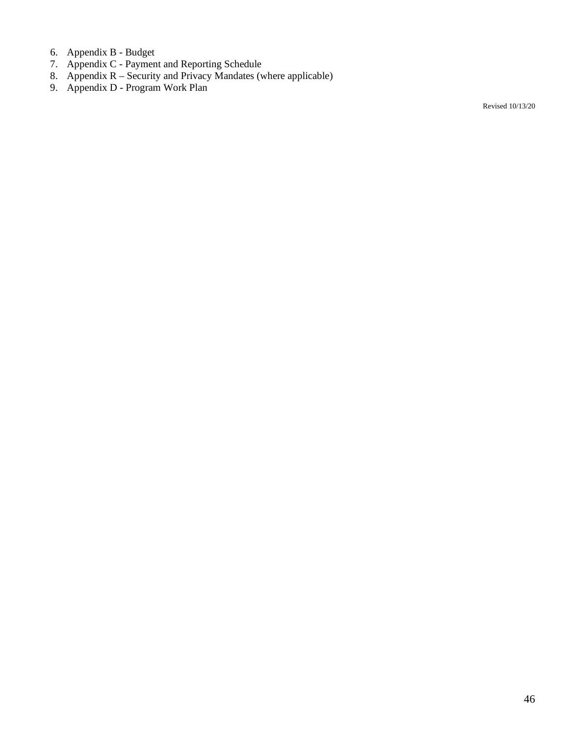- 6. Appendix B Budget
- 7. Appendix C Payment and Reporting Schedule
- 8. Appendix  $R -$  Security and Privacy Mandates (where applicable)
- 9. Appendix D Program Work Plan

Revised 10/13/20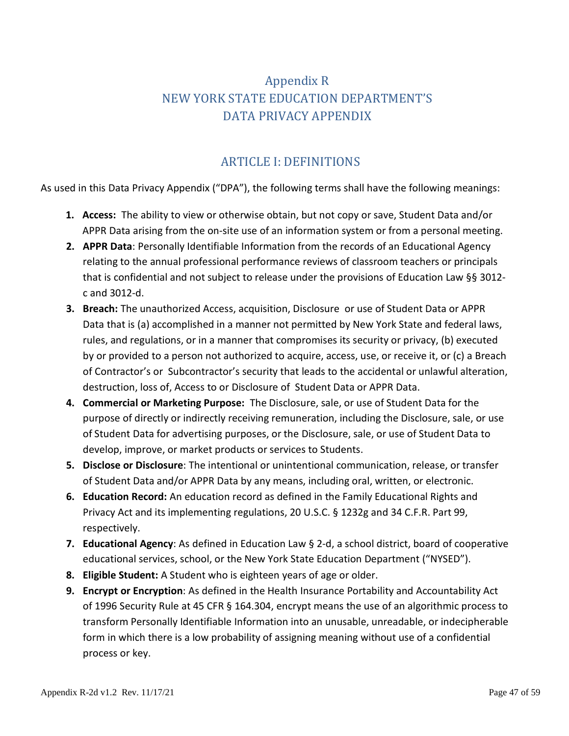# Appendix R NEW YORK STATE EDUCATION DEPARTMENT'S DATA PRIVACY APPENDIX

# ARTICLE I: DEFINITIONS

As used in this Data Privacy Appendix ("DPA"), the following terms shall have the following meanings:

- **1. Access:** The ability to view or otherwise obtain, but not copy or save, Student Data and/or APPR Data arising from the on-site use of an information system or from a personal meeting.
- **2. APPR Data**: Personally Identifiable Information from the records of an Educational Agency relating to the annual professional performance reviews of classroom teachers or principals that is confidential and not subject to release under the provisions of Education Law §§ 3012 c and 3012-d.
- **3. Breach:** The unauthorized Access, acquisition, Disclosure or use of Student Data or APPR Data that is (a) accomplished in a manner not permitted by New York State and federal laws, rules, and regulations, or in a manner that compromises its security or privacy, (b) executed by or provided to a person not authorized to acquire, access, use, or receive it, or (c) a Breach of Contractor's or Subcontractor's security that leads to the accidental or unlawful alteration, destruction, loss of, Access to or Disclosure of Student Data or APPR Data.
- **4. Commercial or Marketing Purpose:** The Disclosure, sale, or use of Student Data for the purpose of directly or indirectly receiving remuneration, including the Disclosure, sale, or use of Student Data for advertising purposes, or the Disclosure, sale, or use of Student Data to develop, improve, or market products or services to Students.
- **5. Disclose or Disclosure**: The intentional or unintentional communication, release, or transfer of Student Data and/or APPR Data by any means, including oral, written, or electronic.
- **6. Education Record:** An education record as defined in the Family Educational Rights and Privacy Act and its implementing regulations, 20 U.S.C. § 1232g and 34 C.F.R. Part 99, respectively.
- **7. Educational Agency**: As defined in Education Law § 2-d, a school district, board of cooperative educational services, school, or the New York State Education Department ("NYSED").
- **8. Eligible Student:** A Student who is eighteen years of age or older.
- **9. Encrypt or Encryption**: As defined in the Health Insurance Portability and Accountability Act of 1996 Security Rule at 45 CFR § 164.304, encrypt means the use of an algorithmic process to transform Personally Identifiable Information into an unusable, unreadable, or indecipherable form in which there is a low probability of assigning meaning without use of a confidential process or key.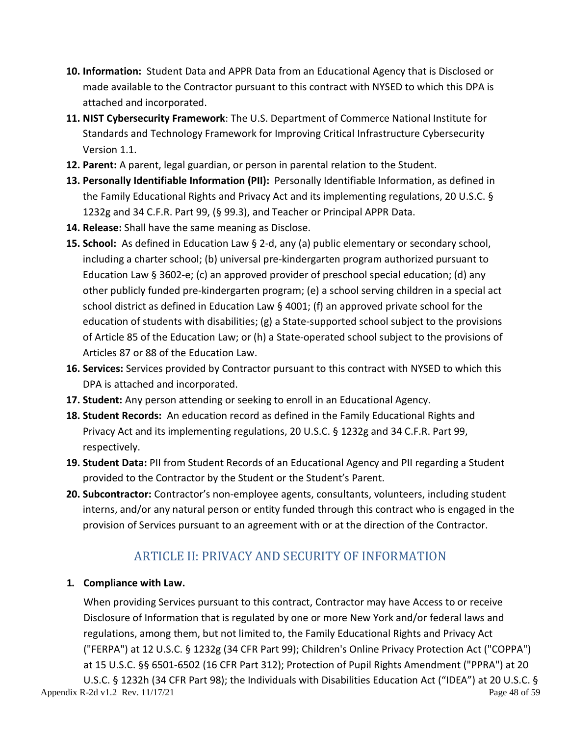- **10. Information:** Student Data and APPR Data from an Educational Agency that is Disclosed or made available to the Contractor pursuant to this contract with NYSED to which this DPA is attached and incorporated.
- **11. NIST Cybersecurity Framework**: The U.S. Department of Commerce National Institute for Standards and Technology Framework for Improving Critical Infrastructure Cybersecurity Version 1.1.
- **12. Parent:** A parent, legal guardian, or person in parental relation to the Student.
- **13. Personally Identifiable Information (PII):** Personally Identifiable Information, as defined in the Family Educational Rights and Privacy Act and its implementing regulations, 20 U.S.C. § 1232g and 34 C.F.R. Part 99, (§ 99.3), and Teacher or Principal APPR Data.
- **14. Release:** Shall have the same meaning as Disclose.
- **15. School:** As defined in Education Law § 2-d, any (a) public elementary or secondary school, including a charter school; (b) universal pre-kindergarten program authorized pursuant to Education Law § 3602-e; (c) an approved provider of preschool special education; (d) any other publicly funded pre-kindergarten program; (e) a school serving children in a special act school district as defined in Education Law § 4001; (f) an approved private school for the education of students with disabilities; (g) a State-supported school subject to the provisions of Article 85 of the Education Law; or (h) a State-operated school subject to the provisions of Articles 87 or 88 of the Education Law.
- **16. Services:** Services provided by Contractor pursuant to this contract with NYSED to which this DPA is attached and incorporated.
- **17. Student:** Any person attending or seeking to enroll in an Educational Agency.
- **18. Student Records:** An education record as defined in the Family Educational Rights and Privacy Act and its implementing regulations, 20 U.S.C. § 1232g and 34 C.F.R. Part 99, respectively.
- **19. Student Data:** PII from Student Records of an Educational Agency and PII regarding a Student provided to the Contractor by the Student or the Student's Parent.
- **20. Subcontractor:** Contractor's non-employee agents, consultants, volunteers, including student interns, and/or any natural person or entity funded through this contract who is engaged in the provision of Services pursuant to an agreement with or at the direction of the Contractor.

# ARTICLE II: PRIVACY AND SECURITY OF INFORMATION

### **1. Compliance with Law.**

When providing Services pursuant to this contract, Contractor may have Access to or receive Disclosure of Information that is regulated by one or more New York and/or federal laws and regulations, among them, but not limited to, the Family Educational Rights and Privacy Act ("FERPA") at 12 U.S.C. § 1232g (34 CFR Part 99); Children's Online Privacy Protection Act ("COPPA") at 15 U.S.C. §§ 6501-6502 (16 CFR Part 312); Protection of Pupil Rights Amendment ("PPRA") at 20 U.S.C. § 1232h (34 CFR Part 98); the Individuals with Disabilities Education Act ("IDEA") at 20 U.S.C. §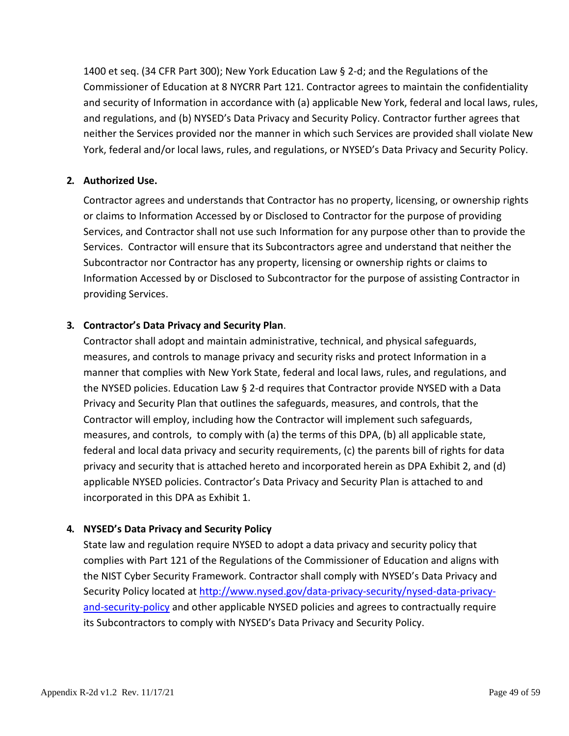1400 et seq. (34 CFR Part 300); New York Education Law § 2-d; and the Regulations of the Commissioner of Education at 8 NYCRR Part 121. Contractor agrees to maintain the confidentiality and security of Information in accordance with (a) applicable New York, federal and local laws, rules, and regulations, and (b) NYSED's Data Privacy and Security Policy. Contractor further agrees that neither the Services provided nor the manner in which such Services are provided shall violate New York, federal and/or local laws, rules, and regulations, or NYSED's Data Privacy and Security Policy.

#### **2. Authorized Use.**

Contractor agrees and understands that Contractor has no property, licensing, or ownership rights or claims to Information Accessed by or Disclosed to Contractor for the purpose of providing Services, and Contractor shall not use such Information for any purpose other than to provide the Services. Contractor will ensure that its Subcontractors agree and understand that neither the Subcontractor nor Contractor has any property, licensing or ownership rights or claims to Information Accessed by or Disclosed to Subcontractor for the purpose of assisting Contractor in providing Services.

#### **3. Contractor's Data Privacy and Security Plan**.

Contractor shall adopt and maintain administrative, technical, and physical safeguards, measures, and controls to manage privacy and security risks and protect Information in a manner that complies with New York State, federal and local laws, rules, and regulations, and the NYSED policies. Education Law § 2-d requires that Contractor provide NYSED with a Data Privacy and Security Plan that outlines the safeguards, measures, and controls, that the Contractor will employ, including how the Contractor will implement such safeguards, measures, and controls, to comply with (a) the terms of this DPA, (b) all applicable state, federal and local data privacy and security requirements, (c) the parents bill of rights for data privacy and security that is attached hereto and incorporated herein as DPA Exhibit 2, and (d) applicable NYSED policies. Contractor's Data Privacy and Security Plan is attached to and incorporated in this DPA as Exhibit 1.

#### **4. NYSED's Data Privacy and Security Policy**

State law and regulation require NYSED to adopt a data privacy and security policy that complies with Part 121 of the Regulations of the Commissioner of Education and aligns with the NIST Cyber Security Framework. Contractor shall comply with NYSED's Data Privacy and Security Policy located at [http://www.nysed.gov/data-privacy-security/nysed-data-privacy](http://www.nysed.gov/data-privacy-security/nysed-data-privacy-and-security-policy)[and-security-policy](http://www.nysed.gov/data-privacy-security/nysed-data-privacy-and-security-policy) and other applicable NYSED policies and agrees to contractually require its Subcontractors to comply with NYSED's Data Privacy and Security Policy.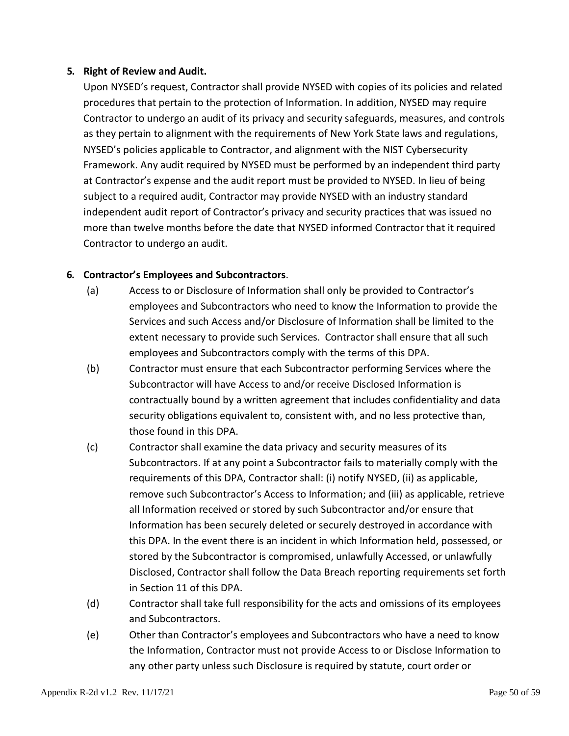#### **5. Right of Review and Audit.**

Upon NYSED's request, Contractor shall provide NYSED with copies of its policies and related procedures that pertain to the protection of Information. In addition, NYSED may require Contractor to undergo an audit of its privacy and security safeguards, measures, and controls as they pertain to alignment with the requirements of New York State laws and regulations, NYSED's policies applicable to Contractor, and alignment with the NIST Cybersecurity Framework. Any audit required by NYSED must be performed by an independent third party at Contractor's expense and the audit report must be provided to NYSED. In lieu of being subject to a required audit, Contractor may provide NYSED with an industry standard independent audit report of Contractor's privacy and security practices that was issued no more than twelve months before the date that NYSED informed Contractor that it required Contractor to undergo an audit.

#### **6. Contractor's Employees and Subcontractors**.

- (a) Access to or Disclosure of Information shall only be provided to Contractor's employees and Subcontractors who need to know the Information to provide the Services and such Access and/or Disclosure of Information shall be limited to the extent necessary to provide such Services. Contractor shall ensure that all such employees and Subcontractors comply with the terms of this DPA.
- (b) Contractor must ensure that each Subcontractor performing Services where the Subcontractor will have Access to and/or receive Disclosed Information is contractually bound by a written agreement that includes confidentiality and data security obligations equivalent to, consistent with, and no less protective than, those found in this DPA.
- (c) Contractor shall examine the data privacy and security measures of its Subcontractors. If at any point a Subcontractor fails to materially comply with the requirements of this DPA, Contractor shall: (i) notify NYSED, (ii) as applicable, remove such Subcontractor's Access to Information; and (iii) as applicable, retrieve all Information received or stored by such Subcontractor and/or ensure that Information has been securely deleted or securely destroyed in accordance with this DPA. In the event there is an incident in which Information held, possessed, or stored by the Subcontractor is compromised, unlawfully Accessed, or unlawfully Disclosed, Contractor shall follow the Data Breach reporting requirements set forth in Section 11 of this DPA.
- (d) Contractor shall take full responsibility for the acts and omissions of its employees and Subcontractors.
- (e) Other than Contractor's employees and Subcontractors who have a need to know the Information, Contractor must not provide Access to or Disclose Information to any other party unless such Disclosure is required by statute, court order or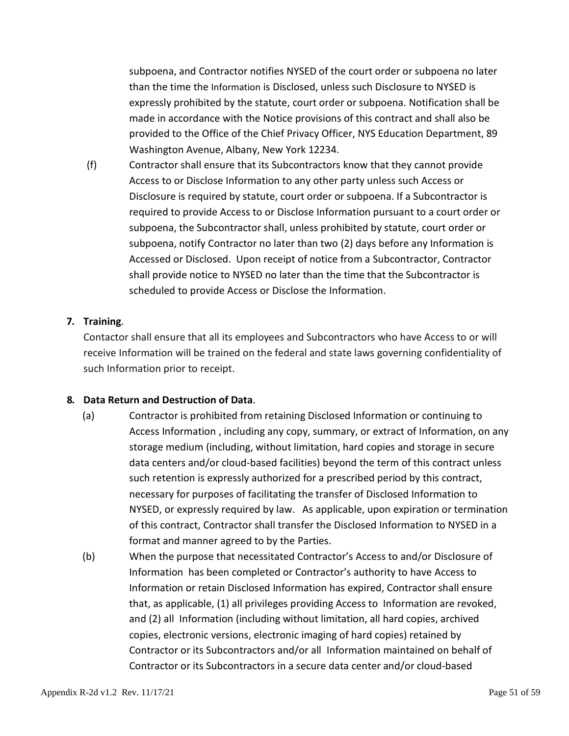subpoena, and Contractor notifies NYSED of the court order or subpoena no later than the time the Information is Disclosed, unless such Disclosure to NYSED is expressly prohibited by the statute, court order or subpoena. Notification shall be made in accordance with the Notice provisions of this contract and shall also be provided to the Office of the Chief Privacy Officer, NYS Education Department, 89 Washington Avenue, Albany, New York 12234.

(f) Contractor shall ensure that its Subcontractors know that they cannot provide Access to or Disclose Information to any other party unless such Access or Disclosure is required by statute, court order or subpoena. If a Subcontractor is required to provide Access to or Disclose Information pursuant to a court order or subpoena, the Subcontractor shall, unless prohibited by statute, court order or subpoena, notify Contractor no later than two (2) days before any Information is Accessed or Disclosed. Upon receipt of notice from a Subcontractor, Contractor shall provide notice to NYSED no later than the time that the Subcontractor is scheduled to provide Access or Disclose the Information.

#### **7. Training**.

Contactor shall ensure that all its employees and Subcontractors who have Access to or will receive Information will be trained on the federal and state laws governing confidentiality of such Information prior to receipt.

#### **8. Data Return and Destruction of Data**.

- (a) Contractor is prohibited from retaining Disclosed Information or continuing to Access Information , including any copy, summary, or extract of Information, on any storage medium (including, without limitation, hard copies and storage in secure data centers and/or cloud-based facilities) beyond the term of this contract unless such retention is expressly authorized for a prescribed period by this contract, necessary for purposes of facilitating the transfer of Disclosed Information to NYSED, or expressly required by law. As applicable, upon expiration or termination of this contract, Contractor shall transfer the Disclosed Information to NYSED in a format and manner agreed to by the Parties.
- (b) When the purpose that necessitated Contractor's Access to and/or Disclosure of Information has been completed or Contractor's authority to have Access to Information or retain Disclosed Information has expired, Contractor shall ensure that, as applicable, (1) all privileges providing Access to Information are revoked, and (2) all Information (including without limitation, all hard copies, archived copies, electronic versions, electronic imaging of hard copies) retained by Contractor or its Subcontractors and/or all Information maintained on behalf of Contractor or its Subcontractors in a secure data center and/or cloud-based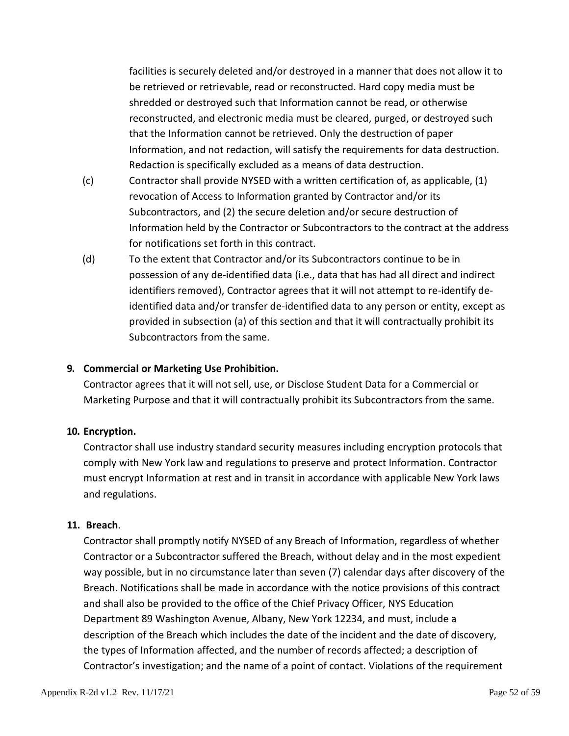facilities is securely deleted and/or destroyed in a manner that does not allow it to be retrieved or retrievable, read or reconstructed. Hard copy media must be shredded or destroyed such that Information cannot be read, or otherwise reconstructed, and electronic media must be cleared, purged, or destroyed such that the Information cannot be retrieved. Only the destruction of paper Information, and not redaction, will satisfy the requirements for data destruction. Redaction is specifically excluded as a means of data destruction.

- (c) Contractor shall provide NYSED with a written certification of, as applicable, (1) revocation of Access to Information granted by Contractor and/or its Subcontractors, and (2) the secure deletion and/or secure destruction of Information held by the Contractor or Subcontractors to the contract at the address for notifications set forth in this contract.
- (d) To the extent that Contractor and/or its Subcontractors continue to be in possession of any de-identified data (i.e., data that has had all direct and indirect identifiers removed), Contractor agrees that it will not attempt to re-identify deidentified data and/or transfer de-identified data to any person or entity, except as provided in subsection (a) of this section and that it will contractually prohibit its Subcontractors from the same.

#### **9. Commercial or Marketing Use Prohibition.**

Contractor agrees that it will not sell, use, or Disclose Student Data for a Commercial or Marketing Purpose and that it will contractually prohibit its Subcontractors from the same.

#### **10. Encryption.**

Contractor shall use industry standard security measures including encryption protocols that comply with New York law and regulations to preserve and protect Information. Contractor must encrypt Information at rest and in transit in accordance with applicable New York laws and regulations.

#### **11. Breach**.

Contractor shall promptly notify NYSED of any Breach of Information, regardless of whether Contractor or a Subcontractor suffered the Breach, without delay and in the most expedient way possible, but in no circumstance later than seven (7) calendar days after discovery of the Breach. Notifications shall be made in accordance with the notice provisions of this contract and shall also be provided to the office of the Chief Privacy Officer, NYS Education Department 89 Washington Avenue, Albany, New York 12234, and must, include a description of the Breach which includes the date of the incident and the date of discovery, the types of Information affected, and the number of records affected; a description of Contractor's investigation; and the name of a point of contact. Violations of the requirement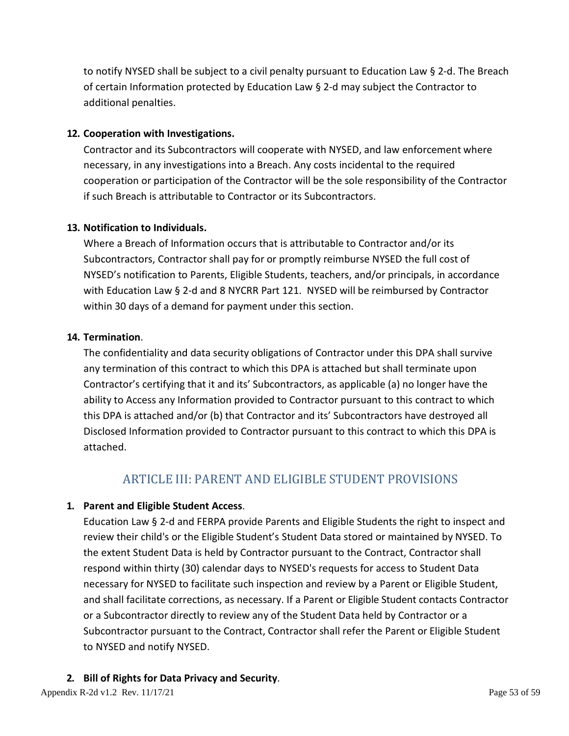to notify NYSED shall be subject to a civil penalty pursuant to Education Law § 2-d. The Breach of certain Information protected by Education Law § 2-d may subject the Contractor to additional penalties.

#### **12. Cooperation with Investigations.**

Contractor and its Subcontractors will cooperate with NYSED, and law enforcement where necessary, in any investigations into a Breach. Any costs incidental to the required cooperation or participation of the Contractor will be the sole responsibility of the Contractor if such Breach is attributable to Contractor or its Subcontractors.

#### **13. Notification to Individuals.**

Where a Breach of Information occurs that is attributable to Contractor and/or its Subcontractors, Contractor shall pay for or promptly reimburse NYSED the full cost of NYSED's notification to Parents, Eligible Students, teachers, and/or principals, in accordance with Education Law § 2-d and 8 NYCRR Part 121. NYSED will be reimbursed by Contractor within 30 days of a demand for payment under this section.

#### **14. Termination**.

The confidentiality and data security obligations of Contractor under this DPA shall survive any termination of this contract to which this DPA is attached but shall terminate upon Contractor's certifying that it and its' Subcontractors, as applicable (a) no longer have the ability to Access any Information provided to Contractor pursuant to this contract to which this DPA is attached and/or (b) that Contractor and its' Subcontractors have destroyed all Disclosed Information provided to Contractor pursuant to this contract to which this DPA is attached.

# ARTICLE III: PARENT AND ELIGIBLE STUDENT PROVISIONS

#### **1. Parent and Eligible Student Access**.

Education Law § 2-d and FERPA provide Parents and Eligible Students the right to inspect and review their child's or the Eligible Student's Student Data stored or maintained by NYSED. To the extent Student Data is held by Contractor pursuant to the Contract, Contractor shall respond within thirty (30) calendar days to NYSED's requests for access to Student Data necessary for NYSED to facilitate such inspection and review by a Parent or Eligible Student, and shall facilitate corrections, as necessary. If a Parent or Eligible Student contacts Contractor or a Subcontractor directly to review any of the Student Data held by Contractor or a Subcontractor pursuant to the Contract, Contractor shall refer the Parent or Eligible Student to NYSED and notify NYSED.

### **2. Bill of Rights for Data Privacy and Security**.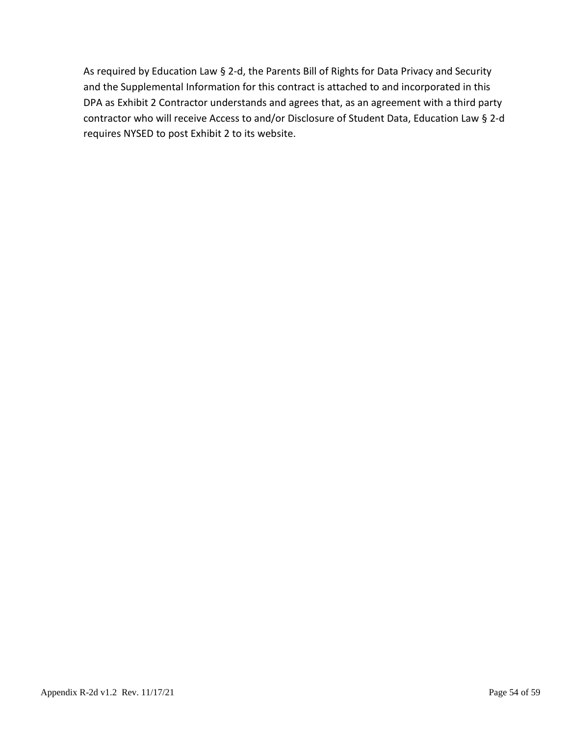As required by Education Law § 2-d, the Parents Bill of Rights for Data Privacy and Security and the Supplemental Information for this contract is attached to and incorporated in this DPA as Exhibit 2 Contractor understands and agrees that, as an agreement with a third party contractor who will receive Access to and/or Disclosure of Student Data, Education Law § 2-d requires NYSED to post Exhibit 2 to its website.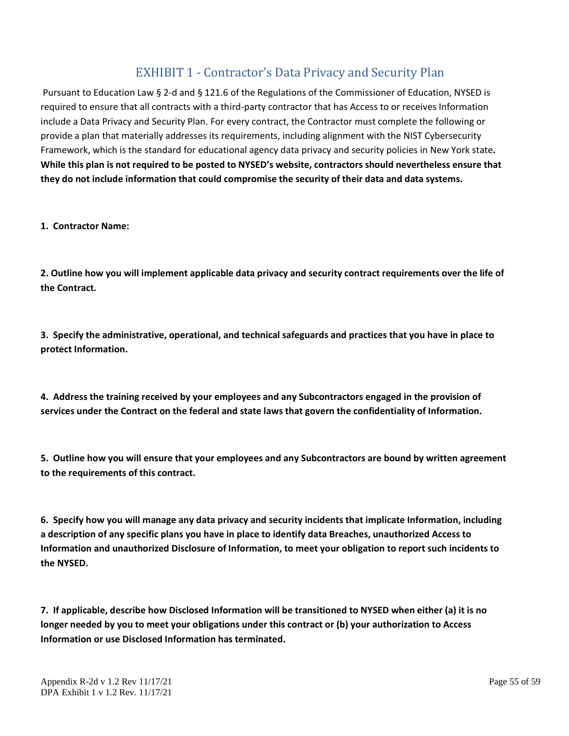# EXHIBIT 1 - Contractor's Data Privacy and Security Plan

Pursuant to Education Law § 2-d and § 121.6 of the Regulations of the Commissioner of Education, NYSED is required to ensure that all contracts with a third-party contractor that has Access to or receives Information include a Data Privacy and Security Plan. For every contract, the Contractor must complete the following or provide a plan that materially addresses its requirements, including alignment with the NIST Cybersecurity Framework, which is the standard for educational agency data privacy and security policies in New York state**. While this plan is not required to be posted to NYSED's website, contractors should nevertheless ensure that they do not include information that could compromise the security of their data and data systems.**

**1. Contractor Name:**

**2. Outline how you will implement applicable data privacy and security contract requirements over the life of the Contract.**

**3. Specify the administrative, operational, and technical safeguards and practices that you have in place to protect Information.**

**4. Address the training received by your employees and any Subcontractors engaged in the provision of services under the Contract on the federal and state laws that govern the confidentiality of Information.**

**5. Outline how you will ensure that your employees and any Subcontractors are bound by written agreement to the requirements of this contract.**

**6. Specify how you will manage any data privacy and security incidents that implicate Information, including a description of any specific plans you have in place to identify data Breaches, unauthorized Access to Information and unauthorized Disclosure of Information, to meet your obligation to report such incidents to the NYSED.** 

**7. If applicable, describe how Disclosed Information will be transitioned to NYSED when either (a) it is no longer needed by you to meet your obligations under this contract or (b) your authorization to Access Information or use Disclosed Information has terminated.**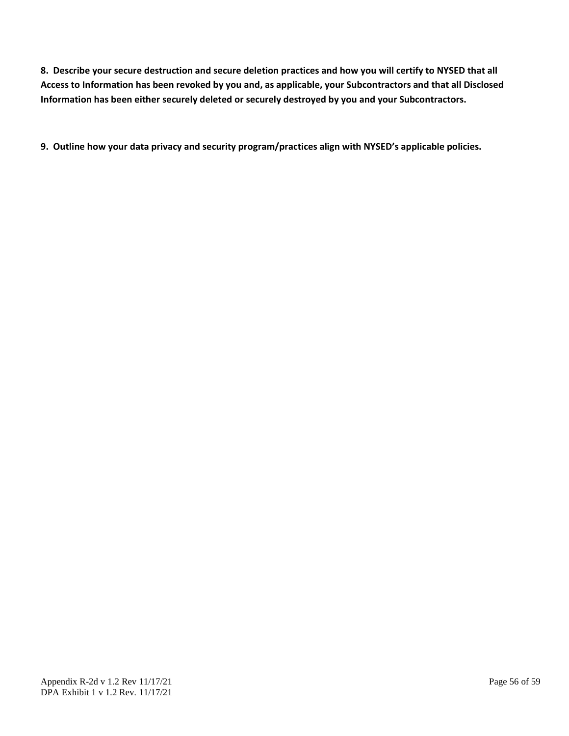**8. Describe your secure destruction and secure deletion practices and how you will certify to NYSED that all Access to Information has been revoked by you and, as applicable, your Subcontractors and that all Disclosed Information has been either securely deleted or securely destroyed by you and your Subcontractors.**

**9. Outline how your data privacy and security program/practices align with NYSED's applicable policies.**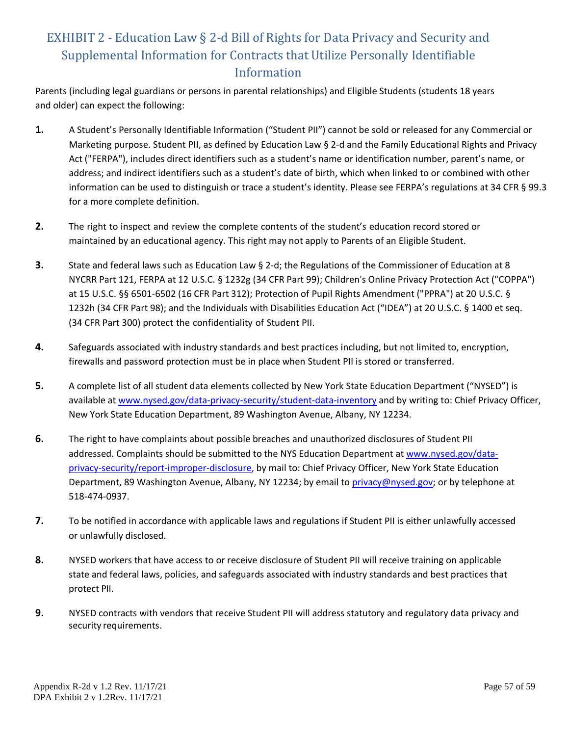# EXHIBIT 2 - Education Law § 2-d Bill of Rights for Data Privacy and Security and Supplemental Information for Contracts that Utilize Personally Identifiable Information

Parents (including legal guardians or persons in parental relationships) and Eligible Students (students 18 years and older) can expect the following:

- **1.** A Student's Personally Identifiable Information ("Student PII") cannot be sold or released for any Commercial or Marketing purpose. Student PII, as defined by Education Law § 2-d and the Family Educational Rights and Privacy Act ("FERPA"), includes direct identifiers such as a student's name or identification number, parent's name, or address; and indirect identifiers such as a student's date of birth, which when linked to or combined with other information can be used to distinguish or trace a student's identity. Please see FERPA's regulations at 34 CFR § 99.3 for a more complete definition.
- **2.** The right to inspect and review the complete contents of the student's education record stored or maintained by an educational agency. This right may not apply to Parents of an Eligible Student.
- **3.** State and federal laws such as Education Law § 2-d; the Regulations of the Commissioner of Education at 8 NYCRR Part 121, FERPA at 12 U.S.C. § 1232g (34 CFR Part 99); Children's Online Privacy Protection Act ("COPPA") at 15 U.S.C. §§ 6501-6502 (16 CFR Part 312); Protection of Pupil Rights Amendment ("PPRA") at 20 U.S.C. § 1232h (34 CFR Part 98); and the Individuals with Disabilities Education Act ("IDEA") at 20 U.S.C. § 1400 et seq. (34 CFR Part 300) protect the confidentiality of Student PII.
- **4.** Safeguards associated with industry standards and best practices including, but not limited to, encryption, firewalls and password protection must be in place when Student PII is stored or transferred.
- **5.** A complete list of all student data elements collected by New York State Education Department ("NYSED") is available at [www.nysed.gov/data-privacy-security/student-data-inventory](http://www.nysed.gov/data-privacy-security/student-data-inventory) and by writing to: Chief Privacy Officer, New York State Education Department, 89 Washington Avenue, Albany, NY 12234.
- **6.** The right to have complaints about possible breaches and unauthorized disclosures of Student PII addressed. Complaints should be submitted to the NYS Education Department at [www.nysed.gov/data](http://www.nysed.gov/data-privacy-security/report-improper-disclosure)[privacy-security/report-improper-disclosure,](http://www.nysed.gov/data-privacy-security/report-improper-disclosure) by mail to: Chief Privacy Officer, New York State Education Department, 89 Washington Avenue, Albany, NY 12234; by email to [privacy@nysed.gov; o](mailto:Privacy@nysed.gov)r by telephone at 518-474-0937.
- **7.** To be notified in accordance with applicable laws and regulations if Student PII is either unlawfully accessed or unlawfully disclosed.
- **8.** NYSED workers that have access to or receive disclosure of Student PII will receive training on applicable state and federal laws, policies, and safeguards associated with industry standards and best practices that protect PII.
- **9.** NYSED contracts with vendors that receive Student PII will address statutory and regulatory data privacy and security requirements.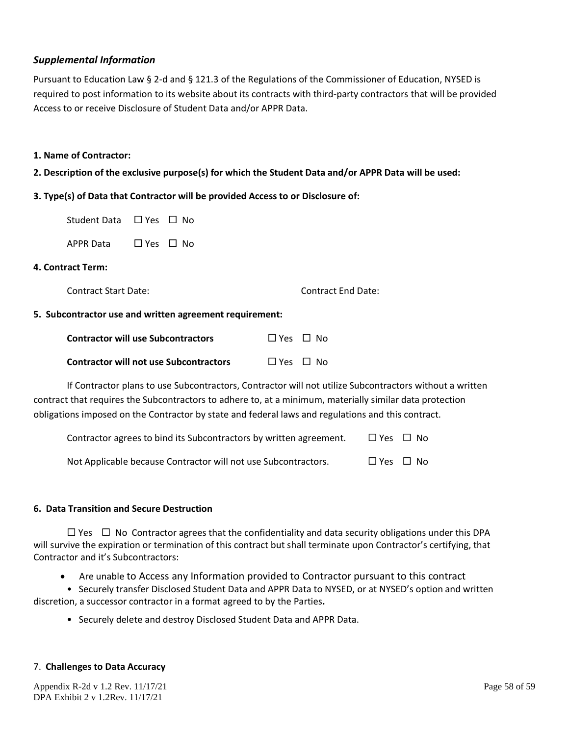#### *Supplemental Information*

Pursuant to Education Law § 2-d and § 121.3 of the Regulations of the Commissioner of Education, NYSED is required to post information to its website about its contracts with third-party contractors that will be provided Access to or receive Disclosure of Student Data and/or APPR Data.

#### **1. Name of Contractor:**

**2. Description of the exclusive purpose(s) for which the Student Data and/or APPR Data will be used:**

#### **3. Type(s) of Data that Contractor will be provided Access to or Disclosure of:**

| Student Data ⊔ Yes ⊔ No |                      |  |
|-------------------------|----------------------|--|
| APPR Data               | $\Box$ Yes $\Box$ No |  |

#### **4. Contract Term:**

Contract Start Date: Contract End Date:

#### **5. Subcontractor use and written agreement requirement:**

| <b>Contractor will use Subcontractors</b>     | $\Box$ Yes $\Box$ No |  |
|-----------------------------------------------|----------------------|--|
| <b>Contractor will not use Subcontractors</b> | $\Box$ Yes $\Box$ No |  |

If Contractor plans to use Subcontractors, Contractor will not utilize Subcontractors without a written contract that requires the Subcontractors to adhere to, at a minimum, materially similar data protection obligations imposed on the Contractor by state and federal laws and regulations and this contract.

| Contractor agrees to bind its Subcontractors by written agreement. | $\Box$ Yes $\Box$ No |
|--------------------------------------------------------------------|----------------------|
| Not Applicable because Contractor will not use Subcontractors.     | $\Box$ Yes $\Box$ No |

#### **6. Data Transition and Secure Destruction**

 $\Box$  Yes  $\Box$  No Contractor agrees that the confidentiality and data security obligations under this DPA will survive the expiration or termination of this contract but shall terminate upon Contractor's certifying, that Contractor and it's Subcontractors:

• Are unable to Access any Information provided to Contractor pursuant to this contract

• Securely transfer Disclosed Student Data and APPR Data to NYSED, or at NYSED's option and written discretion, a successor contractor in a format agreed to by the Parties**.**

• Securely delete and destroy Disclosed Student Data and APPR Data.

#### 7. **Challenges to Data Accuracy**